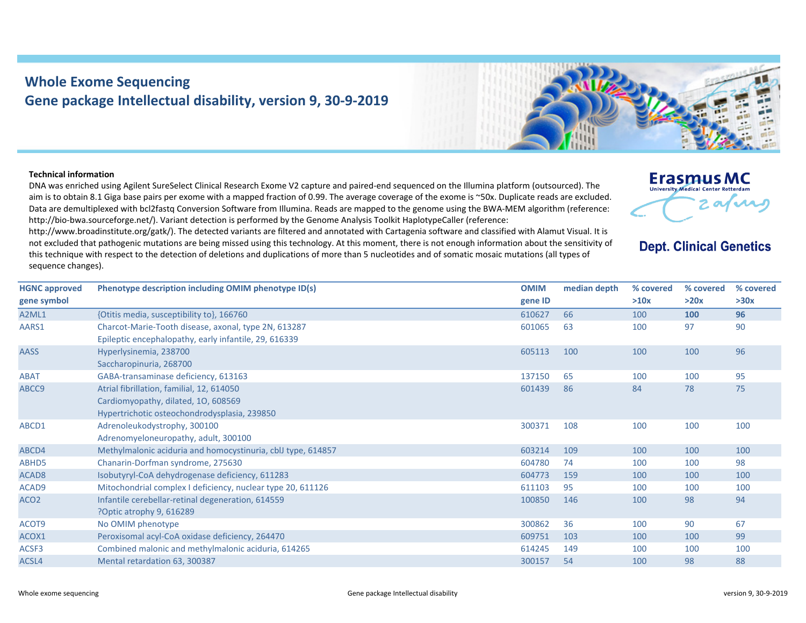## **Whole Exome Sequencing Gene package Intellectual disability, version 9, 30‐9‐2019**

## **Technical information**

DNA was enriched using Agilent SureSelect Clinical Research Exome V2 capture and paired‐end sequenced on the Illumina platform (outsourced). The aim is to obtain 8.1 Giga base pairs per exome with a mapped fraction of 0.99. The average coverage of the exome is ~50x. Duplicate reads are excluded. Data are demultiplexed with bcl2fastg Conversion Software from Illumina. Reads are mapped to the genome using the BWA-MEM algorithm (reference: http://bio-bwa.sourceforge.net/). Variant detection is performed by the Genome Analysis Toolkit HaplotypeCaller (reference:

http://www.broadinstitute.org/gatk/). The detected variants are filtered and annotated with Cartagenia software and classified with Alamut Visual. It is not excluded that pathogenic mutations are being missed using this technology. At this moment, there is not enough information about the sensitivity of this technique with respect to the detection of deletions and duplications of more than 5 nucleotides and of somatic mosaic mutations (all types of sequence changes).

| <b>HGNC approved</b> | Phenotype description including OMIM phenotype ID(s)         | <b>OMIM</b> | median depth | % covered | % covered | % covered |
|----------------------|--------------------------------------------------------------|-------------|--------------|-----------|-----------|-----------|
| gene symbol          |                                                              | gene ID     |              | >10x      | >20x      | >30x      |
| A2ML1                | {Otitis media, susceptibility to}, 166760                    | 610627      | 66           | 100       | 100       | 96        |
| AARS1                | Charcot-Marie-Tooth disease, axonal, type 2N, 613287         | 601065      | 63           | 100       | 97        | 90        |
|                      | Epileptic encephalopathy, early infantile, 29, 616339        |             |              |           |           |           |
| AASS                 | Hyperlysinemia, 238700                                       | 605113      | 100          | 100       | 100       | 96        |
|                      | Saccharopinuria, 268700                                      |             |              |           |           |           |
| <b>ABAT</b>          | GABA-transaminase deficiency, 613163                         | 137150      | 65           | 100       | 100       | 95        |
| ABCC9                | Atrial fibrillation, familial, 12, 614050                    | 601439      | 86           | 84        | 78        | 75        |
|                      | Cardiomyopathy, dilated, 10, 608569                          |             |              |           |           |           |
|                      | Hypertrichotic osteochondrodysplasia, 239850                 |             |              |           |           |           |
| ABCD1                | Adrenoleukodystrophy, 300100                                 | 300371      | 108          | 100       | 100       | 100       |
|                      | Adrenomyeloneuropathy, adult, 300100                         |             |              |           |           |           |
| ABCD4                | Methylmalonic aciduria and homocystinuria, cblJ type, 614857 | 603214      | 109          | 100       | 100       | 100       |
| ABHD5                | Chanarin-Dorfman syndrome, 275630                            | 604780      | 74           | 100       | 100       | 98        |
| ACAD <sub>8</sub>    | Isobutyryl-CoA dehydrogenase deficiency, 611283              | 604773      | 159          | 100       | 100       | 100       |
| ACAD9                | Mitochondrial complex I deficiency, nuclear type 20, 611126  | 611103      | 95           | 100       | 100       | 100       |
| ACO <sub>2</sub>     | Infantile cerebellar-retinal degeneration, 614559            | 100850      | 146          | 100       | 98        | 94        |
|                      | ?Optic atrophy 9, 616289                                     |             |              |           |           |           |
| ACOT9                | No OMIM phenotype                                            | 300862      | 36           | 100       | 90        | 67        |
| ACOX1                | Peroxisomal acyl-CoA oxidase deficiency, 264470              | 609751      | 103          | 100       | 100       | 99        |
| ACSF3                | Combined malonic and methylmalonic aciduria, 614265          | 614245      | 149          | 100       | 100       | 100       |

ACSL4 Mental retardation 63, 300387 388 88





**Dept. Clinical Genetics**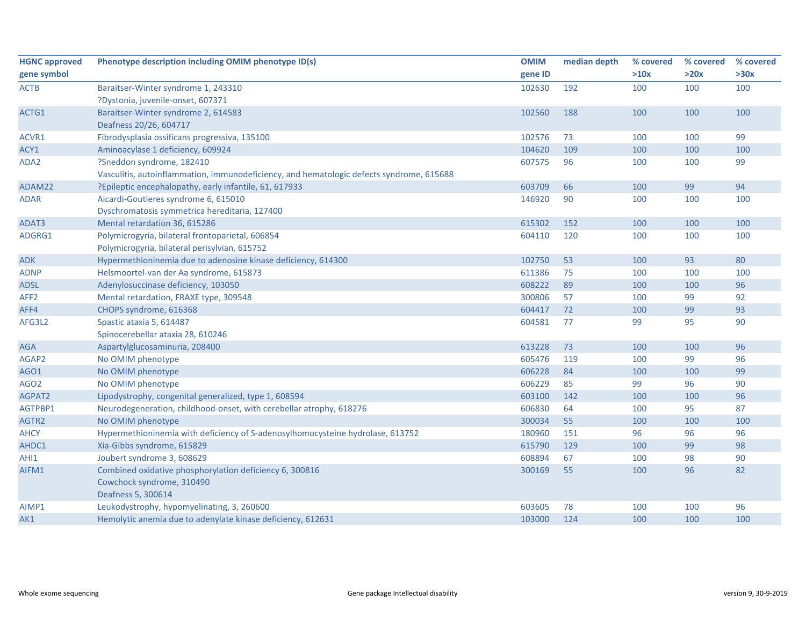| <b>HGNC approved</b> | Phenotype description including OMIM phenotype ID(s)                                     | <b>OMIM</b> | median depth | % covered | % covered | % covered |
|----------------------|------------------------------------------------------------------------------------------|-------------|--------------|-----------|-----------|-----------|
| gene symbol          |                                                                                          | gene ID     |              | >10x      | >20x      | >30x      |
| <b>ACTB</b>          | Baraitser-Winter syndrome 1, 243310                                                      | 102630      | 192          | 100       | 100       | 100       |
|                      | ?Dystonia, juvenile-onset, 607371                                                        |             |              |           |           |           |
| ACTG1                | Baraitser-Winter syndrome 2, 614583                                                      | 102560      | 188          | 100       | 100       | 100       |
|                      | Deafness 20/26, 604717                                                                   |             |              |           |           |           |
| ACVR1                | Fibrodysplasia ossificans progressiva, 135100                                            | 102576      | 73           | 100       | 100       | 99        |
| ACY1                 | Aminoacylase 1 deficiency, 609924                                                        | 104620      | 109          | 100       | 100       | 100       |
| ADA2                 | ?Sneddon syndrome, 182410                                                                | 607575      | 96           | 100       | 100       | 99        |
|                      | Vasculitis, autoinflammation, immunodeficiency, and hematologic defects syndrome, 615688 |             |              |           |           |           |
| ADAM22               | ?Epileptic encephalopathy, early infantile, 61, 617933                                   | 603709      | 66           | 100       | 99        | 94        |
| <b>ADAR</b>          | Aicardi-Goutieres syndrome 6, 615010                                                     | 146920      | 90           | 100       | 100       | 100       |
|                      | Dyschromatosis symmetrica hereditaria, 127400                                            |             |              |           |           |           |
| ADAT3                | Mental retardation 36, 615286                                                            | 615302      | 152          | 100       | 100       | 100       |
| ADGRG1               | Polymicrogyria, bilateral frontoparietal, 606854                                         | 604110      | 120          | 100       | 100       | 100       |
|                      | Polymicrogyria, bilateral perisylvian, 615752                                            |             |              |           |           |           |
| <b>ADK</b>           | Hypermethioninemia due to adenosine kinase deficiency, 614300                            | 102750      | 53           | 100       | 93        | 80        |
| <b>ADNP</b>          | Helsmoortel-van der Aa syndrome, 615873                                                  | 611386      | 75           | 100       | 100       | 100       |
| <b>ADSL</b>          | Adenylosuccinase deficiency, 103050                                                      | 608222      | 89           | 100       | 100       | 96        |
| AFF <sub>2</sub>     | Mental retardation, FRAXE type, 309548                                                   | 300806      | 57           | 100       | 99        | 92        |
| AFF4                 | CHOPS syndrome, 616368                                                                   | 604417      | 72           | 100       | 99        | 93        |
| AFG3L2               | Spastic ataxia 5, 614487                                                                 | 604581      | 77           | 99        | 95        | 90        |
|                      | Spinocerebellar ataxia 28, 610246                                                        |             |              |           |           |           |
| <b>AGA</b>           | Aspartylglucosaminuria, 208400                                                           | 613228      | 73           | 100       | 100       | 96        |
| AGAP2                | No OMIM phenotype                                                                        | 605476      | 119          | 100       | 99        | 96        |
| AGO1                 | No OMIM phenotype                                                                        | 606228      | 84           | 100       | 100       | 99        |
| AGO <sub>2</sub>     | No OMIM phenotype                                                                        | 606229      | 85           | 99        | 96        | 90        |
| AGPAT2               | Lipodystrophy, congenital generalized, type 1, 608594                                    | 603100      | 142          | 100       | 100       | 96        |
| AGTPBP1              | Neurodegeneration, childhood-onset, with cerebellar atrophy, 618276                      | 606830      | 64           | 100       | 95        | 87        |
| AGTR2                | No OMIM phenotype                                                                        | 300034      | 55           | 100       | 100       | 100       |
| <b>AHCY</b>          | Hypermethioninemia with deficiency of S-adenosylhomocysteine hydrolase, 613752           | 180960      | 151          | 96        | 96        | 96        |
| AHDC1                | Xia-Gibbs syndrome, 615829                                                               | 615790      | 129          | 100       | 99        | 98        |
| AHI1                 | Joubert syndrome 3, 608629                                                               | 608894      | 67           | 100       | 98        | 90        |
| AIFM1                | Combined oxidative phosphorylation deficiency 6, 300816                                  | 300169      | 55           | 100       | 96        | 82        |
|                      | Cowchock syndrome, 310490                                                                |             |              |           |           |           |
|                      | Deafness 5, 300614                                                                       |             |              |           |           |           |
| AIMP1                | Leukodystrophy, hypomyelinating, 3, 260600                                               | 603605      | 78           | 100       | 100       | 96        |
| AK1                  | Hemolytic anemia due to adenylate kinase deficiency, 612631                              | 103000      | 124          | 100       | 100       | 100       |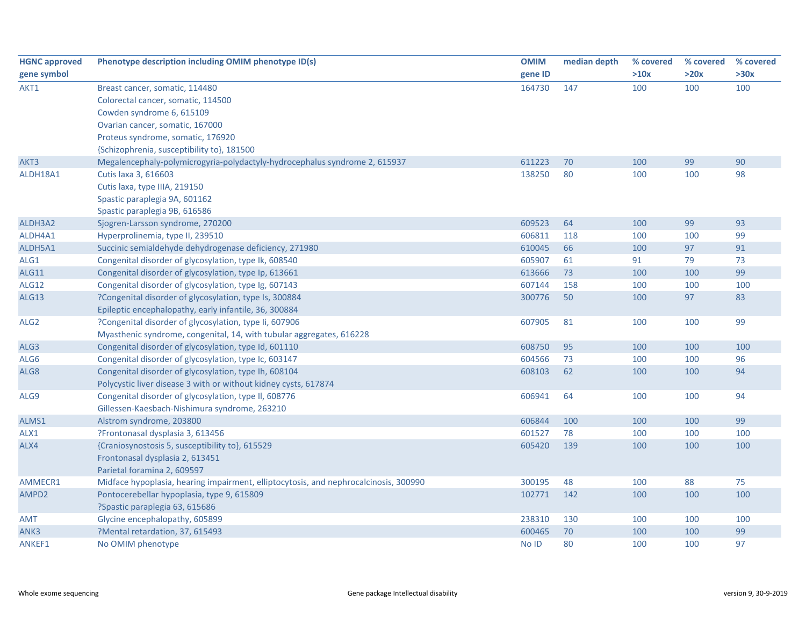| <b>HGNC approved</b> | Phenotype description including OMIM phenotype ID(s)                                 | <b>OMIM</b> | median depth | % covered | % covered | % covered |
|----------------------|--------------------------------------------------------------------------------------|-------------|--------------|-----------|-----------|-----------|
| gene symbol          |                                                                                      | gene ID     |              | >10x      | >20x      | >30x      |
| AKT1                 | Breast cancer, somatic, 114480                                                       | 164730      | 147          | 100       | 100       | 100       |
|                      | Colorectal cancer, somatic, 114500                                                   |             |              |           |           |           |
|                      | Cowden syndrome 6, 615109                                                            |             |              |           |           |           |
|                      | Ovarian cancer, somatic, 167000                                                      |             |              |           |           |           |
|                      | Proteus syndrome, somatic, 176920                                                    |             |              |           |           |           |
|                      | {Schizophrenia, susceptibility to}, 181500                                           |             |              |           |           |           |
| AKT3                 | Megalencephaly-polymicrogyria-polydactyly-hydrocephalus syndrome 2, 615937           | 611223      | 70           | 100       | 99        | 90        |
| ALDH18A1             | Cutis laxa 3, 616603                                                                 | 138250      | 80           | 100       | 100       | 98        |
|                      | Cutis laxa, type IIIA, 219150                                                        |             |              |           |           |           |
|                      | Spastic paraplegia 9A, 601162                                                        |             |              |           |           |           |
|                      | Spastic paraplegia 9B, 616586                                                        |             |              |           |           |           |
| ALDH3A2              | Sjogren-Larsson syndrome, 270200                                                     | 609523      | 64           | 100       | 99        | 93        |
| ALDH4A1              | Hyperprolinemia, type II, 239510                                                     | 606811      | 118          | 100       | 100       | 99        |
| ALDH5A1              | Succinic semialdehyde dehydrogenase deficiency, 271980                               | 610045      | 66           | 100       | 97        | 91        |
| ALG1                 | Congenital disorder of glycosylation, type Ik, 608540                                | 605907      | 61           | 91        | 79        | 73        |
| <b>ALG11</b>         | Congenital disorder of glycosylation, type Ip, 613661                                | 613666      | 73           | 100       | 100       | 99        |
| <b>ALG12</b>         | Congenital disorder of glycosylation, type Ig, 607143                                | 607144      | 158          | 100       | 100       | 100       |
| <b>ALG13</b>         | ?Congenital disorder of glycosylation, type Is, 300884                               | 300776      | 50           | 100       | 97        | 83        |
|                      | Epileptic encephalopathy, early infantile, 36, 300884                                |             |              |           |           |           |
| ALG <sub>2</sub>     | ?Congenital disorder of glycosylation, type Ii, 607906                               | 607905      | 81           | 100       | 100       | 99        |
|                      | Myasthenic syndrome, congenital, 14, with tubular aggregates, 616228                 |             |              |           |           |           |
| ALG3                 | Congenital disorder of glycosylation, type Id, 601110                                | 608750      | 95           | 100       | 100       | 100       |
| ALG6                 | Congenital disorder of glycosylation, type Ic, 603147                                | 604566      | 73           | 100       | 100       | 96        |
| ALG8                 | Congenital disorder of glycosylation, type Ih, 608104                                | 608103      | 62           | 100       | 100       | 94        |
|                      | Polycystic liver disease 3 with or without kidney cysts, 617874                      |             |              |           |           |           |
| ALG9                 | Congenital disorder of glycosylation, type II, 608776                                | 606941      | 64           | 100       | 100       | 94        |
|                      | Gillessen-Kaesbach-Nishimura syndrome, 263210                                        |             |              |           |           |           |
| ALMS1                | Alstrom syndrome, 203800                                                             | 606844      | 100          | 100       | 100       | 99        |
| ALX1                 | ?Frontonasal dysplasia 3, 613456                                                     | 601527      | 78           | 100       | 100       | 100       |
| ALX4                 | {Craniosynostosis 5, susceptibility to}, 615529                                      | 605420      | 139          | 100       | 100       | 100       |
|                      | Frontonasal dysplasia 2, 613451                                                      |             |              |           |           |           |
|                      | Parietal foramina 2, 609597                                                          |             |              |           |           |           |
| AMMECR1              | Midface hypoplasia, hearing impairment, elliptocytosis, and nephrocalcinosis, 300990 | 300195      | 48           | 100       | 88        | 75        |
| AMPD2                | Pontocerebellar hypoplasia, type 9, 615809                                           | 102771      | 142          | 100       | 100       | 100       |
|                      | ?Spastic paraplegia 63, 615686                                                       |             |              |           |           |           |
| <b>AMT</b>           | Glycine encephalopathy, 605899                                                       | 238310      | 130          | 100       | 100       | 100       |
| ANK3                 | ?Mental retardation, 37, 615493                                                      | 600465      | 70           | 100       | 100       | 99        |
| ANKEF1               | No OMIM phenotype                                                                    | No ID       | 80           | 100       | 100       | 97        |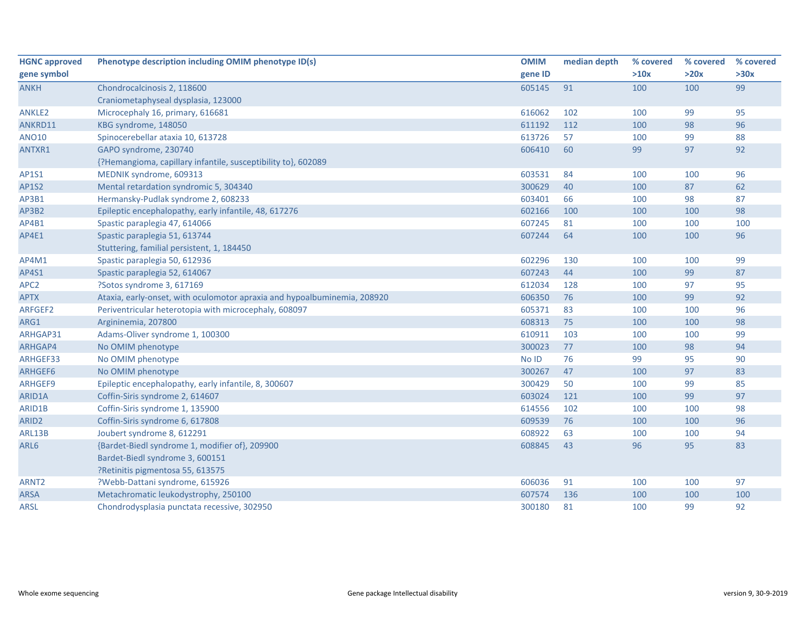| <b>HGNC approved</b> | Phenotype description including OMIM phenotype ID(s)                     | <b>OMIM</b> | median depth | % covered | % covered | % covered |
|----------------------|--------------------------------------------------------------------------|-------------|--------------|-----------|-----------|-----------|
| gene symbol          |                                                                          | gene ID     |              | >10x      | >20x      | >30x      |
| <b>ANKH</b>          | Chondrocalcinosis 2, 118600                                              | 605145      | 91           | 100       | 100       | 99        |
|                      | Craniometaphyseal dysplasia, 123000                                      |             |              |           |           |           |
| <b>ANKLE2</b>        | Microcephaly 16, primary, 616681                                         | 616062      | 102          | 100       | 99        | 95        |
| ANKRD11              | KBG syndrome, 148050                                                     | 611192      | 112          | 100       | 98        | 96        |
| <b>ANO10</b>         | Spinocerebellar ataxia 10, 613728                                        | 613726      | 57           | 100       | 99        | 88        |
| ANTXR1               | GAPO syndrome, 230740                                                    | 606410      | 60           | 99        | 97        | 92        |
|                      | {?Hemangioma, capillary infantile, susceptibility to}, 602089            |             |              |           |           |           |
| AP1S1                | MEDNIK syndrome, 609313                                                  | 603531      | 84           | 100       | 100       | 96        |
| <b>AP1S2</b>         | Mental retardation syndromic 5, 304340                                   | 300629      | 40           | 100       | 87        | 62        |
| AP3B1                | Hermansky-Pudlak syndrome 2, 608233                                      | 603401      | 66           | 100       | 98        | 87        |
| AP3B2                | Epileptic encephalopathy, early infantile, 48, 617276                    | 602166      | 100          | 100       | 100       | 98        |
| AP4B1                | Spastic paraplegia 47, 614066                                            | 607245      | 81           | 100       | 100       | 100       |
| AP4E1                | Spastic paraplegia 51, 613744                                            | 607244      | 64           | 100       | 100       | 96        |
|                      | Stuttering, familial persistent, 1, 184450                               |             |              |           |           |           |
| AP4M1                | Spastic paraplegia 50, 612936                                            | 602296      | 130          | 100       | 100       | 99        |
| AP4S1                | Spastic paraplegia 52, 614067                                            | 607243      | 44           | 100       | 99        | 87        |
| APC <sub>2</sub>     | ?Sotos syndrome 3, 617169                                                | 612034      | 128          | 100       | 97        | 95        |
| <b>APTX</b>          | Ataxia, early-onset, with oculomotor apraxia and hypoalbuminemia, 208920 | 606350      | 76           | 100       | 99        | 92        |
| ARFGEF2              | Periventricular heterotopia with microcephaly, 608097                    | 605371      | 83           | 100       | 100       | 96        |
| ARG1                 | Argininemia, 207800                                                      | 608313      | 75           | 100       | 100       | 98        |
| ARHGAP31             | Adams-Oliver syndrome 1, 100300                                          | 610911      | 103          | 100       | 100       | 99        |
| ARHGAP4              | No OMIM phenotype                                                        | 300023      | 77           | 100       | 98        | 94        |
| ARHGEF33             | No OMIM phenotype                                                        | No ID       | 76           | 99        | 95        | 90        |
| ARHGEF6              | No OMIM phenotype                                                        | 300267      | 47           | 100       | 97        | 83        |
| ARHGEF9              | Epileptic encephalopathy, early infantile, 8, 300607                     | 300429      | 50           | 100       | 99        | 85        |
| ARID1A               | Coffin-Siris syndrome 2, 614607                                          | 603024      | 121          | 100       | 99        | 97        |
| ARID1B               | Coffin-Siris syndrome 1, 135900                                          | 614556      | 102          | 100       | 100       | 98        |
| ARID <sub>2</sub>    | Coffin-Siris syndrome 6, 617808                                          | 609539      | 76           | 100       | 100       | 96        |
| ARL13B               | Joubert syndrome 8, 612291                                               | 608922      | 63           | 100       | 100       | 94        |
| ARL6                 | {Bardet-Biedl syndrome 1, modifier of}, 209900                           | 608845      | 43           | 96        | 95        | 83        |
|                      | Bardet-Biedl syndrome 3, 600151                                          |             |              |           |           |           |
|                      | ?Retinitis pigmentosa 55, 613575                                         |             |              |           |           |           |
| ARNT <sub>2</sub>    | ?Webb-Dattani syndrome, 615926                                           | 606036      | 91           | 100       | 100       | 97        |
| ARSA                 | Metachromatic leukodystrophy, 250100                                     | 607574      | 136          | 100       | 100       | 100       |
| <b>ARSL</b>          | Chondrodysplasia punctata recessive, 302950                              | 300180      | 81           | 100       | 99        | 92        |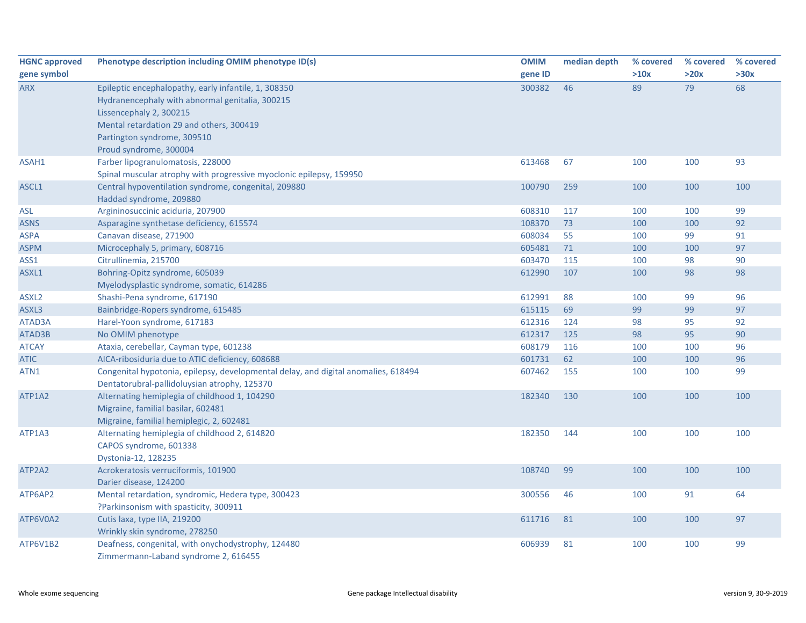| <b>HGNC approved</b> | Phenotype description including OMIM phenotype ID(s)                                                                               | <b>OMIM</b> | median depth | % covered | % covered | % covered |
|----------------------|------------------------------------------------------------------------------------------------------------------------------------|-------------|--------------|-----------|-----------|-----------|
| gene symbol          |                                                                                                                                    | gene ID     |              | >10x      | >20x      | >30x      |
| <b>ARX</b>           | Epileptic encephalopathy, early infantile, 1, 308350<br>Hydranencephaly with abnormal genitalia, 300215<br>Lissencephaly 2, 300215 | 300382      | 46           | 89        | 79        | 68        |
|                      | Mental retardation 29 and others, 300419                                                                                           |             |              |           |           |           |
|                      | Partington syndrome, 309510                                                                                                        |             |              |           |           |           |
|                      | Proud syndrome, 300004                                                                                                             |             |              |           |           |           |
| ASAH1                | Farber lipogranulomatosis, 228000                                                                                                  | 613468      | 67           | 100       | 100       | 93        |
|                      | Spinal muscular atrophy with progressive myoclonic epilepsy, 159950                                                                |             |              |           |           |           |
| ASCL1                | Central hypoventilation syndrome, congenital, 209880<br>Haddad syndrome, 209880                                                    | 100790      | 259          | 100       | 100       | 100       |
| ASL                  | Argininosuccinic aciduria, 207900                                                                                                  | 608310      | 117          | 100       | 100       | 99        |
| <b>ASNS</b>          | Asparagine synthetase deficiency, 615574                                                                                           | 108370      | 73           | 100       | 100       | 92        |
| ASPA                 | Canavan disease, 271900                                                                                                            | 608034      | 55           | 100       | 99        | 91        |
| <b>ASPM</b>          | Microcephaly 5, primary, 608716                                                                                                    | 605481      | 71           | 100       | 100       | 97        |
| ASS1                 | Citrullinemia, 215700                                                                                                              | 603470      | 115          | 100       | 98        | 90        |
| ASXL1                | Bohring-Opitz syndrome, 605039                                                                                                     | 612990      | 107          | 100       | 98        | 98        |
|                      | Myelodysplastic syndrome, somatic, 614286                                                                                          |             |              |           |           |           |
| ASXL <sub>2</sub>    | Shashi-Pena syndrome, 617190                                                                                                       | 612991      | 88           | 100       | 99        | 96        |
| ASXL3                | Bainbridge-Ropers syndrome, 615485                                                                                                 | 615115      | 69           | 99        | 99        | 97        |
| ATAD3A               | Harel-Yoon syndrome, 617183                                                                                                        | 612316      | 124          | 98        | 95        | 92        |
| ATAD3B               | No OMIM phenotype                                                                                                                  | 612317      | 125          | 98        | 95        | 90        |
| <b>ATCAY</b>         | Ataxia, cerebellar, Cayman type, 601238                                                                                            | 608179      | 116          | 100       | 100       | 96        |
| <b>ATIC</b>          | AICA-ribosiduria due to ATIC deficiency, 608688                                                                                    | 601731      | 62           | 100       | 100       | 96        |
| ATN1                 | Congenital hypotonia, epilepsy, developmental delay, and digital anomalies, 618494<br>Dentatorubral-pallidoluysian atrophy, 125370 | 607462      | 155          | 100       | 100       | 99        |
| ATP1A2               | Alternating hemiplegia of childhood 1, 104290<br>Migraine, familial basilar, 602481<br>Migraine, familial hemiplegic, 2, 602481    | 182340      | 130          | 100       | 100       | 100       |
| ATP1A3               | Alternating hemiplegia of childhood 2, 614820<br>CAPOS syndrome, 601338<br>Dystonia-12, 128235                                     | 182350      | 144          | 100       | 100       | 100       |
| ATP2A2               | Acrokeratosis verruciformis, 101900<br>Darier disease, 124200                                                                      | 108740      | 99           | 100       | 100       | 100       |
| ATP6AP2              | Mental retardation, syndromic, Hedera type, 300423<br>?Parkinsonism with spasticity, 300911                                        | 300556      | 46           | 100       | 91        | 64        |
| ATP6V0A2             | Cutis laxa, type IIA, 219200<br>Wrinkly skin syndrome, 278250                                                                      | 611716      | 81           | 100       | 100       | 97        |
| ATP6V1B2             | Deafness, congenital, with onychodystrophy, 124480<br>Zimmermann-Laband syndrome 2, 616455                                         | 606939      | 81           | 100       | 100       | 99        |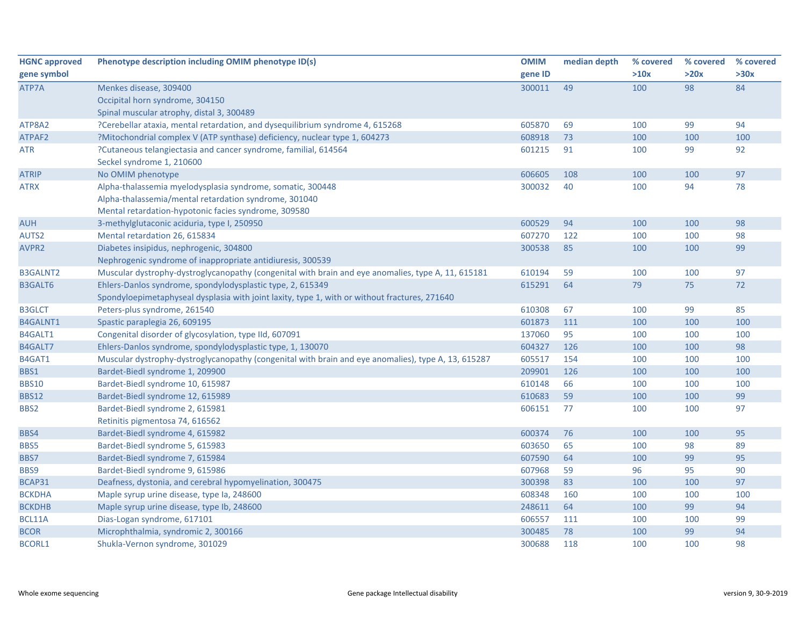| <b>HGNC approved</b> | Phenotype description including OMIM phenotype ID(s)                                                | <b>OMIM</b> | median depth | % covered | % covered | % covered |
|----------------------|-----------------------------------------------------------------------------------------------------|-------------|--------------|-----------|-----------|-----------|
| gene symbol          |                                                                                                     | gene ID     |              | >10x      | >20x      | >30x      |
| ATP7A                | Menkes disease, 309400                                                                              | 300011      | 49           | 100       | 98        | 84        |
|                      | Occipital horn syndrome, 304150                                                                     |             |              |           |           |           |
|                      | Spinal muscular atrophy, distal 3, 300489                                                           |             |              |           |           |           |
| ATP8A2               | ?Cerebellar ataxia, mental retardation, and dysequilibrium syndrome 4, 615268                       | 605870      | 69           | 100       | 99        | 94        |
| ATPAF2               | ?Mitochondrial complex V (ATP synthase) deficiency, nuclear type 1, 604273                          | 608918      | 73           | 100       | 100       | 100       |
| ATR                  | ?Cutaneous telangiectasia and cancer syndrome, familial, 614564                                     | 601215      | 91           | 100       | 99        | 92        |
|                      | Seckel syndrome 1, 210600                                                                           |             |              |           |           |           |
| <b>ATRIP</b>         | No OMIM phenotype                                                                                   | 606605      | 108          | 100       | 100       | 97        |
| <b>ATRX</b>          | Alpha-thalassemia myelodysplasia syndrome, somatic, 300448                                          | 300032      | 40           | 100       | 94        | 78        |
|                      | Alpha-thalassemia/mental retardation syndrome, 301040                                               |             |              |           |           |           |
|                      | Mental retardation-hypotonic facies syndrome, 309580                                                |             |              |           |           |           |
| <b>AUH</b>           | 3-methylglutaconic aciduria, type I, 250950                                                         | 600529      | 94           | 100       | 100       | 98        |
| AUTS2                | Mental retardation 26, 615834                                                                       | 607270      | 122          | 100       | 100       | 98        |
| AVPR2                | Diabetes insipidus, nephrogenic, 304800                                                             | 300538      | 85           | 100       | 100       | 99        |
|                      | Nephrogenic syndrome of inappropriate antidiuresis, 300539                                          |             |              |           |           |           |
| <b>B3GALNT2</b>      | Muscular dystrophy-dystroglycanopathy (congenital with brain and eye anomalies, type A, 11, 615181  | 610194      | 59           | 100       | 100       | 97        |
| B3GALT6              | Ehlers-Danlos syndrome, spondylodysplastic type, 2, 615349                                          | 615291      | 64           | 79        | 75        | 72        |
|                      | Spondyloepimetaphyseal dysplasia with joint laxity, type 1, with or without fractures, 271640       |             |              |           |           |           |
| <b>B3GLCT</b>        | Peters-plus syndrome, 261540                                                                        | 610308      | 67           | 100       | 99        | 85        |
| B4GALNT1             | Spastic paraplegia 26, 609195                                                                       | 601873      | 111          | 100       | 100       | 100       |
| B4GALT1              | Congenital disorder of glycosylation, type IId, 607091                                              | 137060      | 95           | 100       | 100       | 100       |
| B4GALT7              | Ehlers-Danlos syndrome, spondylodysplastic type, 1, 130070                                          | 604327      | 126          | 100       | 100       | 98        |
| B4GAT1               | Muscular dystrophy-dystroglycanopathy (congenital with brain and eye anomalies), type A, 13, 615287 | 605517      | 154          | 100       | 100       | 100       |
| BBS1                 | Bardet-Biedl syndrome 1, 209900                                                                     | 209901      | 126          | 100       | 100       | 100       |
| <b>BBS10</b>         | Bardet-Biedl syndrome 10, 615987                                                                    | 610148      | 66           | 100       | 100       | 100       |
| <b>BBS12</b>         | Bardet-Biedl syndrome 12, 615989                                                                    | 610683      | 59           | 100       | 100       | 99        |
| BBS2                 | Bardet-Biedl syndrome 2, 615981                                                                     | 606151      | 77           | 100       | 100       | 97        |
|                      | Retinitis pigmentosa 74, 616562                                                                     |             |              |           |           |           |
| BBS4                 | Bardet-Biedl syndrome 4, 615982                                                                     | 600374      | 76           | 100       | 100       | 95        |
| BBS5                 | Bardet-Biedl syndrome 5, 615983                                                                     | 603650      | 65           | 100       | 98        | 89        |
| BBS7                 | Bardet-Biedl syndrome 7, 615984                                                                     | 607590      | 64           | 100       | 99        | 95        |
| BBS9                 | Bardet-Biedl syndrome 9, 615986                                                                     | 607968      | 59           | 96        | 95        | 90        |
| BCAP31               | Deafness, dystonia, and cerebral hypomyelination, 300475                                            | 300398      | 83           | 100       | 100       | 97        |
| <b>BCKDHA</b>        | Maple syrup urine disease, type Ia, 248600                                                          | 608348      | 160          | 100       | 100       | 100       |
| <b>BCKDHB</b>        | Maple syrup urine disease, type Ib, 248600                                                          | 248611      | 64           | 100       | 99        | 94        |
| BCL11A               | Dias-Logan syndrome, 617101                                                                         | 606557      | 111          | 100       | 100       | 99        |
| <b>BCOR</b>          | Microphthalmia, syndromic 2, 300166                                                                 | 300485      | 78           | 100       | 99        | 94        |
| <b>BCORL1</b>        | Shukla-Vernon syndrome, 301029                                                                      | 300688      | 118          | 100       | 100       | 98        |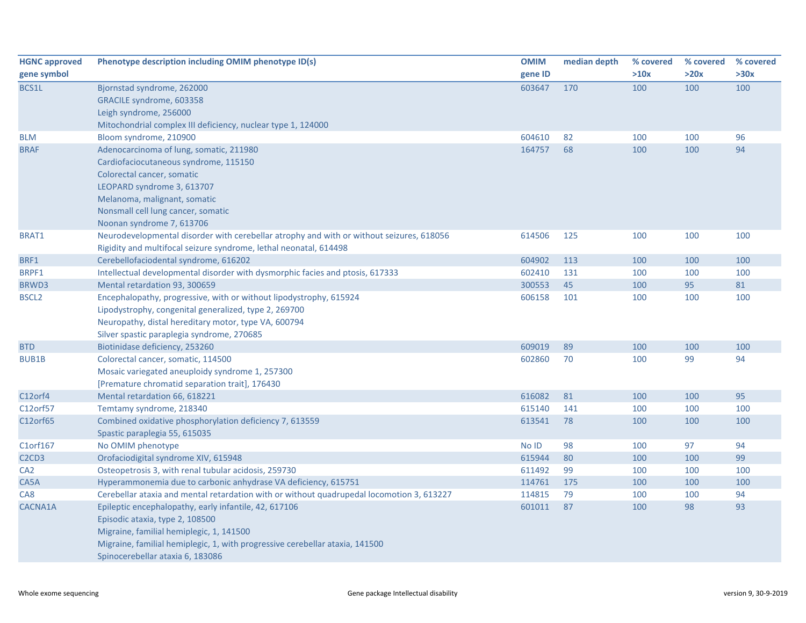| <b>HGNC approved</b>                       | Phenotype description including OMIM phenotype ID(s)                                      | <b>OMIM</b> | median depth | % covered | % covered | % covered |
|--------------------------------------------|-------------------------------------------------------------------------------------------|-------------|--------------|-----------|-----------|-----------|
| gene symbol                                |                                                                                           | gene ID     |              | >10x      | >20x      | >30x      |
| BCS1L                                      | Bjornstad syndrome, 262000                                                                | 603647      | 170          | 100       | 100       | 100       |
|                                            | GRACILE syndrome, 603358                                                                  |             |              |           |           |           |
|                                            | Leigh syndrome, 256000                                                                    |             |              |           |           |           |
|                                            | Mitochondrial complex III deficiency, nuclear type 1, 124000                              |             |              |           |           |           |
| <b>BLM</b>                                 | Bloom syndrome, 210900                                                                    | 604610      | 82           | 100       | 100       | 96        |
| <b>BRAF</b>                                | Adenocarcinoma of lung, somatic, 211980                                                   | 164757      | 68           | 100       | 100       | 94        |
|                                            | Cardiofaciocutaneous syndrome, 115150                                                     |             |              |           |           |           |
|                                            | Colorectal cancer, somatic                                                                |             |              |           |           |           |
|                                            | LEOPARD syndrome 3, 613707                                                                |             |              |           |           |           |
|                                            | Melanoma, malignant, somatic                                                              |             |              |           |           |           |
|                                            | Nonsmall cell lung cancer, somatic                                                        |             |              |           |           |           |
|                                            | Noonan syndrome 7, 613706                                                                 |             |              |           |           |           |
| BRAT1                                      | Neurodevelopmental disorder with cerebellar atrophy and with or without seizures, 618056  | 614506      | 125          | 100       | 100       | 100       |
|                                            | Rigidity and multifocal seizure syndrome, lethal neonatal, 614498                         |             |              |           |           |           |
| BRF1                                       | Cerebellofaciodental syndrome, 616202                                                     | 604902      | 113          | 100       | 100       | 100       |
| BRPF1                                      | Intellectual developmental disorder with dysmorphic facies and ptosis, 617333             | 602410      | 131          | 100       | 100       | 100       |
| <b>BRWD3</b>                               | Mental retardation 93, 300659                                                             | 300553      | 45           | 100       | 95        | 81        |
| <b>BSCL2</b>                               | Encephalopathy, progressive, with or without lipodystrophy, 615924                        | 606158      | 101          | 100       | 100       | 100       |
|                                            | Lipodystrophy, congenital generalized, type 2, 269700                                     |             |              |           |           |           |
|                                            | Neuropathy, distal hereditary motor, type VA, 600794                                      |             |              |           |           |           |
|                                            | Silver spastic paraplegia syndrome, 270685                                                |             |              |           |           |           |
| <b>BTD</b>                                 | Biotinidase deficiency, 253260                                                            | 609019      | 89           | 100       | 100       | 100       |
| <b>BUB1B</b>                               | Colorectal cancer, somatic, 114500                                                        | 602860      | 70           | 100       | 99        | 94        |
|                                            | Mosaic variegated aneuploidy syndrome 1, 257300                                           |             |              |           |           |           |
|                                            | [Premature chromatid separation trait], 176430                                            |             |              |           |           |           |
| C12orf4                                    | Mental retardation 66, 618221                                                             | 616082      | 81           | 100       | 100       | 95        |
| C12orf57                                   | Temtamy syndrome, 218340                                                                  | 615140      | 141          | 100       | 100       | 100       |
| C12orf65                                   | Combined oxidative phosphorylation deficiency 7, 613559                                   | 613541      | 78           | 100       | 100       | 100       |
|                                            | Spastic paraplegia 55, 615035                                                             |             |              |           |           |           |
| C1orf167                                   | No OMIM phenotype                                                                         | No ID       | 98           | 100       | 97        | 94        |
| C <sub>2</sub> C <sub>D</sub> <sub>3</sub> | Orofaciodigital syndrome XIV, 615948                                                      | 615944      | 80           | 100       | 100       | 99        |
| CA <sub>2</sub>                            | Osteopetrosis 3, with renal tubular acidosis, 259730                                      | 611492      | 99           | 100       | 100       | 100       |
| CA5A                                       | Hyperammonemia due to carbonic anhydrase VA deficiency, 615751                            | 114761      | 175          | 100       | 100       | 100       |
| CA8                                        | Cerebellar ataxia and mental retardation with or without quadrupedal locomotion 3, 613227 | 114815      | 79           | 100       | 100       | 94        |
| CACNA1A                                    | Epileptic encephalopathy, early infantile, 42, 617106                                     | 601011      | 87           | 100       | 98        | 93        |
|                                            | Episodic ataxia, type 2, 108500                                                           |             |              |           |           |           |
|                                            | Migraine, familial hemiplegic, 1, 141500                                                  |             |              |           |           |           |
|                                            | Migraine, familial hemiplegic, 1, with progressive cerebellar ataxia, 141500              |             |              |           |           |           |
|                                            | Spinocerebellar ataxia 6, 183086                                                          |             |              |           |           |           |
|                                            |                                                                                           |             |              |           |           |           |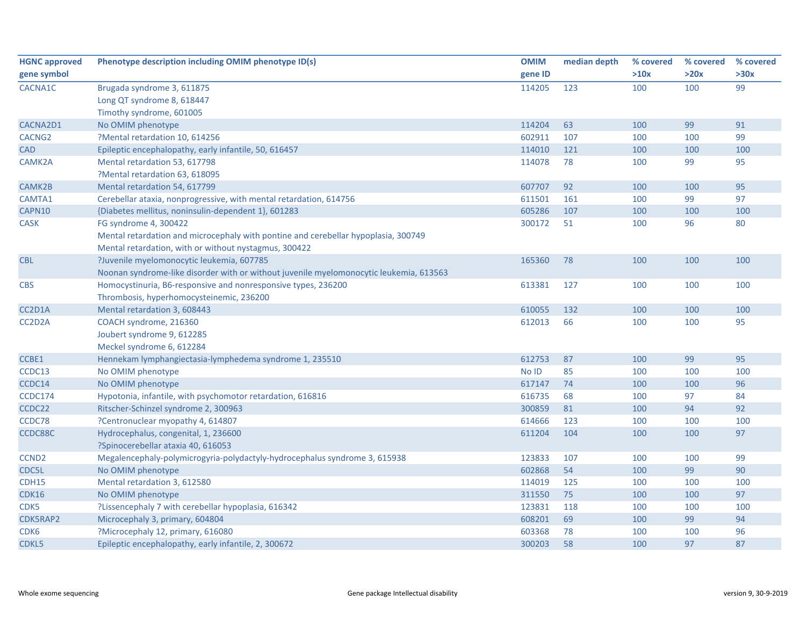| <b>HGNC approved</b> | Phenotype description including OMIM phenotype ID(s)                                   | <b>OMIM</b> | median depth | % covered | % covered | % covered |
|----------------------|----------------------------------------------------------------------------------------|-------------|--------------|-----------|-----------|-----------|
| gene symbol          |                                                                                        | gene ID     |              | >10x      | >20x      | >30x      |
| CACNA1C              | Brugada syndrome 3, 611875                                                             | 114205      | 123          | 100       | 100       | 99        |
|                      | Long QT syndrome 8, 618447                                                             |             |              |           |           |           |
|                      | Timothy syndrome, 601005                                                               |             |              |           |           |           |
| CACNA2D1             | No OMIM phenotype                                                                      | 114204      | 63           | 100       | 99        | 91        |
| CACNG <sub>2</sub>   | ?Mental retardation 10, 614256                                                         | 602911      | 107          | 100       | 100       | 99        |
| CAD                  | Epileptic encephalopathy, early infantile, 50, 616457                                  | 114010      | 121          | 100       | 100       | 100       |
| CAMK2A               | Mental retardation 53, 617798                                                          | 114078      | 78           | 100       | 99        | 95        |
|                      | ?Mental retardation 63, 618095                                                         |             |              |           |           |           |
| CAMK2B               | Mental retardation 54, 617799                                                          | 607707      | 92           | 100       | 100       | 95        |
| CAMTA1               | Cerebellar ataxia, nonprogressive, with mental retardation, 614756                     | 611501      | 161          | 100       | 99        | 97        |
| CAPN10               | {Diabetes mellitus, noninsulin-dependent 1}, 601283                                    | 605286      | 107          | 100       | 100       | 100       |
| <b>CASK</b>          | FG syndrome 4, 300422                                                                  | 300172      | 51           | 100       | 96        | 80        |
|                      | Mental retardation and microcephaly with pontine and cerebellar hypoplasia, 300749     |             |              |           |           |           |
|                      | Mental retardation, with or without nystagmus, 300422                                  |             |              |           |           |           |
| <b>CBL</b>           | ?Juvenile myelomonocytic leukemia, 607785                                              | 165360      | 78           | 100       | 100       | 100       |
|                      | Noonan syndrome-like disorder with or without juvenile myelomonocytic leukemia, 613563 |             |              |           |           |           |
| <b>CBS</b>           | Homocystinuria, B6-responsive and nonresponsive types, 236200                          | 613381      | 127          | 100       | 100       | 100       |
|                      | Thrombosis, hyperhomocysteinemic, 236200                                               |             |              |           |           |           |
| CC2D1A               | Mental retardation 3, 608443                                                           | 610055      | 132          | 100       | 100       | 100       |
| CC2D2A               | COACH syndrome, 216360                                                                 | 612013      | 66           | 100       | 100       | 95        |
|                      | Joubert syndrome 9, 612285                                                             |             |              |           |           |           |
|                      | Meckel syndrome 6, 612284                                                              |             |              |           |           |           |
| CCBE1                | Hennekam lymphangiectasia-lymphedema syndrome 1, 235510                                | 612753      | 87           | 100       | 99        | 95        |
| CCDC13               | No OMIM phenotype                                                                      | No ID       | 85           | 100       | 100       | 100       |
| CCDC14               | No OMIM phenotype                                                                      | 617147      | 74           | 100       | 100       | 96        |
| CCDC174              | Hypotonia, infantile, with psychomotor retardation, 616816                             | 616735      | 68           | 100       | 97        | 84        |
| CCDC22               | Ritscher-Schinzel syndrome 2, 300963                                                   | 300859      | 81           | 100       | 94        | 92        |
| CCDC78               | ?Centronuclear myopathy 4, 614807                                                      | 614666      | 123          | 100       | 100       | 100       |
| CCDC88C              | Hydrocephalus, congenital, 1, 236600                                                   | 611204      | 104          | 100       | 100       | 97        |
|                      | ?Spinocerebellar ataxia 40, 616053                                                     |             |              |           |           |           |
| CCND <sub>2</sub>    | Megalencephaly-polymicrogyria-polydactyly-hydrocephalus syndrome 3, 615938             | 123833      | 107          | 100       | 100       | 99        |
| CDC5L                | No OMIM phenotype                                                                      | 602868      | 54           | 100       | 99        | 90        |
| CDH15                | Mental retardation 3, 612580                                                           | 114019      | 125          | 100       | 100       | 100       |
| <b>CDK16</b>         | No OMIM phenotype                                                                      | 311550      | 75           | 100       | 100       | 97        |
| CDK5                 | ?Lissencephaly 7 with cerebellar hypoplasia, 616342                                    | 123831      | 118          | 100       | 100       | 100       |
| CDK5RAP2             | Microcephaly 3, primary, 604804                                                        | 608201      | 69           | 100       | 99        | 94        |
| CDK6                 | ?Microcephaly 12, primary, 616080                                                      | 603368      | 78           | 100       | 100       | 96        |
| CDKL5                | Epileptic encephalopathy, early infantile, 2, 300672                                   | 300203      | 58           | 100       | 97        | 87        |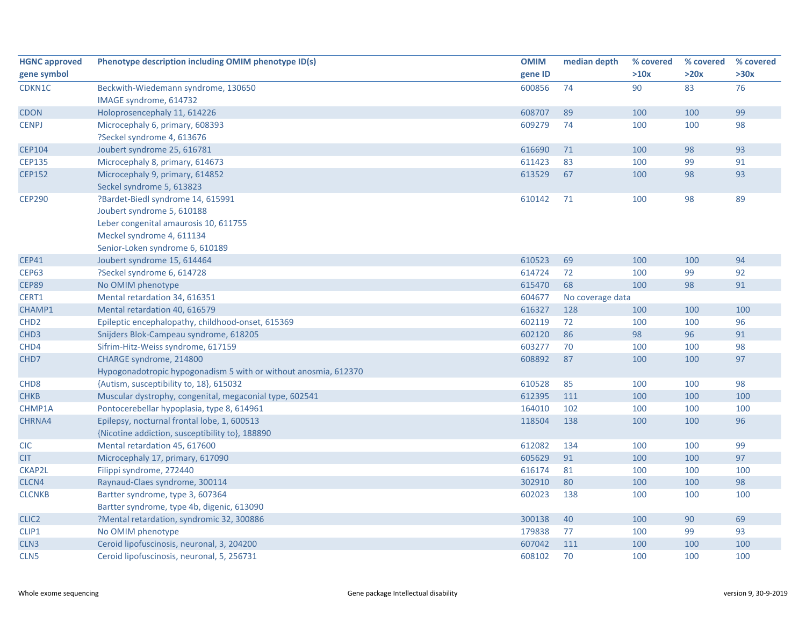| <b>HGNC approved</b> | Phenotype description including OMIM phenotype ID(s)            | <b>OMIM</b> | median depth     | % covered | % covered | % covered |  |
|----------------------|-----------------------------------------------------------------|-------------|------------------|-----------|-----------|-----------|--|
| gene symbol          |                                                                 | gene ID     |                  | >10x      | >20x      | >30x      |  |
| CDKN1C               | Beckwith-Wiedemann syndrome, 130650                             | 600856      | 74               | 90        | 83        | 76        |  |
|                      | IMAGE syndrome, 614732                                          |             |                  |           |           |           |  |
| <b>CDON</b>          | Holoprosencephaly 11, 614226                                    | 608707      | 89               | 100       | 100       | 99        |  |
| <b>CENPJ</b>         | Microcephaly 6, primary, 608393                                 | 609279      | 74               | 100       | 100       | 98        |  |
|                      | ?Seckel syndrome 4, 613676                                      |             |                  |           |           |           |  |
| <b>CEP104</b>        | Joubert syndrome 25, 616781                                     | 616690      | 71               | 100       | 98        | 93        |  |
| <b>CEP135</b>        | Microcephaly 8, primary, 614673                                 | 611423      | 83               | 100       | 99        | 91        |  |
| <b>CEP152</b>        | Microcephaly 9, primary, 614852                                 | 613529      | 67               | 100       | 98        | 93        |  |
|                      | Seckel syndrome 5, 613823                                       |             |                  |           |           |           |  |
| <b>CEP290</b>        | ?Bardet-Biedl syndrome 14, 615991                               | 610142      | 71               | 100       | 98        | 89        |  |
|                      | Joubert syndrome 5, 610188                                      |             |                  |           |           |           |  |
|                      | Leber congenital amaurosis 10, 611755                           |             |                  |           |           |           |  |
|                      | Meckel syndrome 4, 611134                                       |             |                  |           |           |           |  |
|                      | Senior-Loken syndrome 6, 610189                                 |             |                  |           |           |           |  |
| <b>CEP41</b>         | Joubert syndrome 15, 614464                                     | 610523      | 69               | 100       | 100       | 94        |  |
| <b>CEP63</b>         | ?Seckel syndrome 6, 614728                                      | 614724      | 72               | 100       | 99        | 92        |  |
| <b>CEP89</b>         | No OMIM phenotype                                               | 615470      | 68               | 100       | 98        | 91        |  |
| CERT1                | Mental retardation 34, 616351                                   | 604677      | No coverage data |           |           |           |  |
| CHAMP1               | Mental retardation 40, 616579                                   | 616327      | 128              | 100       | 100       | 100       |  |
| CHD <sub>2</sub>     | Epileptic encephalopathy, childhood-onset, 615369               | 602119      | 72               | 100       | 100       | 96        |  |
| CHD <sub>3</sub>     | Snijders Blok-Campeau syndrome, 618205                          | 602120      | 86               | 98        | 96        | 91        |  |
| CHD4                 | Sifrim-Hitz-Weiss syndrome, 617159                              | 603277      | 70               | 100       | 100       | 98        |  |
| CHD7                 | CHARGE syndrome, 214800                                         | 608892      | 87               | 100       | 100       | 97        |  |
|                      | Hypogonadotropic hypogonadism 5 with or without anosmia, 612370 |             |                  |           |           |           |  |
| CHD <sub>8</sub>     | {Autism, susceptibility to, 18}, 615032                         | 610528      | 85               | 100       | 100       | 98        |  |
| <b>CHKB</b>          | Muscular dystrophy, congenital, megaconial type, 602541         | 612395      | 111              | 100       | 100       | 100       |  |
| CHMP1A               | Pontocerebellar hypoplasia, type 8, 614961                      | 164010      | 102              | 100       | 100       | 100       |  |
| CHRNA4               | Epilepsy, nocturnal frontal lobe, 1, 600513                     | 118504      | 138              | 100       | 100       | 96        |  |
|                      | {Nicotine addiction, susceptibility to}, 188890                 |             |                  |           |           |           |  |
| CIC                  | Mental retardation 45, 617600                                   | 612082      | 134              | 100       | 100       | 99        |  |
| <b>CIT</b>           | Microcephaly 17, primary, 617090                                | 605629      | 91               | 100       | 100       | 97        |  |
| CKAP2L               | Filippi syndrome, 272440                                        | 616174      | 81               | 100       | 100       | 100       |  |
| CLCN4                | Raynaud-Claes syndrome, 300114                                  | 302910      | 80               | 100       | 100       | 98        |  |
| <b>CLCNKB</b>        | Bartter syndrome, type 3, 607364                                | 602023      | 138              | 100       | 100       | 100       |  |
|                      | Bartter syndrome, type 4b, digenic, 613090                      |             |                  |           |           |           |  |
| CLIC <sub>2</sub>    | ?Mental retardation, syndromic 32, 300886                       | 300138      | 40               | 100       | 90        | 69        |  |
| CLIP1                | No OMIM phenotype                                               | 179838      | 77               | 100       | 99        | 93        |  |
| CLN <sub>3</sub>     | Ceroid lipofuscinosis, neuronal, 3, 204200                      | 607042      | 111              | 100       | 100       | 100       |  |
| CLN <sub>5</sub>     | Ceroid lipofuscinosis, neuronal, 5, 256731                      | 608102      | 70               | 100       | 100       | 100       |  |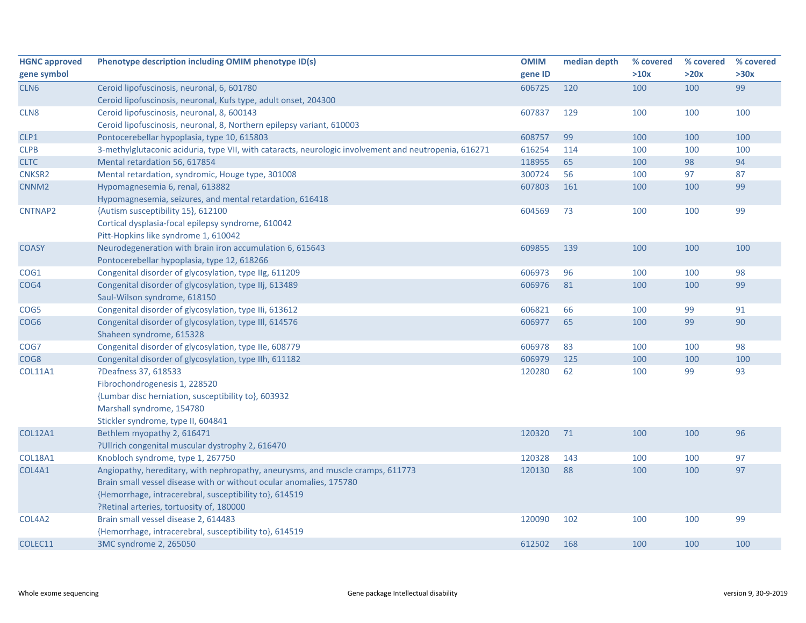| <b>HGNC approved</b> | Phenotype description including OMIM phenotype ID(s)                                                  | <b>OMIM</b> | median depth | % covered | % covered | % covered |
|----------------------|-------------------------------------------------------------------------------------------------------|-------------|--------------|-----------|-----------|-----------|
| gene symbol          |                                                                                                       | gene ID     |              | >10x      | >20x      | >30x      |
| CLN <sub>6</sub>     | Ceroid lipofuscinosis, neuronal, 6, 601780                                                            | 606725      | 120          | 100       | 100       | 99        |
|                      | Ceroid lipofuscinosis, neuronal, Kufs type, adult onset, 204300                                       |             |              |           |           |           |
| CLN8                 | Ceroid lipofuscinosis, neuronal, 8, 600143                                                            | 607837      | 129          | 100       | 100       | 100       |
|                      | Ceroid lipofuscinosis, neuronal, 8, Northern epilepsy variant, 610003                                 |             |              |           |           |           |
| CLP1                 | Pontocerebellar hypoplasia, type 10, 615803                                                           | 608757      | 99           | 100       | 100       | 100       |
| <b>CLPB</b>          | 3-methylglutaconic aciduria, type VII, with cataracts, neurologic involvement and neutropenia, 616271 | 616254      | 114          | 100       | 100       | 100       |
| <b>CLTC</b>          | Mental retardation 56, 617854                                                                         | 118955      | 65           | 100       | 98        | 94        |
| CNKSR2               | Mental retardation, syndromic, Houge type, 301008                                                     | 300724      | 56           | 100       | 97        | 87        |
| CNNM <sub>2</sub>    | Hypomagnesemia 6, renal, 613882                                                                       | 607803      | 161          | 100       | 100       | 99        |
|                      | Hypomagnesemia, seizures, and mental retardation, 616418                                              |             |              |           |           |           |
| CNTNAP2              | {Autism susceptibility 15}, 612100                                                                    | 604569      | 73           | 100       | 100       | 99        |
|                      | Cortical dysplasia-focal epilepsy syndrome, 610042                                                    |             |              |           |           |           |
|                      | Pitt-Hopkins like syndrome 1, 610042                                                                  |             |              |           |           |           |
| <b>COASY</b>         | Neurodegeneration with brain iron accumulation 6, 615643                                              | 609855      | 139          | 100       | 100       | 100       |
|                      | Pontocerebellar hypoplasia, type 12, 618266                                                           |             |              |           |           |           |
| COG1                 | Congenital disorder of glycosylation, type IIg, 611209                                                | 606973      | 96           | 100       | 100       | 98        |
| COG4                 | Congenital disorder of glycosylation, type IIj, 613489                                                | 606976      | 81           | 100       | 100       | 99        |
|                      | Saul-Wilson syndrome, 618150                                                                          |             |              |           |           |           |
| COG5                 | Congenital disorder of glycosylation, type IIi, 613612                                                | 606821      | 66           | 100       | 99        | 91        |
| COG6                 | Congenital disorder of glycosylation, type III, 614576                                                | 606977      | 65           | 100       | 99        | 90        |
|                      | Shaheen syndrome, 615328                                                                              |             |              |           |           |           |
| COG7                 | Congenital disorder of glycosylation, type IIe, 608779                                                | 606978      | 83           | 100       | 100       | 98        |
| COG8                 | Congenital disorder of glycosylation, type IIh, 611182                                                | 606979      | 125          | 100       | 100       | 100       |
| <b>COL11A1</b>       | ?Deafness 37, 618533                                                                                  | 120280      | 62           | 100       | 99        | 93        |
|                      | Fibrochondrogenesis 1, 228520                                                                         |             |              |           |           |           |
|                      | {Lumbar disc herniation, susceptibility to}, 603932                                                   |             |              |           |           |           |
|                      | Marshall syndrome, 154780                                                                             |             |              |           |           |           |
|                      | Stickler syndrome, type II, 604841                                                                    |             |              |           |           |           |
| <b>COL12A1</b>       | Bethlem myopathy 2, 616471                                                                            | 120320      | 71           | 100       | 100       | 96        |
|                      | ?Ullrich congenital muscular dystrophy 2, 616470                                                      |             |              |           |           |           |
| <b>COL18A1</b>       | Knobloch syndrome, type 1, 267750                                                                     | 120328      | 143          | 100       | 100       | 97        |
| COL4A1               | Angiopathy, hereditary, with nephropathy, aneurysms, and muscle cramps, 611773                        | 120130      | 88           | 100       | 100       | 97        |
|                      | Brain small vessel disease with or without ocular anomalies, 175780                                   |             |              |           |           |           |
|                      | {Hemorrhage, intracerebral, susceptibility to}, 614519                                                |             |              |           |           |           |
|                      | ?Retinal arteries, tortuosity of, 180000                                                              |             |              |           |           |           |
| COL4A2               | Brain small vessel disease 2, 614483                                                                  | 120090      | 102          | 100       | 100       | 99        |
|                      | {Hemorrhage, intracerebral, susceptibility to}, 614519                                                |             |              |           |           |           |
| COLEC11              | 3MC syndrome 2, 265050                                                                                | 612502      | 168          | 100       | 100       | 100       |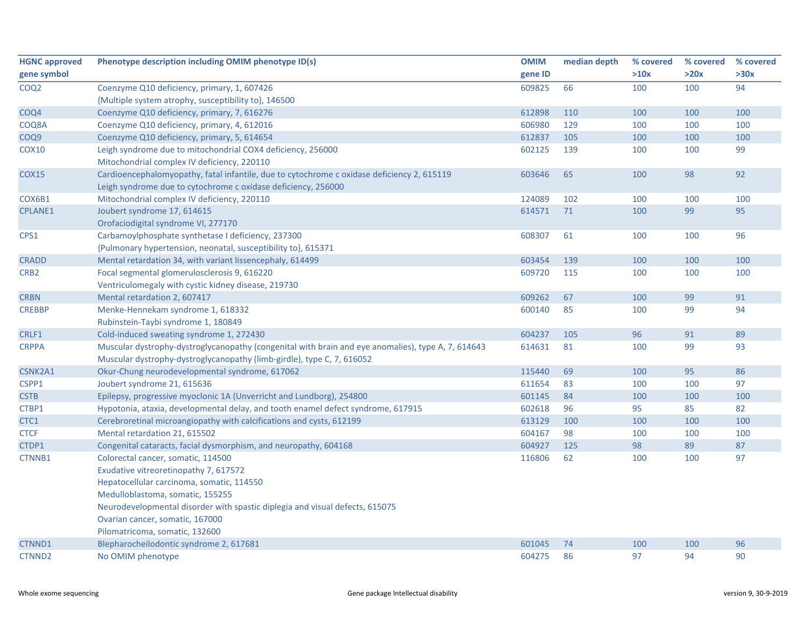| <b>HGNC approved</b> | Phenotype description including OMIM phenotype ID(s)                                               | <b>OMIM</b> | median depth | % covered | % covered | % covered |
|----------------------|----------------------------------------------------------------------------------------------------|-------------|--------------|-----------|-----------|-----------|
| gene symbol          |                                                                                                    | gene ID     |              | >10x      | >20x      | >30x      |
| COQ <sub>2</sub>     | Coenzyme Q10 deficiency, primary, 1, 607426                                                        | 609825      | 66           | 100       | 100       | 94        |
|                      | {Multiple system atrophy, susceptibility to}, 146500                                               |             |              |           |           |           |
| COQ4                 | Coenzyme Q10 deficiency, primary, 7, 616276                                                        | 612898      | 110          | 100       | 100       | 100       |
| COQ8A                | Coenzyme Q10 deficiency, primary, 4, 612016                                                        | 606980      | 129          | 100       | 100       | 100       |
| COQ9                 | Coenzyme Q10 deficiency, primary, 5, 614654                                                        | 612837      | 105          | 100       | 100       | 100       |
| <b>COX10</b>         | Leigh syndrome due to mitochondrial COX4 deficiency, 256000                                        | 602125      | 139          | 100       | 100       | 99        |
|                      | Mitochondrial complex IV deficiency, 220110                                                        |             |              |           |           |           |
| <b>COX15</b>         | Cardioencephalomyopathy, fatal infantile, due to cytochrome c oxidase deficiency 2, 615119         | 603646      | 65           | 100       | 98        | 92        |
|                      | Leigh syndrome due to cytochrome c oxidase deficiency, 256000                                      |             |              |           |           |           |
| COX6B1               | Mitochondrial complex IV deficiency, 220110                                                        | 124089      | 102          | 100       | 100       | 100       |
| <b>CPLANE1</b>       | Joubert syndrome 17, 614615                                                                        | 614571      | 71           | 100       | 99        | 95        |
|                      | Orofaciodigital syndrome VI, 277170                                                                |             |              |           |           |           |
| CPS1                 | Carbamoylphosphate synthetase I deficiency, 237300                                                 | 608307      | 61           | 100       | 100       | 96        |
|                      | {Pulmonary hypertension, neonatal, susceptibility to}, 615371                                      |             |              |           |           |           |
| <b>CRADD</b>         | Mental retardation 34, with variant lissencephaly, 614499                                          | 603454      | 139          | 100       | 100       | 100       |
| CRB <sub>2</sub>     | Focal segmental glomerulosclerosis 9, 616220                                                       | 609720      | 115          | 100       | 100       | 100       |
|                      | Ventriculomegaly with cystic kidney disease, 219730                                                |             |              |           |           |           |
| <b>CRBN</b>          | Mental retardation 2, 607417                                                                       | 609262      | 67           | 100       | 99        | 91        |
| <b>CREBBP</b>        | Menke-Hennekam syndrome 1, 618332                                                                  | 600140      | 85           | 100       | 99        | 94        |
|                      | Rubinstein-Taybi syndrome 1, 180849                                                                |             |              |           |           |           |
| CRLF1                | Cold-induced sweating syndrome 1, 272430                                                           | 604237      | 105          | 96        | 91        | 89        |
| <b>CRPPA</b>         | Muscular dystrophy-dystroglycanopathy (congenital with brain and eye anomalies), type A, 7, 614643 | 614631      | 81           | 100       | 99        | 93        |
|                      | Muscular dystrophy-dystroglycanopathy (limb-girdle), type C, 7, 616052                             |             |              |           |           |           |
| CSNK2A1              | Okur-Chung neurodevelopmental syndrome, 617062                                                     | 115440      | 69           | 100       | 95        | 86        |
| CSPP1                | Joubert syndrome 21, 615636                                                                        | 611654      | 83           | 100       | 100       | 97        |
| <b>CSTB</b>          | Epilepsy, progressive myoclonic 1A (Unverricht and Lundborg), 254800                               | 601145      | 84           | 100       | 100       | 100       |
| CTBP1                | Hypotonia, ataxia, developmental delay, and tooth enamel defect syndrome, 617915                   | 602618      | 96           | 95        | 85        | 82        |
| CTC1                 | Cerebroretinal microangiopathy with calcifications and cysts, 612199                               | 613129      | 100          | 100       | 100       | 100       |
| <b>CTCF</b>          | Mental retardation 21, 615502                                                                      | 604167      | 98           | 100       | 100       | 100       |
| CTDP1                | Congenital cataracts, facial dysmorphism, and neuropathy, 604168                                   | 604927      | 125          | 98        | 89        | 87        |
| CTNNB1               | Colorectal cancer, somatic, 114500                                                                 | 116806      | 62           | 100       | 100       | 97        |
|                      | Exudative vitreoretinopathy 7, 617572                                                              |             |              |           |           |           |
|                      | Hepatocellular carcinoma, somatic, 114550                                                          |             |              |           |           |           |
|                      | Medulloblastoma, somatic, 155255                                                                   |             |              |           |           |           |
|                      | Neurodevelopmental disorder with spastic diplegia and visual defects, 615075                       |             |              |           |           |           |
|                      | Ovarian cancer, somatic, 167000                                                                    |             |              |           |           |           |
|                      | Pilomatricoma, somatic, 132600                                                                     |             |              |           |           |           |
| CTNND1               | Blepharocheilodontic syndrome 2, 617681                                                            | 601045      | 74           | 100       | 100       | 96        |
| CTNND <sub>2</sub>   | No OMIM phenotype                                                                                  | 604275      | 86           | 97        | 94        | 90        |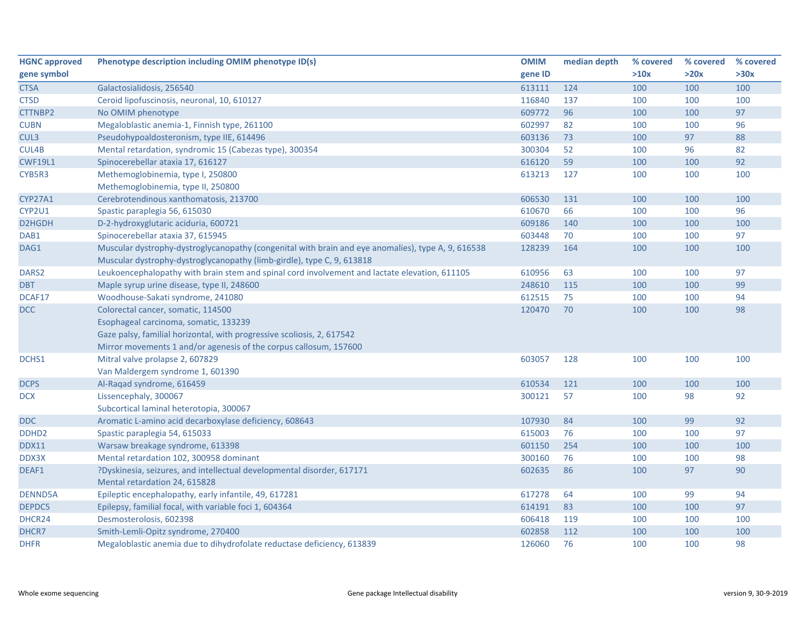| <b>HGNC approved</b> | Phenotype description including OMIM phenotype ID(s)                                               | <b>OMIM</b> | median depth | % covered | % covered | % covered |
|----------------------|----------------------------------------------------------------------------------------------------|-------------|--------------|-----------|-----------|-----------|
| gene symbol          |                                                                                                    | gene ID     |              | >10x      | >20x      | >30x      |
| <b>CTSA</b>          | Galactosialidosis, 256540                                                                          | 613111      | 124          | 100       | 100       | 100       |
| <b>CTSD</b>          | Ceroid lipofuscinosis, neuronal, 10, 610127                                                        | 116840      | 137          | 100       | 100       | 100       |
| CTTNBP2              | No OMIM phenotype                                                                                  | 609772      | 96           | 100       | 100       | 97        |
| <b>CUBN</b>          | Megaloblastic anemia-1, Finnish type, 261100                                                       | 602997      | 82           | 100       | 100       | 96        |
| CUL3                 | Pseudohypoaldosteronism, type IIE, 614496                                                          | 603136      | 73           | 100       | 97        | 88        |
| CUL4B                | Mental retardation, syndromic 15 (Cabezas type), 300354                                            | 300304      | 52           | 100       | 96        | 82        |
| <b>CWF19L1</b>       | Spinocerebellar ataxia 17, 616127                                                                  | 616120      | 59           | 100       | 100       | 92        |
| CYB5R3               | Methemoglobinemia, type I, 250800<br>Methemoglobinemia, type II, 250800                            | 613213      | 127          | 100       | 100       | 100       |
| CYP27A1              | Cerebrotendinous xanthomatosis, 213700                                                             | 606530      | 131          | 100       | 100       | 100       |
| CYP2U1               | Spastic paraplegia 56, 615030                                                                      | 610670      | 66           | 100       | 100       | 96        |
| D2HGDH               | D-2-hydroxyglutaric aciduria, 600721                                                               | 609186      | 140          | 100       | 100       | 100       |
| DAB1                 | Spinocerebellar ataxia 37, 615945                                                                  | 603448      | 70           | 100       | 100       | 97        |
| DAG1                 | Muscular dystrophy-dystroglycanopathy (congenital with brain and eye anomalies), type A, 9, 616538 | 128239      | 164          | 100       | 100       | 100       |
|                      | Muscular dystrophy-dystroglycanopathy (limb-girdle), type C, 9, 613818                             |             |              |           |           |           |
| DARS2                | Leukoencephalopathy with brain stem and spinal cord involvement and lactate elevation, 611105      | 610956      | 63           | 100       | 100       | 97        |
| <b>DBT</b>           | Maple syrup urine disease, type II, 248600                                                         | 248610      | 115          | 100       | 100       | 99        |
| DCAF17               | Woodhouse-Sakati syndrome, 241080                                                                  | 612515      | 75           | 100       | 100       | 94        |
| <b>DCC</b>           | Colorectal cancer, somatic, 114500                                                                 | 120470      | 70           | 100       | 100       | 98        |
|                      | Esophageal carcinoma, somatic, 133239                                                              |             |              |           |           |           |
|                      | Gaze palsy, familial horizontal, with progressive scoliosis, 2, 617542                             |             |              |           |           |           |
|                      | Mirror movements 1 and/or agenesis of the corpus callosum, 157600                                  |             |              |           |           |           |
| DCHS1                | Mitral valve prolapse 2, 607829                                                                    | 603057      | 128          | 100       | 100       | 100       |
|                      | Van Maldergem syndrome 1, 601390                                                                   |             |              |           |           |           |
| <b>DCPS</b>          | Al-Raqad syndrome, 616459                                                                          | 610534      | 121          | 100       | 100       | 100       |
| <b>DCX</b>           | Lissencephaly, 300067                                                                              | 300121      | 57           | 100       | 98        | 92        |
|                      | Subcortical laminal heterotopia, 300067                                                            |             |              |           |           |           |
| <b>DDC</b>           | Aromatic L-amino acid decarboxylase deficiency, 608643                                             | 107930      | 84           | 100       | 99        | 92        |
| DDHD <sub>2</sub>    | Spastic paraplegia 54, 615033                                                                      | 615003      | 76           | 100       | 100       | 97        |
| <b>DDX11</b>         | Warsaw breakage syndrome, 613398                                                                   | 601150      | 254          | 100       | 100       | 100       |
| DDX3X                | Mental retardation 102, 300958 dominant                                                            | 300160      | 76           | 100       | 100       | 98        |
| DEAF1                | ?Dyskinesia, seizures, and intellectual developmental disorder, 617171                             | 602635      | 86           | 100       | 97        | 90        |
|                      | Mental retardation 24, 615828                                                                      |             |              |           |           |           |
| <b>DENND5A</b>       | Epileptic encephalopathy, early infantile, 49, 617281                                              | 617278      | 64           | 100       | 99        | 94        |
| DEPDC5               | Epilepsy, familial focal, with variable foci 1, 604364                                             | 614191      | 83           | 100       | 100       | 97        |
| DHCR24               | Desmosterolosis, 602398                                                                            | 606418      | 119          | 100       | 100       | 100       |
| DHCR7                | Smith-Lemli-Opitz syndrome, 270400                                                                 | 602858      | 112          | 100       | 100       | 100       |
| <b>DHFR</b>          | Megaloblastic anemia due to dihydrofolate reductase deficiency, 613839                             | 126060      | 76           | 100       | 100       | 98        |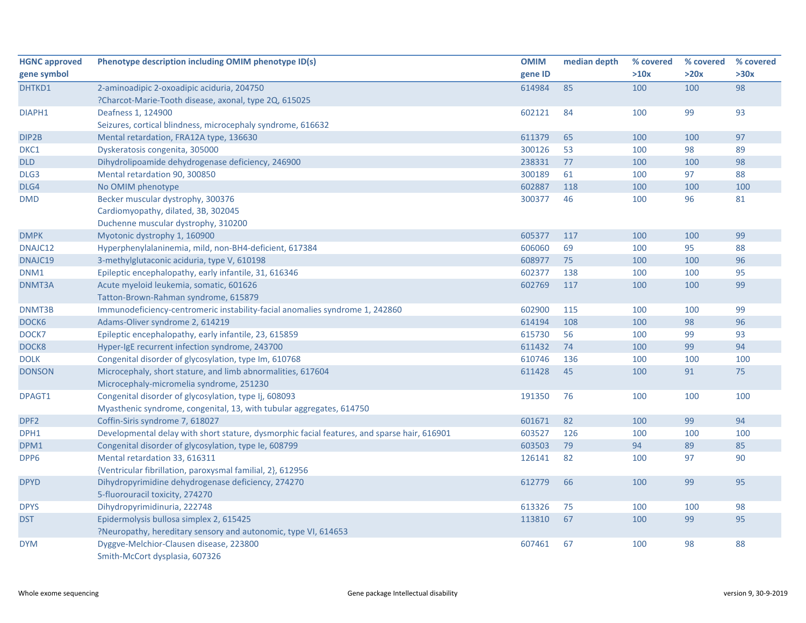| <b>HGNC approved</b> | Phenotype description including OMIM phenotype ID(s)                                        | <b>OMIM</b> | median depth | % covered | % covered | % covered |
|----------------------|---------------------------------------------------------------------------------------------|-------------|--------------|-----------|-----------|-----------|
| gene symbol          |                                                                                             | gene ID     |              | >10x      | >20x      | >30x      |
| DHTKD1               | 2-aminoadipic 2-oxoadipic aciduria, 204750                                                  | 614984      | 85           | 100       | 100       | 98        |
|                      | ?Charcot-Marie-Tooth disease, axonal, type 2Q, 615025                                       |             |              |           |           |           |
| DIAPH1               | Deafness 1, 124900                                                                          | 602121      | 84           | 100       | 99        | 93        |
|                      | Seizures, cortical blindness, microcephaly syndrome, 616632                                 |             |              |           |           |           |
| DIP2B                | Mental retardation, FRA12A type, 136630                                                     | 611379      | 65           | 100       | 100       | 97        |
| DKC1                 | Dyskeratosis congenita, 305000                                                              | 300126      | 53           | 100       | 98        | 89        |
| <b>DLD</b>           | Dihydrolipoamide dehydrogenase deficiency, 246900                                           | 238331      | 77           | 100       | 100       | 98        |
| DLG3                 | Mental retardation 90, 300850                                                               | 300189      | 61           | 100       | 97        | 88        |
| DLG4                 | No OMIM phenotype                                                                           | 602887      | 118          | 100       | 100       | 100       |
| <b>DMD</b>           | Becker muscular dystrophy, 300376                                                           | 300377      | 46           | 100       | 96        | 81        |
|                      | Cardiomyopathy, dilated, 3B, 302045                                                         |             |              |           |           |           |
|                      | Duchenne muscular dystrophy, 310200                                                         |             |              |           |           |           |
| <b>DMPK</b>          | Myotonic dystrophy 1, 160900                                                                | 605377      | 117          | 100       | 100       | 99        |
| DNAJC12              | Hyperphenylalaninemia, mild, non-BH4-deficient, 617384                                      | 606060      | 69           | 100       | 95        | 88        |
| DNAJC19              | 3-methylglutaconic aciduria, type V, 610198                                                 | 608977      | 75           | 100       | 100       | 96        |
| DNM1                 | Epileptic encephalopathy, early infantile, 31, 616346                                       | 602377      | 138          | 100       | 100       | 95        |
| DNMT3A               | Acute myeloid leukemia, somatic, 601626                                                     | 602769      | 117          | 100       | 100       | 99        |
|                      | Tatton-Brown-Rahman syndrome, 615879                                                        |             |              |           |           |           |
| DNMT3B               | Immunodeficiency-centromeric instability-facial anomalies syndrome 1, 242860                | 602900      | 115          | 100       | 100       | 99        |
| DOCK6                | Adams-Oliver syndrome 2, 614219                                                             | 614194      | 108          | 100       | 98        | 96        |
| DOCK7                | Epileptic encephalopathy, early infantile, 23, 615859                                       | 615730      | 56           | 100       | 99        | 93        |
| DOCK8                | Hyper-IgE recurrent infection syndrome, 243700                                              | 611432      | 74           | 100       | 99        | 94        |
| <b>DOLK</b>          | Congenital disorder of glycosylation, type Im, 610768                                       | 610746      | 136          | 100       | 100       | 100       |
| <b>DONSON</b>        | Microcephaly, short stature, and limb abnormalities, 617604                                 | 611428      | 45           | 100       | 91        | 75        |
|                      | Microcephaly-micromelia syndrome, 251230                                                    |             |              |           |           |           |
| DPAGT1               | Congenital disorder of glycosylation, type Ij, 608093                                       | 191350      | 76           | 100       | 100       | 100       |
|                      | Myasthenic syndrome, congenital, 13, with tubular aggregates, 614750                        |             |              |           |           |           |
| DPF <sub>2</sub>     | Coffin-Siris syndrome 7, 618027                                                             | 601671      | 82           | 100       | 99        | 94        |
| DPH1                 | Developmental delay with short stature, dysmorphic facial features, and sparse hair, 616901 | 603527      | 126          | 100       | 100       | 100       |
| DPM1                 | Congenital disorder of glycosylation, type Ie, 608799                                       | 603503      | 79           | 94        | 89        | 85        |
| DPP6                 | Mental retardation 33, 616311                                                               | 126141      | 82           | 100       | 97        | 90        |
|                      | {Ventricular fibrillation, paroxysmal familial, 2}, 612956                                  |             |              |           |           |           |
| <b>DPYD</b>          | Dihydropyrimidine dehydrogenase deficiency, 274270                                          | 612779      | 66           | 100       | 99        | 95        |
|                      | 5-fluorouracil toxicity, 274270                                                             |             |              |           |           |           |
| <b>DPYS</b>          | Dihydropyrimidinuria, 222748                                                                | 613326      | 75           | 100       | 100       | 98        |
| <b>DST</b>           | Epidermolysis bullosa simplex 2, 615425                                                     | 113810      | 67           | 100       | 99        | 95        |
|                      | ?Neuropathy, hereditary sensory and autonomic, type VI, 614653                              |             |              |           |           |           |
| <b>DYM</b>           | Dyggve-Melchior-Clausen disease, 223800                                                     | 607461      | 67           | 100       | 98        | 88        |
|                      | Smith-McCort dysplasia, 607326                                                              |             |              |           |           |           |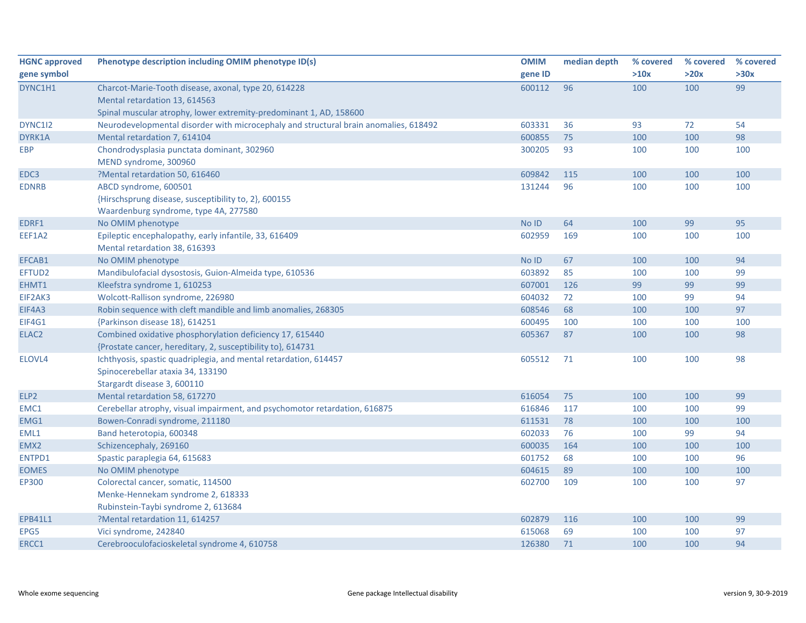| <b>HGNC</b> approved | Phenotype description including OMIM phenotype ID(s)                                 | <b>OMIM</b> | median depth | % covered | % covered | % covered |
|----------------------|--------------------------------------------------------------------------------------|-------------|--------------|-----------|-----------|-----------|
| gene symbol          |                                                                                      | gene ID     |              | >10x      | >20x      | >30x      |
| DYNC1H1              | Charcot-Marie-Tooth disease, axonal, type 20, 614228                                 | 600112      | 96           | 100       | 100       | 99        |
|                      | Mental retardation 13, 614563                                                        |             |              |           |           |           |
|                      | Spinal muscular atrophy, lower extremity-predominant 1, AD, 158600                   |             |              |           |           |           |
| DYNC1I2              | Neurodevelopmental disorder with microcephaly and structural brain anomalies, 618492 | 603331      | 36           | 93        | 72        | 54        |
| DYRK1A               | Mental retardation 7, 614104                                                         | 600855      | 75           | 100       | 100       | 98        |
| <b>EBP</b>           | Chondrodysplasia punctata dominant, 302960                                           | 300205      | 93           | 100       | 100       | 100       |
|                      | MEND syndrome, 300960                                                                |             |              |           |           |           |
| EDC3                 | ?Mental retardation 50, 616460                                                       | 609842      | 115          | 100       | 100       | 100       |
| <b>EDNRB</b>         | ABCD syndrome, 600501                                                                | 131244      | 96           | 100       | 100       | 100       |
|                      | {Hirschsprung disease, susceptibility to, 2}, 600155                                 |             |              |           |           |           |
|                      | Waardenburg syndrome, type 4A, 277580                                                |             |              |           |           |           |
| EDRF1                | No OMIM phenotype                                                                    | No ID       | 64           | 100       | 99        | 95        |
| EEF1A2               | Epileptic encephalopathy, early infantile, 33, 616409                                | 602959      | 169          | 100       | 100       | 100       |
|                      | Mental retardation 38, 616393                                                        |             |              |           |           |           |
| EFCAB1               | No OMIM phenotype                                                                    | No ID       | 67           | 100       | 100       | 94        |
| EFTUD2               | Mandibulofacial dysostosis, Guion-Almeida type, 610536                               | 603892      | 85           | 100       | 100       | 99        |
| EHMT1                | Kleefstra syndrome 1, 610253                                                         | 607001      | 126          | 99        | 99        | 99        |
| EIF2AK3              | Wolcott-Rallison syndrome, 226980                                                    | 604032      | 72           | 100       | 99        | 94        |
| EIF4A3               | Robin sequence with cleft mandible and limb anomalies, 268305                        | 608546      | 68           | 100       | 100       | 97        |
| EIF4G1               | {Parkinson disease 18}, 614251                                                       | 600495      | 100          | 100       | 100       | 100       |
| ELAC <sub>2</sub>    | Combined oxidative phosphorylation deficiency 17, 615440                             | 605367      | 87           | 100       | 100       | 98        |
|                      | {Prostate cancer, hereditary, 2, susceptibility to}, 614731                          |             |              |           |           |           |
| ELOVL4               | Ichthyosis, spastic quadriplegia, and mental retardation, 614457                     | 605512      | 71           | 100       | 100       | 98        |
|                      | Spinocerebellar ataxia 34, 133190                                                    |             |              |           |           |           |
|                      | Stargardt disease 3, 600110                                                          |             |              |           |           |           |
| ELP2                 | Mental retardation 58, 617270                                                        | 616054      | 75           | 100       | 100       | 99        |
| EMC1                 | Cerebellar atrophy, visual impairment, and psychomotor retardation, 616875           | 616846      | 117          | 100       | 100       | 99        |
| EMG1                 | Bowen-Conradi syndrome, 211180                                                       | 611531      | 78           | 100       | 100       | 100       |
| EML1                 | Band heterotopia, 600348                                                             | 602033      | 76           | 100       | 99        | 94        |
| EMX2                 | Schizencephaly, 269160                                                               | 600035      | 164          | 100       | 100       | 100       |
| ENTPD1               | Spastic paraplegia 64, 615683                                                        | 601752      | 68           | 100       | 100       | 96        |
| <b>EOMES</b>         | No OMIM phenotype                                                                    | 604615      | 89           | 100       | 100       | 100       |
| EP300                | Colorectal cancer, somatic, 114500                                                   | 602700      | 109          | 100       | 100       | 97        |
|                      | Menke-Hennekam syndrome 2, 618333                                                    |             |              |           |           |           |
|                      | Rubinstein-Taybi syndrome 2, 613684                                                  |             |              |           |           |           |
| <b>EPB41L1</b>       | ?Mental retardation 11, 614257                                                       | 602879      | 116          | 100       | 100       | 99        |
| EPG5                 | Vici syndrome, 242840                                                                | 615068      | 69           | 100       | 100       | 97        |
| ERCC1                | Cerebrooculofacioskeletal syndrome 4, 610758                                         | 126380      | 71           | 100       | 100       | 94        |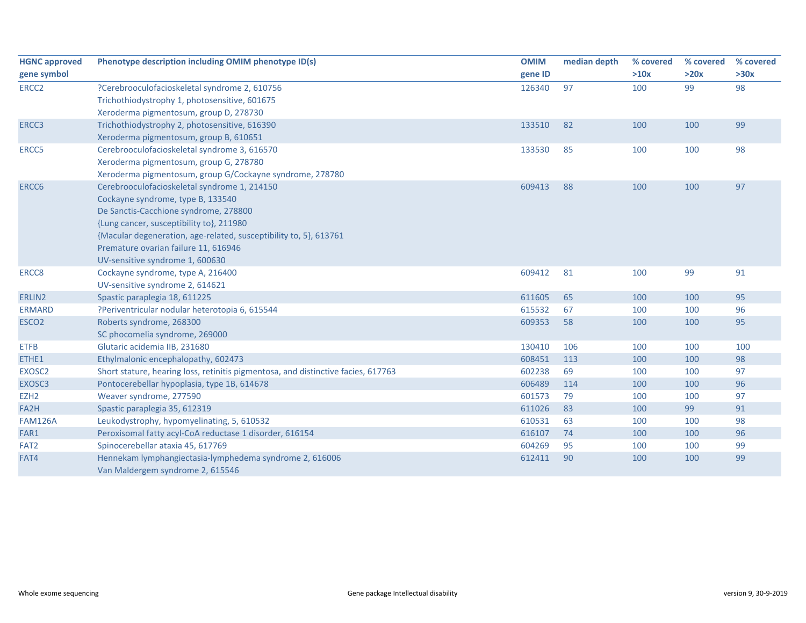| <b>HGNC approved</b> | Phenotype description including OMIM phenotype ID(s)                              | <b>OMIM</b> | median depth | % covered | % covered | % covered |
|----------------------|-----------------------------------------------------------------------------------|-------------|--------------|-----------|-----------|-----------|
| gene symbol          |                                                                                   | gene ID     |              | >10x      | >20x      | >30x      |
| ERCC <sub>2</sub>    | ?Cerebrooculofacioskeletal syndrome 2, 610756                                     | 126340      | 97           | 100       | 99        | 98        |
|                      | Trichothiodystrophy 1, photosensitive, 601675                                     |             |              |           |           |           |
|                      | Xeroderma pigmentosum, group D, 278730                                            |             |              |           |           |           |
| ERCC3                | Trichothiodystrophy 2, photosensitive, 616390                                     | 133510      | 82           | 100       | 100       | 99        |
|                      | Xeroderma pigmentosum, group B, 610651                                            |             |              |           |           |           |
| ERCC5                | Cerebrooculofacioskeletal syndrome 3, 616570                                      | 133530      | 85           | 100       | 100       | 98        |
|                      | Xeroderma pigmentosum, group G, 278780                                            |             |              |           |           |           |
|                      | Xeroderma pigmentosum, group G/Cockayne syndrome, 278780                          |             |              |           |           |           |
| ERCC6                | Cerebrooculofacioskeletal syndrome 1, 214150                                      | 609413      | 88           | 100       | 100       | 97        |
|                      | Cockayne syndrome, type B, 133540                                                 |             |              |           |           |           |
|                      | De Sanctis-Cacchione syndrome, 278800                                             |             |              |           |           |           |
|                      | {Lung cancer, susceptibility to}, 211980                                          |             |              |           |           |           |
|                      | {Macular degeneration, age-related, susceptibility to, 5}, 613761                 |             |              |           |           |           |
|                      | Premature ovarian failure 11, 616946                                              |             |              |           |           |           |
|                      | UV-sensitive syndrome 1, 600630                                                   |             |              |           |           |           |
| ERCC8                | Cockayne syndrome, type A, 216400                                                 | 609412      | 81           | 100       | 99        | 91        |
|                      | UV-sensitive syndrome 2, 614621                                                   |             |              |           |           |           |
| ERLIN2               | Spastic paraplegia 18, 611225                                                     | 611605      | 65           | 100       | 100       | 95        |
| <b>ERMARD</b>        | ?Periventricular nodular heterotopia 6, 615544                                    | 615532      | 67           | 100       | 100       | 96        |
| ESCO <sub>2</sub>    | Roberts syndrome, 268300                                                          | 609353      | 58           | 100       | 100       | 95        |
|                      | SC phocomelia syndrome, 269000                                                    |             |              |           |           |           |
| <b>ETFB</b>          | Glutaric acidemia IIB, 231680                                                     | 130410      | 106          | 100       | 100       | 100       |
| ETHE1                | Ethylmalonic encephalopathy, 602473                                               | 608451      | 113          | 100       | 100       | 98        |
| EXOSC2               | Short stature, hearing loss, retinitis pigmentosa, and distinctive facies, 617763 | 602238      | 69           | 100       | 100       | 97        |
| EXOSC3               | Pontocerebellar hypoplasia, type 1B, 614678                                       | 606489      | 114          | 100       | 100       | 96        |
| EZH <sub>2</sub>     | Weaver syndrome, 277590                                                           | 601573      | 79           | 100       | 100       | 97        |
| FA2H                 | Spastic paraplegia 35, 612319                                                     | 611026      | 83           | 100       | 99        | 91        |
| <b>FAM126A</b>       | Leukodystrophy, hypomyelinating, 5, 610532                                        | 610531      | 63           | 100       | 100       | 98        |
| FAR1                 | Peroxisomal fatty acyl-CoA reductase 1 disorder, 616154                           | 616107      | 74           | 100       | 100       | 96        |
| FAT2                 | Spinocerebellar ataxia 45, 617769                                                 | 604269      | 95           | 100       | 100       | 99        |
| FAT4                 | Hennekam lymphangiectasia-lymphedema syndrome 2, 616006                           | 612411      | 90           | 100       | 100       | 99        |
|                      | Van Maldergem syndrome 2, 615546                                                  |             |              |           |           |           |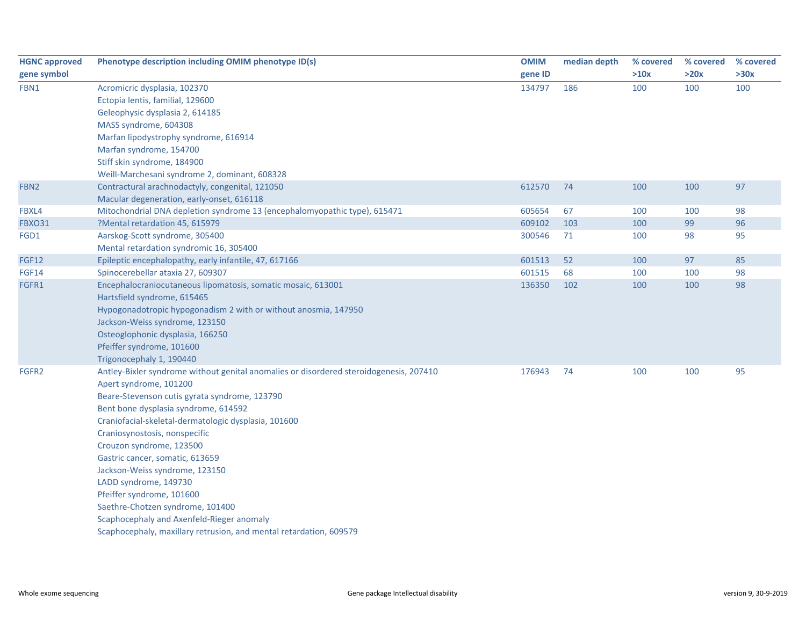| <b>HGNC approved</b> | Phenotype description including OMIM phenotype ID(s)                                   | <b>OMIM</b> | median depth | % covered | % covered | % covered |
|----------------------|----------------------------------------------------------------------------------------|-------------|--------------|-----------|-----------|-----------|
| gene symbol          |                                                                                        | gene ID     |              | >10x      | >20x      | >30x      |
| FBN1                 | Acromicric dysplasia, 102370                                                           | 134797      | 186          | 100       | 100       | 100       |
|                      | Ectopia lentis, familial, 129600                                                       |             |              |           |           |           |
|                      | Geleophysic dysplasia 2, 614185                                                        |             |              |           |           |           |
|                      | MASS syndrome, 604308                                                                  |             |              |           |           |           |
|                      | Marfan lipodystrophy syndrome, 616914                                                  |             |              |           |           |           |
|                      | Marfan syndrome, 154700                                                                |             |              |           |           |           |
|                      | Stiff skin syndrome, 184900                                                            |             |              |           |           |           |
|                      | Weill-Marchesani syndrome 2, dominant, 608328                                          |             |              |           |           |           |
| FBN <sub>2</sub>     | Contractural arachnodactyly, congenital, 121050                                        | 612570      | 74           | 100       | 100       | 97        |
|                      | Macular degeneration, early-onset, 616118                                              |             |              |           |           |           |
| FBXL4                | Mitochondrial DNA depletion syndrome 13 (encephalomyopathic type), 615471              | 605654      | 67           | 100       | 100       | 98        |
| <b>FBXO31</b>        | ?Mental retardation 45, 615979                                                         | 609102      | 103          | 100       | 99        | 96        |
| FGD1                 | Aarskog-Scott syndrome, 305400                                                         | 300546      | 71           | 100       | 98        | 95        |
|                      | Mental retardation syndromic 16, 305400                                                |             |              |           |           |           |
| <b>FGF12</b>         | Epileptic encephalopathy, early infantile, 47, 617166                                  | 601513      | 52           | 100       | 97        | 85        |
| <b>FGF14</b>         | Spinocerebellar ataxia 27, 609307                                                      | 601515      | 68           | 100       | 100       | 98        |
| FGFR1                | Encephalocraniocutaneous lipomatosis, somatic mosaic, 613001                           | 136350      | 102          | 100       | 100       | 98        |
|                      | Hartsfield syndrome, 615465                                                            |             |              |           |           |           |
|                      | Hypogonadotropic hypogonadism 2 with or without anosmia, 147950                        |             |              |           |           |           |
|                      | Jackson-Weiss syndrome, 123150                                                         |             |              |           |           |           |
|                      | Osteoglophonic dysplasia, 166250                                                       |             |              |           |           |           |
|                      | Pfeiffer syndrome, 101600                                                              |             |              |           |           |           |
|                      | Trigonocephaly 1, 190440                                                               |             |              |           |           |           |
| FGFR2                | Antley-Bixler syndrome without genital anomalies or disordered steroidogenesis, 207410 | 176943      | 74           | 100       | 100       | 95        |
|                      | Apert syndrome, 101200                                                                 |             |              |           |           |           |
|                      | Beare-Stevenson cutis gyrata syndrome, 123790                                          |             |              |           |           |           |
|                      | Bent bone dysplasia syndrome, 614592                                                   |             |              |           |           |           |
|                      | Craniofacial-skeletal-dermatologic dysplasia, 101600                                   |             |              |           |           |           |
|                      | Craniosynostosis, nonspecific                                                          |             |              |           |           |           |
|                      | Crouzon syndrome, 123500                                                               |             |              |           |           |           |
|                      | Gastric cancer, somatic, 613659                                                        |             |              |           |           |           |
|                      | Jackson-Weiss syndrome, 123150<br>LADD syndrome, 149730                                |             |              |           |           |           |
|                      | Pfeiffer syndrome, 101600                                                              |             |              |           |           |           |
|                      | Saethre-Chotzen syndrome, 101400                                                       |             |              |           |           |           |
|                      |                                                                                        |             |              |           |           |           |
|                      | Scaphocephaly and Axenfeld-Rieger anomaly                                              |             |              |           |           |           |
|                      | Scaphocephaly, maxillary retrusion, and mental retardation, 609579                     |             |              |           |           |           |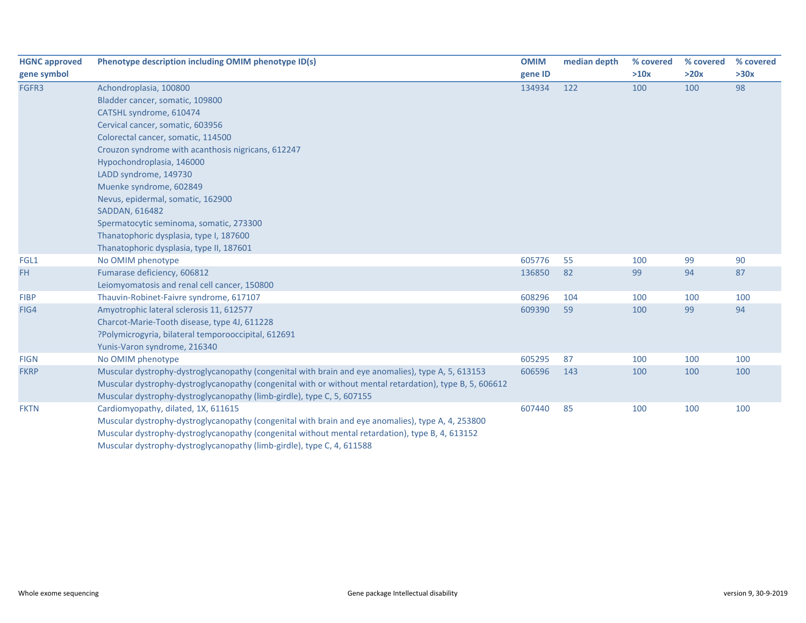| <b>HGNC approved</b> | Phenotype description including OMIM phenotype ID(s)                                                     | <b>OMIM</b> | median depth | % covered | % covered | % covered |
|----------------------|----------------------------------------------------------------------------------------------------------|-------------|--------------|-----------|-----------|-----------|
| gene symbol          |                                                                                                          | gene ID     |              | >10x      | >20x      | >30x      |
| FGFR3                | Achondroplasia, 100800                                                                                   | 134934      | 122          | 100       | 100       | 98        |
|                      | Bladder cancer, somatic, 109800                                                                          |             |              |           |           |           |
|                      | CATSHL syndrome, 610474                                                                                  |             |              |           |           |           |
|                      | Cervical cancer, somatic, 603956                                                                         |             |              |           |           |           |
|                      | Colorectal cancer, somatic, 114500                                                                       |             |              |           |           |           |
|                      | Crouzon syndrome with acanthosis nigricans, 612247                                                       |             |              |           |           |           |
|                      | Hypochondroplasia, 146000                                                                                |             |              |           |           |           |
|                      | LADD syndrome, 149730                                                                                    |             |              |           |           |           |
|                      | Muenke syndrome, 602849                                                                                  |             |              |           |           |           |
|                      | Nevus, epidermal, somatic, 162900                                                                        |             |              |           |           |           |
|                      | SADDAN, 616482                                                                                           |             |              |           |           |           |
|                      | Spermatocytic seminoma, somatic, 273300                                                                  |             |              |           |           |           |
|                      | Thanatophoric dysplasia, type I, 187600                                                                  |             |              |           |           |           |
|                      | Thanatophoric dysplasia, type II, 187601                                                                 |             |              |           |           |           |
| FGL1                 | No OMIM phenotype                                                                                        | 605776      | 55           | 100       | 99        | 90        |
| FH.                  | Fumarase deficiency, 606812                                                                              | 136850      | 82           | 99        | 94        | 87        |
|                      | Leiomyomatosis and renal cell cancer, 150800                                                             |             |              |           |           |           |
| <b>FIBP</b>          | Thauvin-Robinet-Faivre syndrome, 617107                                                                  | 608296      | 104          | 100       | 100       | 100       |
| FIG4                 | Amyotrophic lateral sclerosis 11, 612577                                                                 | 609390      | 59           | 100       | 99        | 94        |
|                      | Charcot-Marie-Tooth disease, type 4J, 611228                                                             |             |              |           |           |           |
|                      | ?Polymicrogyria, bilateral temporooccipital, 612691                                                      |             |              |           |           |           |
|                      | Yunis-Varon syndrome, 216340                                                                             |             |              |           |           |           |
| <b>FIGN</b>          | No OMIM phenotype                                                                                        | 605295      | 87           | 100       | 100       | 100       |
| <b>FKRP</b>          | Muscular dystrophy-dystroglycanopathy (congenital with brain and eye anomalies), type A, 5, 613153       | 606596      | 143          | 100       | 100       | 100       |
|                      | Muscular dystrophy-dystroglycanopathy (congenital with or without mental retardation), type B, 5, 606612 |             |              |           |           |           |
|                      | Muscular dystrophy-dystroglycanopathy (limb-girdle), type C, 5, 607155                                   |             |              |           |           |           |
| <b>FKTN</b>          | Cardiomyopathy, dilated, 1X, 611615                                                                      | 607440      | 85           | 100       | 100       | 100       |
|                      | Muscular dystrophy-dystroglycanopathy (congenital with brain and eye anomalies), type A, 4, 253800       |             |              |           |           |           |
|                      | Muscular dystrophy-dystroglycanopathy (congenital without mental retardation), type B, 4, 613152         |             |              |           |           |           |
|                      | Muscular dystrophy-dystroglycanopathy (limb-girdle), type C, 4, 611588                                   |             |              |           |           |           |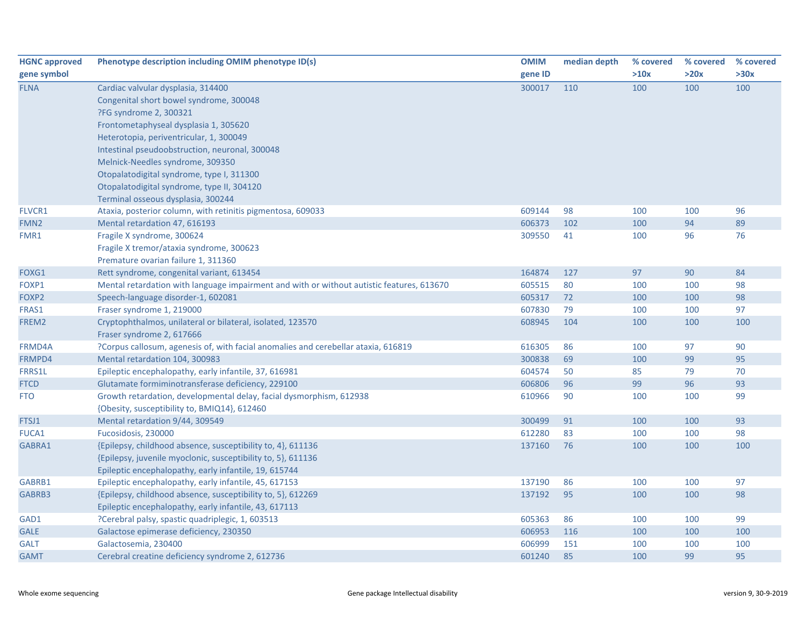| <b>HGNC approved</b> | Phenotype description including OMIM phenotype ID(s)                                      | <b>OMIM</b> | median depth | % covered | % covered | % covered |
|----------------------|-------------------------------------------------------------------------------------------|-------------|--------------|-----------|-----------|-----------|
| gene symbol          |                                                                                           | gene ID     |              | >10x      | >20x      | >30x      |
| <b>FLNA</b>          | Cardiac valvular dysplasia, 314400                                                        | 300017      | 110          | 100       | 100       | 100       |
|                      | Congenital short bowel syndrome, 300048                                                   |             |              |           |           |           |
|                      | ?FG syndrome 2, 300321                                                                    |             |              |           |           |           |
|                      | Frontometaphyseal dysplasia 1, 305620                                                     |             |              |           |           |           |
|                      | Heterotopia, periventricular, 1, 300049                                                   |             |              |           |           |           |
|                      | Intestinal pseudoobstruction, neuronal, 300048                                            |             |              |           |           |           |
|                      | Melnick-Needles syndrome, 309350                                                          |             |              |           |           |           |
|                      | Otopalatodigital syndrome, type I, 311300                                                 |             |              |           |           |           |
|                      | Otopalatodigital syndrome, type II, 304120                                                |             |              |           |           |           |
|                      | Terminal osseous dysplasia, 300244                                                        |             |              |           |           |           |
| <b>FLVCR1</b>        | Ataxia, posterior column, with retinitis pigmentosa, 609033                               | 609144      | 98           | 100       | 100       | 96        |
| FMN <sub>2</sub>     | Mental retardation 47, 616193                                                             | 606373      | 102          | 100       | 94        | 89        |
| FMR1                 | Fragile X syndrome, 300624                                                                | 309550      | 41           | 100       | 96        | 76        |
|                      | Fragile X tremor/ataxia syndrome, 300623                                                  |             |              |           |           |           |
|                      | Premature ovarian failure 1, 311360                                                       |             |              |           |           |           |
| FOXG1                | Rett syndrome, congenital variant, 613454                                                 | 164874      | 127          | 97        | 90        | 84        |
| FOXP1                | Mental retardation with language impairment and with or without autistic features, 613670 | 605515      | 80           | 100       | 100       | 98        |
| FOXP2                | Speech-language disorder-1, 602081                                                        | 605317      | 72           | 100       | 100       | 98        |
| FRAS1                | Fraser syndrome 1, 219000                                                                 | 607830      | 79           | 100       | 100       | 97        |
| FREM2                | Cryptophthalmos, unilateral or bilateral, isolated, 123570                                | 608945      | 104          | 100       | 100       | 100       |
|                      | Fraser syndrome 2, 617666                                                                 |             |              |           |           |           |
| FRMD4A               | ?Corpus callosum, agenesis of, with facial anomalies and cerebellar ataxia, 616819        | 616305      | 86           | 100       | 97        | 90        |
| FRMPD4               | Mental retardation 104, 300983                                                            | 300838      | 69           | 100       | 99        | 95        |
| <b>FRRS1L</b>        | Epileptic encephalopathy, early infantile, 37, 616981                                     | 604574      | 50           | 85        | 79        | 70        |
| <b>FTCD</b>          | Glutamate formiminotransferase deficiency, 229100                                         | 606806      | 96           | 99        | 96        | 93        |
| <b>FTO</b>           | Growth retardation, developmental delay, facial dysmorphism, 612938                       | 610966      | 90           | 100       | 100       | 99        |
|                      | {Obesity, susceptibility to, BMIQ14}, 612460                                              |             |              |           |           |           |
| FTSJ1                | Mental retardation 9/44, 309549                                                           | 300499      | 91           | 100       | 100       | 93        |
| <b>FUCA1</b>         | Fucosidosis, 230000                                                                       | 612280      | 83           | 100       | 100       | 98        |
| GABRA1               | {Epilepsy, childhood absence, susceptibility to, 4}, 611136                               | 137160      | 76           | 100       | 100       | 100       |
|                      | {Epilepsy, juvenile myoclonic, susceptibility to, 5}, 611136                              |             |              |           |           |           |
|                      | Epileptic encephalopathy, early infantile, 19, 615744                                     |             |              |           |           |           |
| GABRB1               | Epileptic encephalopathy, early infantile, 45, 617153                                     | 137190      | 86           | 100       | 100       | 97        |
| GABRB3               | {Epilepsy, childhood absence, susceptibility to, 5}, 612269                               | 137192      | 95           | 100       | 100       | 98        |
|                      | Epileptic encephalopathy, early infantile, 43, 617113                                     |             |              |           |           |           |
| GAD1                 | ?Cerebral palsy, spastic quadriplegic, 1, 603513                                          | 605363      | 86           | 100       | 100       | 99        |
| <b>GALE</b>          | Galactose epimerase deficiency, 230350                                                    | 606953      | 116          | 100       | 100       | 100       |
| <b>GALT</b>          | Galactosemia, 230400                                                                      | 606999      | 151          | 100       | 100       | 100       |
| <b>GAMT</b>          | Cerebral creatine deficiency syndrome 2, 612736                                           | 601240      | 85           | 100       | 99        | 95        |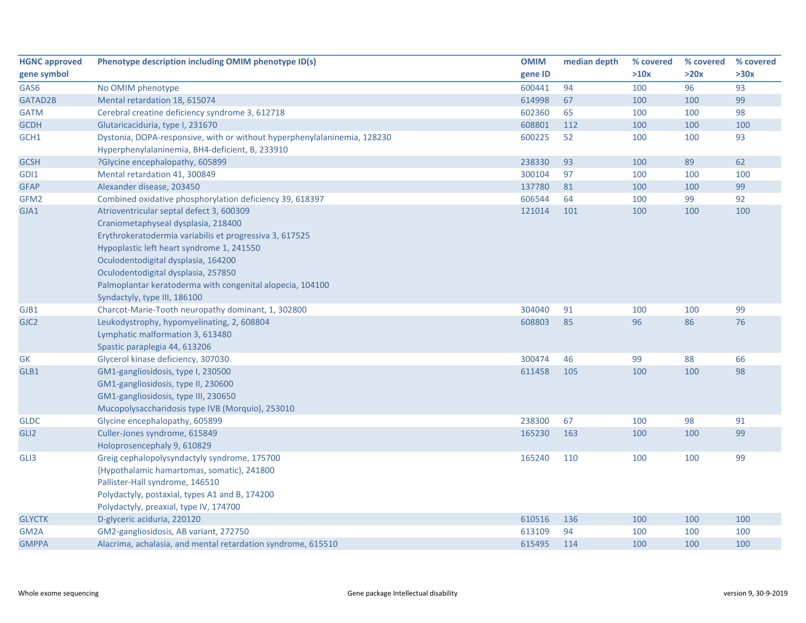| <b>HGNC approved</b> | Phenotype description including OMIM phenotype ID(s)                     | <b>OMIM</b> | median depth | % covered | % covered | % covered |
|----------------------|--------------------------------------------------------------------------|-------------|--------------|-----------|-----------|-----------|
| gene symbol          |                                                                          | gene ID     |              | >10x      | >20x      | >30x      |
| GAS6                 | No OMIM phenotype                                                        | 600441      | 94           | 100       | 96        | 93        |
| GATAD2B              | Mental retardation 18, 615074                                            | 614998      | 67           | 100       | 100       | 99        |
| <b>GATM</b>          | Cerebral creatine deficiency syndrome 3, 612718                          | 602360      | 65           | 100       | 100       | 98        |
| <b>GCDH</b>          | Glutaricaciduria, type I, 231670                                         | 608801      | 112          | 100       | 100       | 100       |
| GCH1                 | Dystonia, DOPA-responsive, with or without hyperphenylalaninemia, 128230 | 600225      | 52           | 100       | 100       | 93        |
|                      | Hyperphenylalaninemia, BH4-deficient, B, 233910                          |             |              |           |           |           |
| <b>GCSH</b>          | ?Glycine encephalopathy, 605899                                          | 238330      | 93           | 100       | 89        | 62        |
| GDI1                 | Mental retardation 41, 300849                                            | 300104      | 97           | 100       | 100       | 100       |
| <b>GFAP</b>          | Alexander disease, 203450                                                | 137780      | 81           | 100       | 100       | 99        |
| GFM2                 | Combined oxidative phosphorylation deficiency 39, 618397                 | 606544      | 64           | 100       | 99        | 92        |
| GJA1                 | Atrioventricular septal defect 3, 600309                                 | 121014      | 101          | 100       | 100       | 100       |
|                      | Craniometaphyseal dysplasia, 218400                                      |             |              |           |           |           |
|                      | Erythrokeratodermia variabilis et progressiva 3, 617525                  |             |              |           |           |           |
|                      | Hypoplastic left heart syndrome 1, 241550                                |             |              |           |           |           |
|                      | Oculodentodigital dysplasia, 164200                                      |             |              |           |           |           |
|                      | Oculodentodigital dysplasia, 257850                                      |             |              |           |           |           |
|                      | Palmoplantar keratoderma with congenital alopecia, 104100                |             |              |           |           |           |
|                      | Syndactyly, type III, 186100                                             |             |              |           |           |           |
| GJB1                 | Charcot-Marie-Tooth neuropathy dominant, 1, 302800                       | 304040      | 91           | 100       | 100       | 99        |
| GJC <sub>2</sub>     | Leukodystrophy, hypomyelinating, 2, 608804                               | 608803      | 85           | 96        | 86        | 76        |
|                      | Lymphatic malformation 3, 613480                                         |             |              |           |           |           |
|                      | Spastic paraplegia 44, 613206                                            |             |              |           |           |           |
| <b>GK</b>            | Glycerol kinase deficiency, 307030                                       | 300474      | 46           | 99        | 88        | 66        |
| GLB1                 | GM1-gangliosidosis, type I, 230500                                       | 611458      | 105          | 100       | 100       | 98        |
|                      | GM1-gangliosidosis, type II, 230600                                      |             |              |           |           |           |
|                      | GM1-gangliosidosis, type III, 230650                                     |             |              |           |           |           |
|                      | Mucopolysaccharidosis type IVB (Morquio), 253010                         |             |              |           |           |           |
| <b>GLDC</b>          | Glycine encephalopathy, 605899                                           | 238300      | 67           | 100       | 98        | 91        |
| GLI <sub>2</sub>     | Culler-Jones syndrome, 615849                                            | 165230      | 163          | 100       | 100       | 99        |
|                      | Holoprosencephaly 9, 610829                                              |             |              |           |           |           |
| GLI3                 | Greig cephalopolysyndactyly syndrome, 175700                             | 165240      | 110          | 100       | 100       | 99        |
|                      | {Hypothalamic hamartomas, somatic}, 241800                               |             |              |           |           |           |
|                      | Pallister-Hall syndrome, 146510                                          |             |              |           |           |           |
|                      | Polydactyly, postaxial, types A1 and B, 174200                           |             |              |           |           |           |
|                      | Polydactyly, preaxial, type IV, 174700                                   |             |              |           |           |           |
| <b>GLYCTK</b>        | D-glyceric aciduria, 220120                                              | 610516      | 136          | 100       | 100       | 100       |
| GM <sub>2</sub> A    | GM2-gangliosidosis, AB variant, 272750                                   | 613109      | 94           | 100       | 100       | 100       |
| <b>GMPPA</b>         | Alacrima, achalasia, and mental retardation syndrome, 615510             | 615495      | 114          | 100       | 100       | 100       |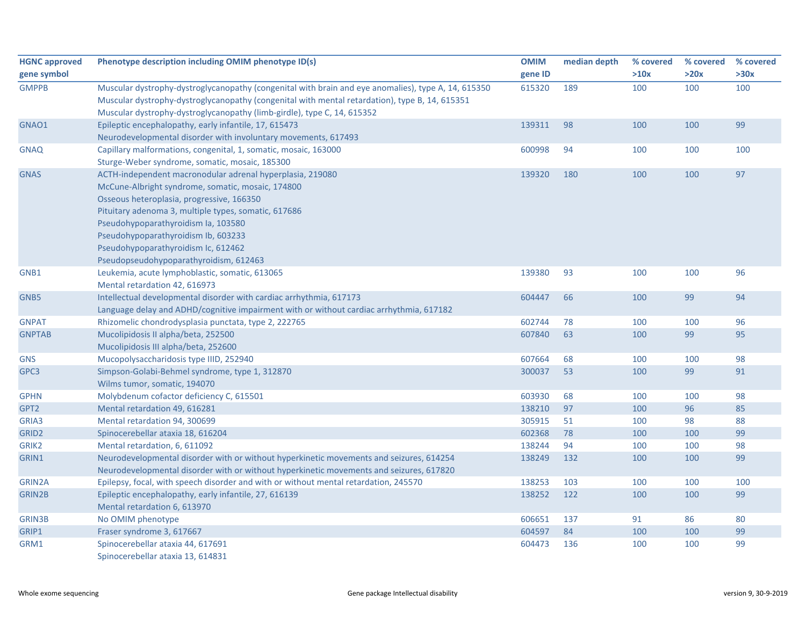| <b>HGNC approved</b><br>gene symbol | Phenotype description including OMIM phenotype ID(s)                                                | <b>OMIM</b><br>gene ID | median depth | % covered<br>>10x | % covered<br>>20x | % covered<br>>30x |
|-------------------------------------|-----------------------------------------------------------------------------------------------------|------------------------|--------------|-------------------|-------------------|-------------------|
| <b>GMPPB</b>                        | Muscular dystrophy-dystroglycanopathy (congenital with brain and eye anomalies), type A, 14, 615350 | 615320                 | 189          | 100               | 100               | 100               |
|                                     | Muscular dystrophy-dystroglycanopathy (congenital with mental retardation), type B, 14, 615351      |                        |              |                   |                   |                   |
|                                     | Muscular dystrophy-dystroglycanopathy (limb-girdle), type C, 14, 615352                             |                        |              |                   |                   |                   |
| GNAO1                               | Epileptic encephalopathy, early infantile, 17, 615473                                               | 139311                 | 98           | 100               | 100               | 99                |
|                                     | Neurodevelopmental disorder with involuntary movements, 617493                                      |                        |              |                   |                   |                   |
| <b>GNAQ</b>                         | Capillary malformations, congenital, 1, somatic, mosaic, 163000                                     | 600998                 | 94           | 100               | 100               | 100               |
|                                     | Sturge-Weber syndrome, somatic, mosaic, 185300                                                      |                        |              |                   |                   |                   |
| <b>GNAS</b>                         | ACTH-independent macronodular adrenal hyperplasia, 219080                                           | 139320                 | 180          | 100               | 100               | 97                |
|                                     | McCune-Albright syndrome, somatic, mosaic, 174800                                                   |                        |              |                   |                   |                   |
|                                     | Osseous heteroplasia, progressive, 166350                                                           |                        |              |                   |                   |                   |
|                                     | Pituitary adenoma 3, multiple types, somatic, 617686                                                |                        |              |                   |                   |                   |
|                                     | Pseudohypoparathyroidism Ia, 103580                                                                 |                        |              |                   |                   |                   |
|                                     | Pseudohypoparathyroidism Ib, 603233                                                                 |                        |              |                   |                   |                   |
|                                     | Pseudohypoparathyroidism Ic, 612462                                                                 |                        |              |                   |                   |                   |
|                                     | Pseudopseudohypoparathyroidism, 612463                                                              |                        |              |                   |                   |                   |
| GNB1                                | Leukemia, acute lymphoblastic, somatic, 613065                                                      | 139380                 | 93           | 100               | 100               | 96                |
|                                     | Mental retardation 42, 616973                                                                       |                        |              |                   |                   |                   |
| GNB5                                | Intellectual developmental disorder with cardiac arrhythmia, 617173                                 | 604447                 | 66           | 100               | 99                | 94                |
|                                     | Language delay and ADHD/cognitive impairment with or without cardiac arrhythmia, 617182             |                        |              |                   |                   |                   |
| <b>GNPAT</b>                        | Rhizomelic chondrodysplasia punctata, type 2, 222765                                                | 602744                 | 78           | 100               | 100               | 96                |
| <b>GNPTAB</b>                       | Mucolipidosis II alpha/beta, 252500                                                                 | 607840                 | 63           | 100               | 99                | 95                |
|                                     | Mucolipidosis III alpha/beta, 252600                                                                |                        |              |                   |                   |                   |
| <b>GNS</b>                          | Mucopolysaccharidosis type IIID, 252940                                                             | 607664                 | 68           | 100               | 100               | 98                |
| GPC3                                | Simpson-Golabi-Behmel syndrome, type 1, 312870                                                      | 300037                 | 53           | 100               | 99                | 91                |
|                                     | Wilms tumor, somatic, 194070                                                                        |                        |              |                   |                   |                   |
| <b>GPHN</b>                         | Molybdenum cofactor deficiency C, 615501                                                            | 603930                 | 68           | 100               | 100               | 98                |
| GPT2                                | Mental retardation 49, 616281                                                                       | 138210                 | 97           | 100               | 96                | 85                |
| GRIA3                               | Mental retardation 94, 300699                                                                       | 305915                 | 51           | 100               | 98                | 88                |
| GRID <sub>2</sub>                   | Spinocerebellar ataxia 18, 616204                                                                   | 602368                 | 78           | 100               | 100               | 99                |
| GRIK2                               | Mental retardation, 6, 611092                                                                       | 138244                 | 94           | 100               | 100               | 98                |
| GRIN1                               | Neurodevelopmental disorder with or without hyperkinetic movements and seizures, 614254             | 138249                 | 132          | 100               | 100               | 99                |
|                                     | Neurodevelopmental disorder with or without hyperkinetic movements and seizures, 617820             |                        |              |                   |                   |                   |
| <b>GRIN2A</b>                       | Epilepsy, focal, with speech disorder and with or without mental retardation, 245570                | 138253                 | 103          | 100               | 100               | 100               |
| <b>GRIN2B</b>                       | Epileptic encephalopathy, early infantile, 27, 616139                                               | 138252                 | 122          | 100               | 100               | 99                |
|                                     | Mental retardation 6, 613970                                                                        |                        |              |                   |                   |                   |
| <b>GRIN3B</b>                       | No OMIM phenotype                                                                                   | 606651                 | 137          | 91                | 86                | 80                |
| GRIP1                               | Fraser syndrome 3, 617667                                                                           | 604597                 | 84           | 100               | 100               | 99                |
| GRM1                                | Spinocerebellar ataxia 44, 617691                                                                   | 604473                 | 136          | 100               | 100               | 99                |
|                                     | Spinocerebellar ataxia 13, 614831                                                                   |                        |              |                   |                   |                   |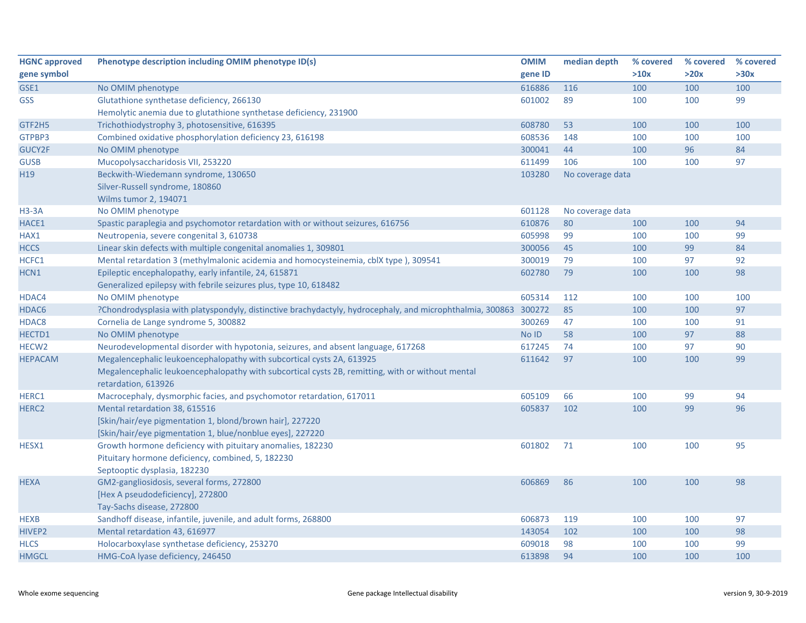| <b>HGNC approved</b> | Phenotype description including OMIM phenotype ID(s)                                                             | <b>OMIM</b> | median depth     | % covered | % covered | % covered |
|----------------------|------------------------------------------------------------------------------------------------------------------|-------------|------------------|-----------|-----------|-----------|
| gene symbol          |                                                                                                                  | gene ID     |                  | >10x      | >20x      | >30x      |
| GSE1                 | No OMIM phenotype                                                                                                | 616886      | 116              | 100       | 100       | 100       |
| <b>GSS</b>           | Glutathione synthetase deficiency, 266130                                                                        | 601002      | 89               | 100       | 100       | 99        |
|                      | Hemolytic anemia due to glutathione synthetase deficiency, 231900                                                |             |                  |           |           |           |
| GTF2H5               | Trichothiodystrophy 3, photosensitive, 616395                                                                    | 608780      | 53               | 100       | 100       | 100       |
| GTPBP3               | Combined oxidative phosphorylation deficiency 23, 616198                                                         | 608536      | 148              | 100       | 100       | 100       |
| GUCY2F               | No OMIM phenotype                                                                                                | 300041      | 44               | 100       | 96        | 84        |
| <b>GUSB</b>          | Mucopolysaccharidosis VII, 253220                                                                                | 611499      | 106              | 100       | 100       | 97        |
| H <sub>19</sub>      | Beckwith-Wiedemann syndrome, 130650                                                                              | 103280      | No coverage data |           |           |           |
|                      | Silver-Russell syndrome, 180860                                                                                  |             |                  |           |           |           |
|                      | Wilms tumor 2, 194071                                                                                            |             |                  |           |           |           |
| $H3-3A$              | No OMIM phenotype                                                                                                | 601128      | No coverage data |           |           |           |
| HACE1                | Spastic paraplegia and psychomotor retardation with or without seizures, 616756                                  | 610876      | 80               | 100       | 100       | 94        |
| HAX1                 | Neutropenia, severe congenital 3, 610738                                                                         | 605998      | 99               | 100       | 100       | 99        |
| <b>HCCS</b>          | Linear skin defects with multiple congenital anomalies 1, 309801                                                 | 300056      | 45               | 100       | 99        | 84        |
| HCFC1                | Mental retardation 3 (methylmalonic acidemia and homocysteinemia, cblX type), 309541                             | 300019      | 79               | 100       | 97        | 92        |
| HCN1                 | Epileptic encephalopathy, early infantile, 24, 615871                                                            | 602780      | 79               | 100       | 100       | 98        |
|                      | Generalized epilepsy with febrile seizures plus, type 10, 618482                                                 |             |                  |           |           |           |
| HDAC4                | No OMIM phenotype                                                                                                | 605314      | 112              | 100       | 100       | 100       |
| HDAC6                | ?Chondrodysplasia with platyspondyly, distinctive brachydactyly, hydrocephaly, and microphthalmia, 300863 300272 |             | 85               | 100       | 100       | 97        |
| HDAC8                | Cornelia de Lange syndrome 5, 300882                                                                             | 300269      | 47               | 100       | 100       | 91        |
| HECTD1               | No OMIM phenotype                                                                                                | No ID       | 58               | 100       | 97        | 88        |
| HECW <sub>2</sub>    | Neurodevelopmental disorder with hypotonia, seizures, and absent language, 617268                                | 617245      | 74               | 100       | 97        | 90        |
| <b>HEPACAM</b>       | Megalencephalic leukoencephalopathy with subcortical cysts 2A, 613925                                            | 611642      | 97               | 100       | 100       | 99        |
|                      | Megalencephalic leukoencephalopathy with subcortical cysts 2B, remitting, with or without mental                 |             |                  |           |           |           |
|                      | retardation, 613926                                                                                              |             |                  |           |           |           |
| HERC1                | Macrocephaly, dysmorphic facies, and psychomotor retardation, 617011                                             | 605109      | 66               | 100       | 99        | 94        |
| HERC <sub>2</sub>    | Mental retardation 38, 615516                                                                                    | 605837      | 102              | 100       | 99        | 96        |
|                      | [Skin/hair/eye pigmentation 1, blond/brown hair], 227220                                                         |             |                  |           |           |           |
|                      | [Skin/hair/eye pigmentation 1, blue/nonblue eyes], 227220                                                        |             |                  |           |           |           |
| HESX1                | Growth hormone deficiency with pituitary anomalies, 182230                                                       | 601802      | 71               | 100       | 100       | 95        |
|                      | Pituitary hormone deficiency, combined, 5, 182230                                                                |             |                  |           |           |           |
|                      | Septooptic dysplasia, 182230                                                                                     |             |                  |           |           |           |
| <b>HEXA</b>          | GM2-gangliosidosis, several forms, 272800                                                                        | 606869      | 86               | 100       | 100       | 98        |
|                      | [Hex A pseudodeficiency], 272800                                                                                 |             |                  |           |           |           |
|                      | Tay-Sachs disease, 272800                                                                                        |             |                  |           |           |           |
| <b>HEXB</b>          | Sandhoff disease, infantile, juvenile, and adult forms, 268800                                                   | 606873      | 119              | 100       | 100       | 97        |
| HIVEP2               | Mental retardation 43, 616977                                                                                    | 143054      | 102              | 100       | 100       | 98        |
| <b>HLCS</b>          | Holocarboxylase synthetase deficiency, 253270                                                                    | 609018      | 98               | 100       | 100       | 99        |
| <b>HMGCL</b>         | HMG-CoA lyase deficiency, 246450                                                                                 | 613898      | 94               | 100       | 100       | 100       |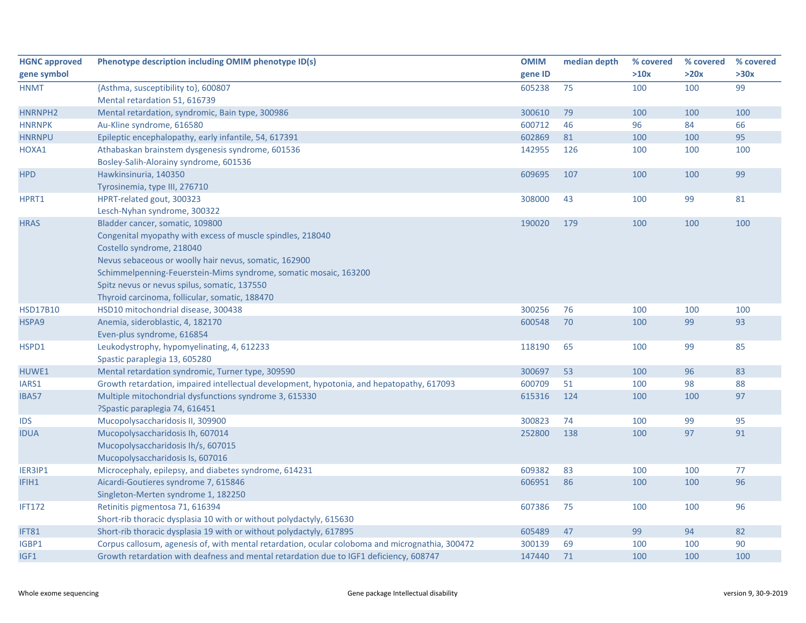| <b>HGNC approved</b> | Phenotype description including OMIM phenotype ID(s)                                            | <b>OMIM</b> | median depth | % covered | % covered | % covered |
|----------------------|-------------------------------------------------------------------------------------------------|-------------|--------------|-----------|-----------|-----------|
| gene symbol          |                                                                                                 | gene ID     |              | >10x      | >20x      | >30x      |
| <b>HNMT</b>          | {Asthma, susceptibility to}, 600807                                                             | 605238      | 75           | 100       | 100       | 99        |
|                      | Mental retardation 51, 616739                                                                   |             |              |           |           |           |
| HNRNPH2              | Mental retardation, syndromic, Bain type, 300986                                                | 300610      | 79           | 100       | 100       | 100       |
| <b>HNRNPK</b>        | Au-Kline syndrome, 616580                                                                       | 600712      | 46           | 96        | 84        | 66        |
| <b>HNRNPU</b>        | Epileptic encephalopathy, early infantile, 54, 617391                                           | 602869      | 81           | 100       | 100       | 95        |
| HOXA1                | Athabaskan brainstem dysgenesis syndrome, 601536                                                | 142955      | 126          | 100       | 100       | 100       |
|                      | Bosley-Salih-Alorainy syndrome, 601536                                                          |             |              |           |           |           |
| <b>HPD</b>           | Hawkinsinuria, 140350                                                                           | 609695      | 107          | 100       | 100       | 99        |
|                      | Tyrosinemia, type III, 276710                                                                   |             |              |           |           |           |
| HPRT1                | HPRT-related gout, 300323                                                                       | 308000      | 43           | 100       | 99        | 81        |
|                      | Lesch-Nyhan syndrome, 300322                                                                    |             |              |           |           |           |
| <b>HRAS</b>          | Bladder cancer, somatic, 109800                                                                 | 190020      | 179          | 100       | 100       | 100       |
|                      | Congenital myopathy with excess of muscle spindles, 218040                                      |             |              |           |           |           |
|                      | Costello syndrome, 218040                                                                       |             |              |           |           |           |
|                      | Nevus sebaceous or woolly hair nevus, somatic, 162900                                           |             |              |           |           |           |
|                      | Schimmelpenning-Feuerstein-Mims syndrome, somatic mosaic, 163200                                |             |              |           |           |           |
|                      | Spitz nevus or nevus spilus, somatic, 137550                                                    |             |              |           |           |           |
|                      | Thyroid carcinoma, follicular, somatic, 188470                                                  |             |              |           |           |           |
| <b>HSD17B10</b>      | HSD10 mitochondrial disease, 300438                                                             | 300256      | 76           | 100       | 100       | 100       |
| HSPA9                | Anemia, sideroblastic, 4, 182170                                                                | 600548      | 70           | 100       | 99        | 93        |
|                      | Even-plus syndrome, 616854                                                                      |             |              |           |           |           |
| HSPD1                | Leukodystrophy, hypomyelinating, 4, 612233                                                      | 118190      | 65           | 100       | 99        | 85        |
|                      | Spastic paraplegia 13, 605280                                                                   |             |              |           |           |           |
| HUWE1                | Mental retardation syndromic, Turner type, 309590                                               | 300697      | 53           | 100       | 96        | 83        |
| IARS1                | Growth retardation, impaired intellectual development, hypotonia, and hepatopathy, 617093       | 600709      | 51           | 100       | 98        | 88        |
| <b>IBA57</b>         | Multiple mitochondrial dysfunctions syndrome 3, 615330                                          | 615316      | 124          | 100       | 100       | 97        |
|                      | ?Spastic paraplegia 74, 616451                                                                  |             |              |           |           |           |
| <b>IDS</b>           | Mucopolysaccharidosis II, 309900                                                                | 300823      | 74           | 100       | 99        | 95        |
| <b>IDUA</b>          | Mucopolysaccharidosis Ih, 607014                                                                | 252800      | 138          | 100       | 97        | 91        |
|                      | Mucopolysaccharidosis Ih/s, 607015                                                              |             |              |           |           |           |
|                      | Mucopolysaccharidosis Is, 607016                                                                |             |              |           |           |           |
| IER3IP1              | Microcephaly, epilepsy, and diabetes syndrome, 614231                                           | 609382      | 83           | 100       | 100       | 77        |
| IFIH1                | Aicardi-Goutieres syndrome 7, 615846                                                            | 606951      | 86           | 100       | 100       | 96        |
|                      | Singleton-Merten syndrome 1, 182250                                                             |             |              |           |           |           |
| <b>IFT172</b>        | Retinitis pigmentosa 71, 616394                                                                 | 607386      | 75           | 100       | 100       | 96        |
|                      | Short-rib thoracic dysplasia 10 with or without polydactyly, 615630                             |             |              |           |           |           |
| IFT81                | Short-rib thoracic dysplasia 19 with or without polydactyly, 617895                             | 605489      | 47           | 99        | 94        | 82        |
| IGBP1                | Corpus callosum, agenesis of, with mental retardation, ocular coloboma and micrognathia, 300472 | 300139      | 69           | 100       | 100       | 90        |
| IGF1                 | Growth retardation with deafness and mental retardation due to IGF1 deficiency, 608747          | 147440      | 71           | 100       | 100       | 100       |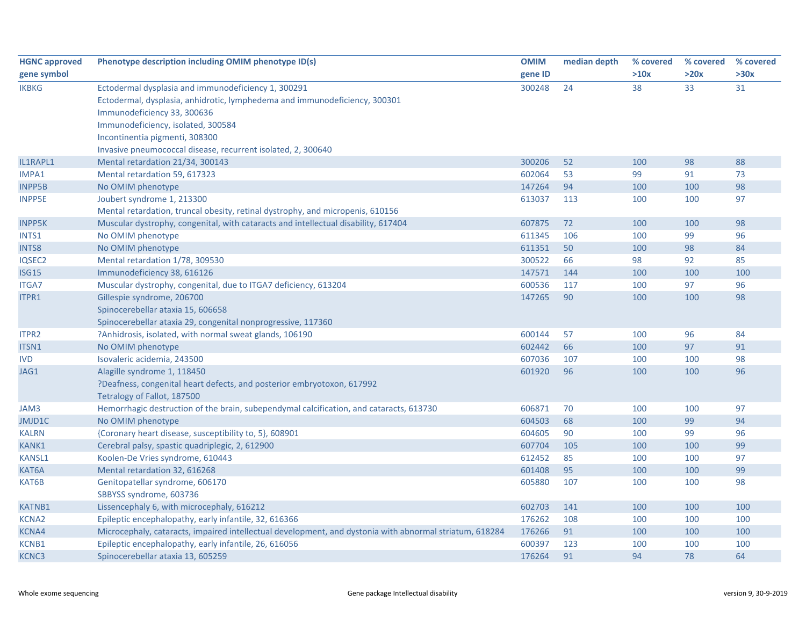| <b>HGNC approved</b> | Phenotype description including OMIM phenotype ID(s)                                                    | <b>OMIM</b> | median depth | % covered | % covered | % covered |
|----------------------|---------------------------------------------------------------------------------------------------------|-------------|--------------|-----------|-----------|-----------|
| gene symbol          |                                                                                                         | gene ID     |              | >10x      | >20x      | >30x      |
| <b>IKBKG</b>         | Ectodermal dysplasia and immunodeficiency 1, 300291                                                     | 300248      | 24           | 38        | 33        | 31        |
|                      | Ectodermal, dysplasia, anhidrotic, lymphedema and immunodeficiency, 300301                              |             |              |           |           |           |
|                      | Immunodeficiency 33, 300636                                                                             |             |              |           |           |           |
|                      | Immunodeficiency, isolated, 300584                                                                      |             |              |           |           |           |
|                      | Incontinentia pigmenti, 308300                                                                          |             |              |           |           |           |
|                      | Invasive pneumococcal disease, recurrent isolated, 2, 300640                                            |             |              |           |           |           |
| IL1RAPL1             | Mental retardation 21/34, 300143                                                                        | 300206      | 52           | 100       | 98        | 88        |
| IMPA1                | Mental retardation 59, 617323                                                                           | 602064      | 53           | 99        | 91        | 73        |
| <b>INPP5B</b>        | No OMIM phenotype                                                                                       | 147264      | 94           | 100       | 100       | 98        |
| <b>INPP5E</b>        | Joubert syndrome 1, 213300                                                                              | 613037      | 113          | 100       | 100       | 97        |
|                      | Mental retardation, truncal obesity, retinal dystrophy, and micropenis, 610156                          |             |              |           |           |           |
| <b>INPP5K</b>        | Muscular dystrophy, congenital, with cataracts and intellectual disability, 617404                      | 607875      | 72           | 100       | 100       | 98        |
| INTS1                | No OMIM phenotype                                                                                       | 611345      | 106          | 100       | 99        | 96        |
| <b>INTS8</b>         | No OMIM phenotype                                                                                       | 611351      | 50           | 100       | 98        | 84        |
| IQSEC2               | Mental retardation 1/78, 309530                                                                         | 300522      | 66           | 98        | 92        | 85        |
| <b>ISG15</b>         | Immunodeficiency 38, 616126                                                                             | 147571      | 144          | 100       | 100       | 100       |
| <b>ITGA7</b>         | Muscular dystrophy, congenital, due to ITGA7 deficiency, 613204                                         | 600536      | 117          | 100       | 97        | 96        |
| ITPR1                | Gillespie syndrome, 206700                                                                              | 147265      | 90           | 100       | 100       | 98        |
|                      | Spinocerebellar ataxia 15, 606658                                                                       |             |              |           |           |           |
|                      | Spinocerebellar ataxia 29, congenital nonprogressive, 117360                                            |             |              |           |           |           |
| <b>ITPR2</b>         | ?Anhidrosis, isolated, with normal sweat glands, 106190                                                 | 600144      | 57           | 100       | 96        | 84        |
| ITSN1                | No OMIM phenotype                                                                                       | 602442      | 66           | 100       | 97        | 91        |
| <b>IVD</b>           | Isovaleric acidemia, 243500                                                                             | 607036      | 107          | 100       | 100       | 98        |
| JAG1                 | Alagille syndrome 1, 118450                                                                             | 601920      | 96           | 100       | 100       | 96        |
|                      | ?Deafness, congenital heart defects, and posterior embryotoxon, 617992                                  |             |              |           |           |           |
|                      | Tetralogy of Fallot, 187500                                                                             |             |              |           |           |           |
| JAM3                 | Hemorrhagic destruction of the brain, subependymal calcification, and cataracts, 613730                 | 606871      | 70           | 100       | 100       | 97        |
| JMJD1C               | No OMIM phenotype                                                                                       | 604503      | 68           | 100       | 99        | 94        |
| <b>KALRN</b>         | {Coronary heart disease, susceptibility to, 5}, 608901                                                  | 604605      | 90           | 100       | 99        | 96        |
| <b>KANK1</b>         | Cerebral palsy, spastic quadriplegic, 2, 612900                                                         | 607704      | 105          | 100       | 100       | 99        |
| <b>KANSL1</b>        | Koolen-De Vries syndrome, 610443                                                                        | 612452      | 85           | 100       | 100       | 97        |
| KAT6A                | Mental retardation 32, 616268                                                                           | 601408      | 95           | 100       | 100       | 99        |
| KAT6B                | Genitopatellar syndrome, 606170                                                                         | 605880      | 107          | 100       | 100       | 98        |
|                      | SBBYSS syndrome, 603736                                                                                 |             |              |           |           |           |
| <b>KATNB1</b>        | Lissencephaly 6, with microcephaly, 616212                                                              | 602703      | 141          | 100       | 100       | 100       |
| <b>KCNA2</b>         | Epileptic encephalopathy, early infantile, 32, 616366                                                   | 176262      | 108          | 100       | 100       | 100       |
| <b>KCNA4</b>         | Microcephaly, cataracts, impaired intellectual development, and dystonia with abnormal striatum, 618284 | 176266      | 91           | 100       | 100       | 100       |
| KCNB1                | Epileptic encephalopathy, early infantile, 26, 616056                                                   | 600397      | 123          | 100       | 100       | 100       |
| KCNC3                | Spinocerebellar ataxia 13, 605259                                                                       | 176264      | 91           | 94        | 78        | 64        |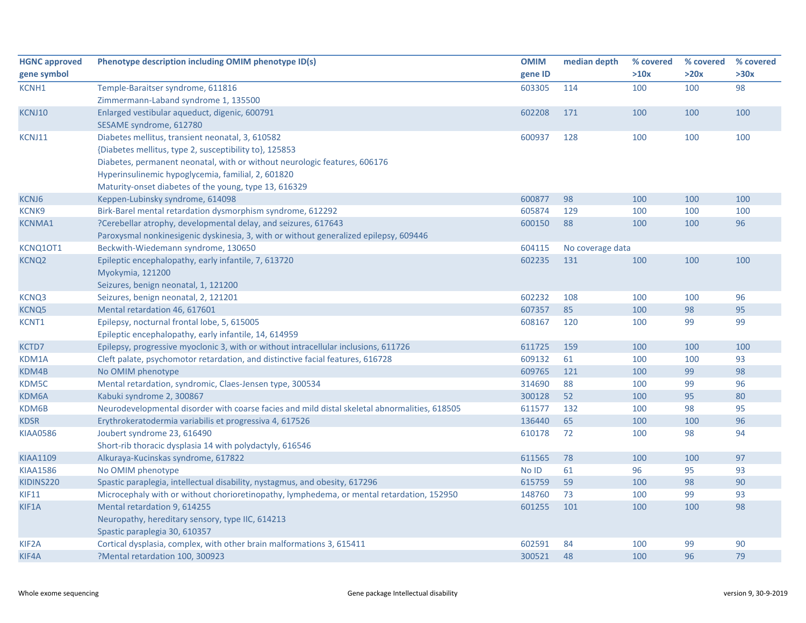| <b>HGNC approved</b> | Phenotype description including OMIM phenotype ID(s)                                          | <b>OMIM</b> | median depth     | % covered | % covered | % covered |
|----------------------|-----------------------------------------------------------------------------------------------|-------------|------------------|-----------|-----------|-----------|
| gene symbol          |                                                                                               | gene ID     |                  | >10x      | >20x      | >30x      |
| <b>KCNH1</b>         | Temple-Baraitser syndrome, 611816                                                             | 603305      | 114              | 100       | 100       | 98        |
|                      | Zimmermann-Laband syndrome 1, 135500                                                          |             |                  |           |           |           |
| KCNJ10               | Enlarged vestibular aqueduct, digenic, 600791                                                 | 602208      | 171              | 100       | 100       | 100       |
|                      | SESAME syndrome, 612780                                                                       |             |                  |           |           |           |
| KCNJ11               | Diabetes mellitus, transient neonatal, 3, 610582                                              | 600937      | 128              | 100       | 100       | 100       |
|                      | {Diabetes mellitus, type 2, susceptibility to}, 125853                                        |             |                  |           |           |           |
|                      | Diabetes, permanent neonatal, with or without neurologic features, 606176                     |             |                  |           |           |           |
|                      | Hyperinsulinemic hypoglycemia, familial, 2, 601820                                            |             |                  |           |           |           |
|                      | Maturity-onset diabetes of the young, type 13, 616329                                         |             |                  |           |           |           |
| KCNJ6                | Keppen-Lubinsky syndrome, 614098                                                              | 600877      | 98               | 100       | 100       | 100       |
| <b>KCNK9</b>         | Birk-Barel mental retardation dysmorphism syndrome, 612292                                    | 605874      | 129              | 100       | 100       | 100       |
| <b>KCNMA1</b>        | ?Cerebellar atrophy, developmental delay, and seizures, 617643                                | 600150      | 88               | 100       | 100       | 96        |
|                      | Paroxysmal nonkinesigenic dyskinesia, 3, with or without generalized epilepsy, 609446         |             |                  |           |           |           |
| KCNQ10T1             | Beckwith-Wiedemann syndrome, 130650                                                           | 604115      | No coverage data |           |           |           |
| KCNQ <sub>2</sub>    | Epileptic encephalopathy, early infantile, 7, 613720                                          | 602235      | 131              | 100       | 100       | 100       |
|                      | Myokymia, 121200                                                                              |             |                  |           |           |           |
|                      | Seizures, benign neonatal, 1, 121200                                                          |             |                  |           |           |           |
| KCNQ3                | Seizures, benign neonatal, 2, 121201                                                          | 602232      | 108              | 100       | 100       | 96        |
| <b>KCNQ5</b>         | Mental retardation 46, 617601                                                                 | 607357      | 85               | 100       | 98        | 95        |
| KCNT1                | Epilepsy, nocturnal frontal lobe, 5, 615005                                                   | 608167      | 120              | 100       | 99        | 99        |
|                      | Epileptic encephalopathy, early infantile, 14, 614959                                         |             |                  |           |           |           |
| KCTD7                | Epilepsy, progressive myoclonic 3, with or without intracellular inclusions, 611726           | 611725      | 159              | 100       | 100       | 100       |
| KDM1A                | Cleft palate, psychomotor retardation, and distinctive facial features, 616728                | 609132      | 61               | 100       | 100       | 93        |
| KDM4B                | No OMIM phenotype                                                                             | 609765      | 121              | 100       | 99        | 98        |
| KDM5C                | Mental retardation, syndromic, Claes-Jensen type, 300534                                      | 314690      | 88               | 100       | 99        | 96        |
| KDM6A                | Kabuki syndrome 2, 300867                                                                     | 300128      | 52               | 100       | 95        | 80        |
| KDM6B                | Neurodevelopmental disorder with coarse facies and mild distal skeletal abnormalities, 618505 | 611577      | 132              | 100       | 98        | 95        |
| <b>KDSR</b>          | Erythrokeratodermia variabilis et progressiva 4, 617526                                       | 136440      | 65               | 100       | 100       | 96        |
| <b>KIAA0586</b>      | Joubert syndrome 23, 616490                                                                   | 610178      | 72               | 100       | 98        | 94        |
|                      | Short-rib thoracic dysplasia 14 with polydactyly, 616546                                      |             |                  |           |           |           |
| <b>KIAA1109</b>      | Alkuraya-Kucinskas syndrome, 617822                                                           | 611565      | 78               | 100       | 100       | 97        |
| <b>KIAA1586</b>      | No OMIM phenotype                                                                             | No ID       | 61               | 96        | 95        | 93        |
| KIDINS220            | Spastic paraplegia, intellectual disability, nystagmus, and obesity, 617296                   | 615759      | 59               | 100       | 98        | 90        |
| <b>KIF11</b>         | Microcephaly with or without chorioretinopathy, lymphedema, or mental retardation, 152950     | 148760      | 73               | 100       | 99        | 93        |
| KIF1A                | Mental retardation 9, 614255                                                                  | 601255      | 101              | 100       | 100       | 98        |
|                      | Neuropathy, hereditary sensory, type IIC, 614213                                              |             |                  |           |           |           |
|                      | Spastic paraplegia 30, 610357                                                                 |             |                  |           |           |           |
| KIF <sub>2</sub> A   | Cortical dysplasia, complex, with other brain malformations 3, 615411                         | 602591      | 84               | 100       | 99        | 90        |
| KIF4A                | ?Mental retardation 100, 300923                                                               | 300521      | 48               | 100       | 96        | 79        |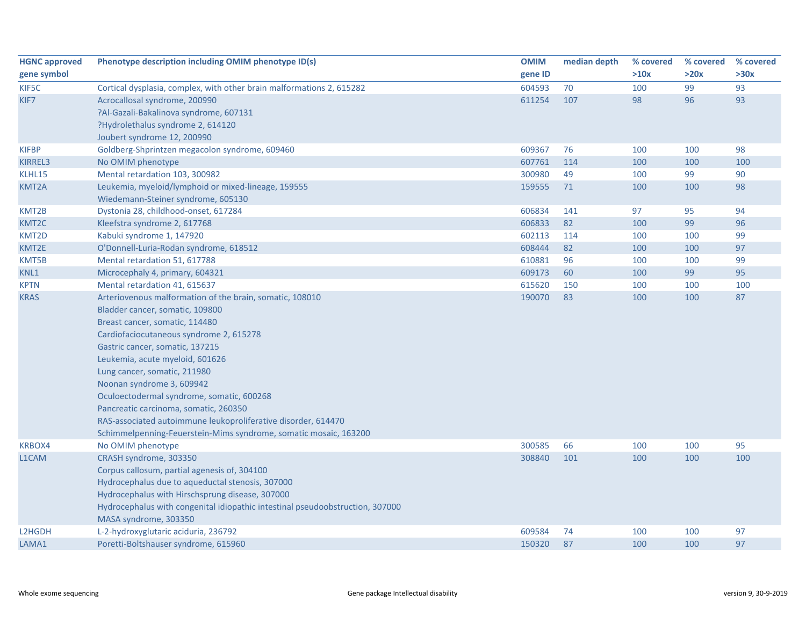| <b>HGNC approved</b> | Phenotype description including OMIM phenotype ID(s)                          | <b>OMIM</b> | median depth | % covered | % covered | % covered |
|----------------------|-------------------------------------------------------------------------------|-------------|--------------|-----------|-----------|-----------|
| gene symbol          |                                                                               | gene ID     |              | >10x      | >20x      | >30x      |
| KIF5C                | Cortical dysplasia, complex, with other brain malformations 2, 615282         | 604593      | 70           | 100       | 99        | 93        |
| KIF7                 | Acrocallosal syndrome, 200990                                                 | 611254      | 107          | 98        | 96        | 93        |
|                      | ?Al-Gazali-Bakalinova syndrome, 607131                                        |             |              |           |           |           |
|                      | ?Hydrolethalus syndrome 2, 614120                                             |             |              |           |           |           |
|                      | Joubert syndrome 12, 200990                                                   |             |              |           |           |           |
| <b>KIFBP</b>         | Goldberg-Shprintzen megacolon syndrome, 609460                                | 609367      | 76           | 100       | 100       | 98        |
| <b>KIRREL3</b>       | No OMIM phenotype                                                             | 607761      | 114          | 100       | 100       | 100       |
| KLHL15               | Mental retardation 103, 300982                                                | 300980      | 49           | 100       | 99        | 90        |
| KMT2A                | Leukemia, myeloid/lymphoid or mixed-lineage, 159555                           | 159555      | 71           | 100       | 100       | 98        |
|                      | Wiedemann-Steiner syndrome, 605130                                            |             |              |           |           |           |
| KMT2B                | Dystonia 28, childhood-onset, 617284                                          | 606834      | 141          | 97        | 95        | 94        |
| KMT2C                | Kleefstra syndrome 2, 617768                                                  | 606833      | 82           | 100       | 99        | 96        |
| KMT2D                | Kabuki syndrome 1, 147920                                                     | 602113      | 114          | 100       | 100       | 99        |
| KMT2E                | O'Donnell-Luria-Rodan syndrome, 618512                                        | 608444      | 82           | 100       | 100       | 97        |
| KMT5B                | Mental retardation 51, 617788                                                 | 610881      | 96           | 100       | 100       | 99        |
| KNL1                 | Microcephaly 4, primary, 604321                                               | 609173      | 60           | 100       | 99        | 95        |
| <b>KPTN</b>          | Mental retardation 41, 615637                                                 | 615620      | 150          | 100       | 100       | 100       |
| <b>KRAS</b>          | Arteriovenous malformation of the brain, somatic, 108010                      | 190070      | 83           | 100       | 100       | 87        |
|                      | Bladder cancer, somatic, 109800                                               |             |              |           |           |           |
|                      | Breast cancer, somatic, 114480                                                |             |              |           |           |           |
|                      | Cardiofaciocutaneous syndrome 2, 615278                                       |             |              |           |           |           |
|                      | Gastric cancer, somatic, 137215                                               |             |              |           |           |           |
|                      | Leukemia, acute myeloid, 601626                                               |             |              |           |           |           |
|                      | Lung cancer, somatic, 211980                                                  |             |              |           |           |           |
|                      | Noonan syndrome 3, 609942                                                     |             |              |           |           |           |
|                      | Oculoectodermal syndrome, somatic, 600268                                     |             |              |           |           |           |
|                      | Pancreatic carcinoma, somatic, 260350                                         |             |              |           |           |           |
|                      | RAS-associated autoimmune leukoproliferative disorder, 614470                 |             |              |           |           |           |
|                      | Schimmelpenning-Feuerstein-Mims syndrome, somatic mosaic, 163200              |             |              |           |           |           |
| <b>KRBOX4</b>        | No OMIM phenotype                                                             | 300585      | 66           | 100       | 100       | 95        |
| L1CAM                | CRASH syndrome, 303350                                                        | 308840      | 101          | 100       | 100       | 100       |
|                      | Corpus callosum, partial agenesis of, 304100                                  |             |              |           |           |           |
|                      | Hydrocephalus due to aqueductal stenosis, 307000                              |             |              |           |           |           |
|                      | Hydrocephalus with Hirschsprung disease, 307000                               |             |              |           |           |           |
|                      | Hydrocephalus with congenital idiopathic intestinal pseudoobstruction, 307000 |             |              |           |           |           |
|                      | MASA syndrome, 303350                                                         |             |              |           |           |           |
| L2HGDH               | L-2-hydroxyglutaric aciduria, 236792                                          | 609584      | 74           | 100       | 100       | 97        |
| LAMA1                | Poretti-Boltshauser syndrome, 615960                                          | 150320      | 87           | 100       | 100       | 97        |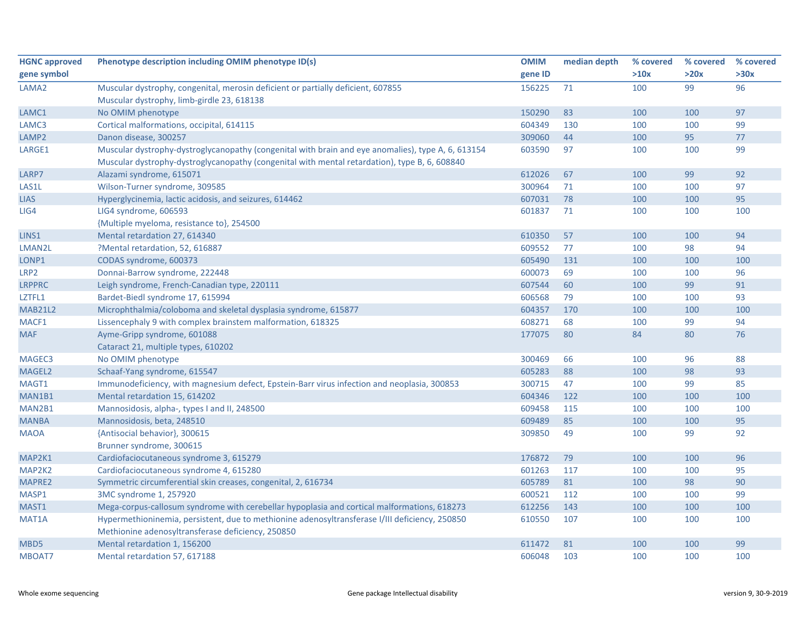| <b>HGNC approved</b> | Phenotype description including OMIM phenotype ID(s)                                               | <b>OMIM</b> | median depth | % covered | % covered | % covered |
|----------------------|----------------------------------------------------------------------------------------------------|-------------|--------------|-----------|-----------|-----------|
| gene symbol          |                                                                                                    | gene ID     |              | >10x      | >20x      | >30x      |
| LAMA <sub>2</sub>    | Muscular dystrophy, congenital, merosin deficient or partially deficient, 607855                   | 156225      | 71           | 100       | 99        | 96        |
|                      | Muscular dystrophy, limb-girdle 23, 618138                                                         |             |              |           |           |           |
| LAMC1                | No OMIM phenotype                                                                                  | 150290      | 83           | 100       | 100       | 97        |
| LAMC3                | Cortical malformations, occipital, 614115                                                          | 604349      | 130          | 100       | 100       | 99        |
| LAMP <sub>2</sub>    | Danon disease, 300257                                                                              | 309060      | 44           | 100       | 95        | 77        |
| LARGE1               | Muscular dystrophy-dystroglycanopathy (congenital with brain and eye anomalies), type A, 6, 613154 | 603590      | 97           | 100       | 100       | 99        |
|                      | Muscular dystrophy-dystroglycanopathy (congenital with mental retardation), type B, 6, 608840      |             |              |           |           |           |
| LARP7                | Alazami syndrome, 615071                                                                           | 612026      | 67           | 100       | 99        | 92        |
| LAS1L                | Wilson-Turner syndrome, 309585                                                                     | 300964      | 71           | 100       | 100       | 97        |
| <b>LIAS</b>          | Hyperglycinemia, lactic acidosis, and seizures, 614462                                             | 607031      | 78           | 100       | 100       | 95        |
| LIG4                 | LIG4 syndrome, 606593                                                                              | 601837      | 71           | 100       | 100       | 100       |
|                      | {Multiple myeloma, resistance to}, 254500                                                          |             |              |           |           |           |
| LINS1                | Mental retardation 27, 614340                                                                      | 610350      | 57           | 100       | 100       | 94        |
| LMAN2L               | ?Mental retardation, 52, 616887                                                                    | 609552      | 77           | 100       | 98        | 94        |
| LONP1                | CODAS syndrome, 600373                                                                             | 605490      | 131          | 100       | 100       | 100       |
| LRP <sub>2</sub>     | Donnai-Barrow syndrome, 222448                                                                     | 600073      | 69           | 100       | 100       | 96        |
| <b>LRPPRC</b>        | Leigh syndrome, French-Canadian type, 220111                                                       | 607544      | 60           | 100       | 99        | 91        |
| LZTFL1               | Bardet-Biedl syndrome 17, 615994                                                                   | 606568      | 79           | 100       | 100       | 93        |
| <b>MAB21L2</b>       | Microphthalmia/coloboma and skeletal dysplasia syndrome, 615877                                    | 604357      | 170          | 100       | 100       | 100       |
| MACF1                | Lissencephaly 9 with complex brainstem malformation, 618325                                        | 608271      | 68           | 100       | 99        | 94        |
| <b>MAF</b>           | Ayme-Gripp syndrome, 601088                                                                        | 177075      | 80           | 84        | 80        | 76        |
|                      | Cataract 21, multiple types, 610202                                                                |             |              |           |           |           |
| MAGEC3               | No OMIM phenotype                                                                                  | 300469      | 66           | 100       | 96        | 88        |
| MAGEL2               | Schaaf-Yang syndrome, 615547                                                                       | 605283      | 88           | 100       | 98        | 93        |
| MAGT1                | Immunodeficiency, with magnesium defect, Epstein-Barr virus infection and neoplasia, 300853        | 300715      | 47           | 100       | 99        | 85        |
| MAN1B1               | Mental retardation 15, 614202                                                                      | 604346      | 122          | 100       | 100       | 100       |
| MAN2B1               | Mannosidosis, alpha-, types I and II, 248500                                                       | 609458      | 115          | 100       | 100       | 100       |
| <b>MANBA</b>         | Mannosidosis, beta, 248510                                                                         | 609489      | 85           | 100       | 100       | 95        |
| <b>MAOA</b>          | {Antisocial behavior}, 300615                                                                      | 309850      | 49           | 100       | 99        | 92        |
|                      | Brunner syndrome, 300615                                                                           |             |              |           |           |           |
| MAP2K1               | Cardiofaciocutaneous syndrome 3, 615279                                                            | 176872      | 79           | 100       | 100       | 96        |
| MAP2K2               | Cardiofaciocutaneous syndrome 4, 615280                                                            | 601263      | 117          | 100       | 100       | 95        |
| MAPRE2               | Symmetric circumferential skin creases, congenital, 2, 616734                                      | 605789      | 81           | 100       | 98        | 90        |
| MASP1                | 3MC syndrome 1, 257920                                                                             | 600521      | 112          | 100       | 100       | 99        |
| MAST1                | Mega-corpus-callosum syndrome with cerebellar hypoplasia and cortical malformations, 618273        | 612256      | 143          | 100       | 100       | 100       |
| MAT1A                | Hypermethioninemia, persistent, due to methionine adenosyltransferase I/III deficiency, 250850     | 610550      | 107          | 100       | 100       | 100       |
|                      | Methionine adenosyltransferase deficiency, 250850                                                  |             |              |           |           |           |
| MBD5                 | Mental retardation 1, 156200                                                                       | 611472      | 81           | 100       | 100       | 99        |
| MBOAT7               | Mental retardation 57, 617188                                                                      | 606048      | 103          | 100       | 100       | 100       |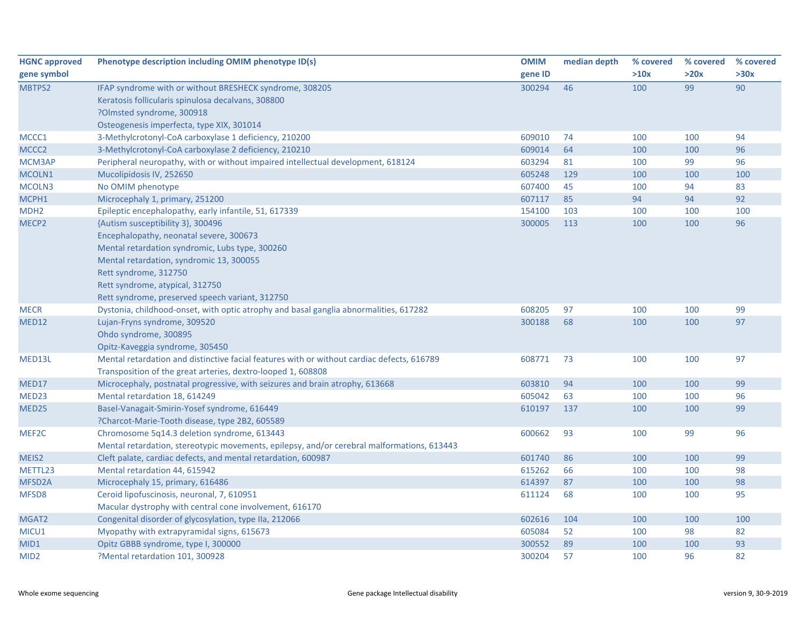| <b>HGNC approved</b> | Phenotype description including OMIM phenotype ID(s)                                       | <b>OMIM</b> | median depth | % covered | % covered | % covered |
|----------------------|--------------------------------------------------------------------------------------------|-------------|--------------|-----------|-----------|-----------|
| gene symbol          |                                                                                            | gene ID     |              | >10x      | >20x      | >30x      |
| MBTPS2               | IFAP syndrome with or without BRESHECK syndrome, 308205                                    | 300294      | 46           | 100       | 99        | 90        |
|                      | Keratosis follicularis spinulosa decalvans, 308800                                         |             |              |           |           |           |
|                      | ?Olmsted syndrome, 300918                                                                  |             |              |           |           |           |
|                      | Osteogenesis imperfecta, type XIX, 301014                                                  |             |              |           |           |           |
| MCCC1                | 3-Methylcrotonyl-CoA carboxylase 1 deficiency, 210200                                      | 609010      | 74           | 100       | 100       | 94        |
| MCCC <sub>2</sub>    | 3-Methylcrotonyl-CoA carboxylase 2 deficiency, 210210                                      | 609014      | 64           | 100       | 100       | 96        |
| MCM3AP               | Peripheral neuropathy, with or without impaired intellectual development, 618124           | 603294      | 81           | 100       | 99        | 96        |
| MCOLN1               | Mucolipidosis IV, 252650                                                                   | 605248      | 129          | 100       | 100       | 100       |
| MCOLN3               | No OMIM phenotype                                                                          | 607400      | 45           | 100       | 94        | 83        |
| MCPH1                | Microcephaly 1, primary, 251200                                                            | 607117      | 85           | 94        | 94        | 92        |
| MDH <sub>2</sub>     | Epileptic encephalopathy, early infantile, 51, 617339                                      | 154100      | 103          | 100       | 100       | 100       |
| MECP <sub>2</sub>    | {Autism susceptibility 3}, 300496                                                          | 300005      | 113          | 100       | 100       | 96        |
|                      | Encephalopathy, neonatal severe, 300673                                                    |             |              |           |           |           |
|                      | Mental retardation syndromic, Lubs type, 300260                                            |             |              |           |           |           |
|                      | Mental retardation, syndromic 13, 300055                                                   |             |              |           |           |           |
|                      | Rett syndrome, 312750                                                                      |             |              |           |           |           |
|                      | Rett syndrome, atypical, 312750                                                            |             |              |           |           |           |
|                      | Rett syndrome, preserved speech variant, 312750                                            |             |              |           |           |           |
| <b>MECR</b>          | Dystonia, childhood-onset, with optic atrophy and basal ganglia abnormalities, 617282      | 608205      | 97           | 100       | 100       | 99        |
| MED12                | Lujan-Fryns syndrome, 309520                                                               | 300188      | 68           | 100       | 100       | 97        |
|                      | Ohdo syndrome, 300895                                                                      |             |              |           |           |           |
|                      | Opitz-Kaveggia syndrome, 305450                                                            |             |              |           |           |           |
| MED13L               | Mental retardation and distinctive facial features with or without cardiac defects, 616789 | 608771      | 73           | 100       | 100       | 97        |
|                      | Transposition of the great arteries, dextro-looped 1, 608808                               |             |              |           |           |           |
| MED17                | Microcephaly, postnatal progressive, with seizures and brain atrophy, 613668               | 603810      | 94           | 100       | 100       | 99        |
| MED23                | Mental retardation 18, 614249                                                              | 605042      | 63           | 100       | 100       | 96        |
| MED25                | Basel-Vanagait-Smirin-Yosef syndrome, 616449                                               | 610197      | 137          | 100       | 100       | 99        |
|                      | ?Charcot-Marie-Tooth disease, type 2B2, 605589                                             |             |              |           |           |           |
| MEF <sub>2C</sub>    | Chromosome 5q14.3 deletion syndrome, 613443                                                | 600662      | 93           | 100       | 99        | 96        |
|                      | Mental retardation, stereotypic movements, epilepsy, and/or cerebral malformations, 613443 |             |              |           |           |           |
| MEIS2                | Cleft palate, cardiac defects, and mental retardation, 600987                              | 601740      | 86           | 100       | 100       | 99        |
| METTL23              | Mental retardation 44, 615942                                                              | 615262      | 66           | 100       | 100       | 98        |
| MFSD <sub>2</sub> A  | Microcephaly 15, primary, 616486                                                           | 614397      | 87           | 100       | 100       | 98        |
| MFSD8                | Ceroid lipofuscinosis, neuronal, 7, 610951                                                 | 611124      | 68           | 100       | 100       | 95        |
|                      | Macular dystrophy with central cone involvement, 616170                                    |             |              |           |           |           |
| MGAT2                | Congenital disorder of glycosylation, type IIa, 212066                                     | 602616      | 104          | 100       | 100       | 100       |
| MICU1                | Myopathy with extrapyramidal signs, 615673                                                 | 605084      | 52           | 100       | 98        | 82        |
| MID1                 | Opitz GBBB syndrome, type I, 300000                                                        | 300552      | 89           | 100       | 100       | 93        |
| MID <sub>2</sub>     | ?Mental retardation 101, 300928                                                            | 300204      | 57           | 100       | 96        | 82        |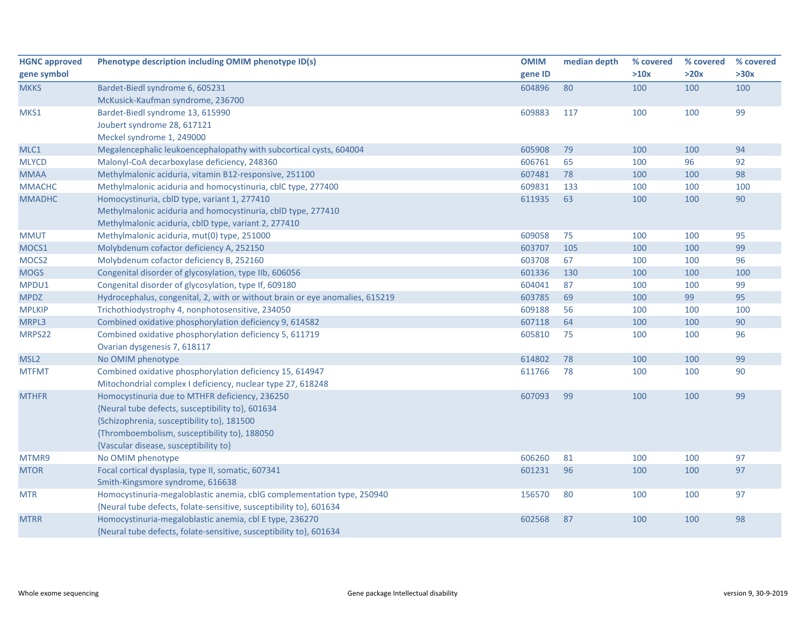| <b>HGNC approved</b> | Phenotype description including OMIM phenotype ID(s)                         | <b>OMIM</b> | median depth | % covered | % covered | % covered |
|----------------------|------------------------------------------------------------------------------|-------------|--------------|-----------|-----------|-----------|
| gene symbol          |                                                                              | gene ID     |              | >10x      | >20x      | >30x      |
| <b>MKKS</b>          | Bardet-Biedl syndrome 6, 605231                                              | 604896      | 80           | 100       | 100       | 100       |
|                      | McKusick-Kaufman syndrome, 236700                                            |             |              |           |           |           |
| MKS1                 | Bardet-Biedl syndrome 13, 615990                                             | 609883      | 117          | 100       | 100       | 99        |
|                      | Joubert syndrome 28, 617121                                                  |             |              |           |           |           |
|                      | Meckel syndrome 1, 249000                                                    |             |              |           |           |           |
| MLC1                 | Megalencephalic leukoencephalopathy with subcortical cysts, 604004           | 605908      | 79           | 100       | 100       | 94        |
| <b>MLYCD</b>         | Malonyl-CoA decarboxylase deficiency, 248360                                 | 606761      | 65           | 100       | 96        | 92        |
| <b>MMAA</b>          | Methylmalonic aciduria, vitamin B12-responsive, 251100                       | 607481      | 78           | 100       | 100       | 98        |
| <b>MMACHC</b>        | Methylmalonic aciduria and homocystinuria, cblC type, 277400                 | 609831      | 133          | 100       | 100       | 100       |
| <b>MMADHC</b>        | Homocystinuria, cblD type, variant 1, 277410                                 | 611935      | 63           | 100       | 100       | 90        |
|                      | Methylmalonic aciduria and homocystinuria, cbID type, 277410                 |             |              |           |           |           |
|                      | Methylmalonic aciduria, cblD type, variant 2, 277410                         |             |              |           |           |           |
| <b>MMUT</b>          | Methylmalonic aciduria, mut(0) type, 251000                                  | 609058      | 75           | 100       | 100       | 95        |
| MOCS1                | Molybdenum cofactor deficiency A, 252150                                     | 603707      | 105          | 100       | 100       | 99        |
| MOCS2                | Molybdenum cofactor deficiency B, 252160                                     | 603708      | 67           | 100       | 100       | 96        |
| <b>MOGS</b>          | Congenital disorder of glycosylation, type IIb, 606056                       | 601336      | 130          | 100       | 100       | 100       |
| MPDU1                | Congenital disorder of glycosylation, type If, 609180                        | 604041      | 87           | 100       | 100       | 99        |
| <b>MPDZ</b>          | Hydrocephalus, congenital, 2, with or without brain or eye anomalies, 615219 | 603785      | 69           | 100       | 99        | 95        |
| <b>MPLKIP</b>        | Trichothiodystrophy 4, nonphotosensitive, 234050                             | 609188      | 56           | 100       | 100       | 100       |
| MRPL3                | Combined oxidative phosphorylation deficiency 9, 614582                      | 607118      | 64           | 100       | 100       | 90        |
| MRPS22               | Combined oxidative phosphorylation deficiency 5, 611719                      | 605810      | 75           | 100       | 100       | 96        |
|                      | Ovarian dysgenesis 7, 618117                                                 |             |              |           |           |           |
| MSL <sub>2</sub>     | No OMIM phenotype                                                            | 614802      | 78           | 100       | 100       | 99        |
| <b>MTFMT</b>         | Combined oxidative phosphorylation deficiency 15, 614947                     | 611766      | 78           | 100       | 100       | 90        |
|                      | Mitochondrial complex I deficiency, nuclear type 27, 618248                  |             |              |           |           |           |
| <b>MTHFR</b>         | Homocystinuria due to MTHFR deficiency, 236250                               | 607093      | 99           | 100       | 100       | 99        |
|                      | {Neural tube defects, susceptibility to}, 601634                             |             |              |           |           |           |
|                      | {Schizophrenia, susceptibility to}, 181500                                   |             |              |           |           |           |
|                      | {Thromboembolism, susceptibility to}, 188050                                 |             |              |           |           |           |
|                      | {Vascular disease, susceptibility to}                                        |             |              |           |           |           |
| MTMR9                | No OMIM phenotype                                                            | 606260      | 81           | 100       | 100       | 97        |
| <b>MTOR</b>          | Focal cortical dysplasia, type II, somatic, 607341                           | 601231      | 96           | 100       | 100       | 97        |
|                      | Smith-Kingsmore syndrome, 616638                                             |             |              |           |           |           |
| <b>MTR</b>           | Homocystinuria-megaloblastic anemia, cblG complementation type, 250940       | 156570      | 80           | 100       | 100       | 97        |
|                      | {Neural tube defects, folate-sensitive, susceptibility to}, 601634           |             |              |           |           |           |
| <b>MTRR</b>          | Homocystinuria-megaloblastic anemia, cbl E type, 236270                      | 602568      | 87           | 100       | 100       | 98        |
|                      | {Neural tube defects, folate-sensitive, susceptibility to}, 601634           |             |              |           |           |           |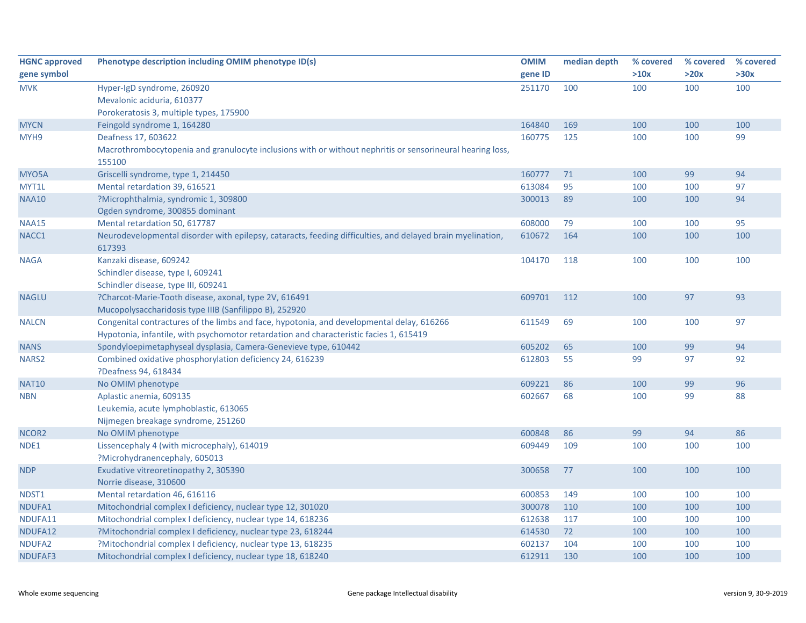| <b>HGNC approved</b> | Phenotype description including OMIM phenotype ID(s)                                                                 | <b>OMIM</b> | median depth | % covered | % covered | % covered |
|----------------------|----------------------------------------------------------------------------------------------------------------------|-------------|--------------|-----------|-----------|-----------|
| gene symbol          |                                                                                                                      | gene ID     |              | >10x      | >20x      | >30x      |
| <b>MVK</b>           | Hyper-IgD syndrome, 260920                                                                                           | 251170      | 100          | 100       | 100       | 100       |
|                      | Mevalonic aciduria, 610377                                                                                           |             |              |           |           |           |
|                      | Porokeratosis 3, multiple types, 175900                                                                              |             |              |           |           |           |
| <b>MYCN</b>          | Feingold syndrome 1, 164280                                                                                          | 164840      | 169          | 100       | 100       | 100       |
| MYH9                 | Deafness 17, 603622                                                                                                  | 160775      | 125          | 100       | 100       | 99        |
|                      | Macrothrombocytopenia and granulocyte inclusions with or without nephritis or sensorineural hearing loss,<br>155100  |             |              |           |           |           |
| MYO5A                | Griscelli syndrome, type 1, 214450                                                                                   | 160777      | 71           | 100       | 99        | 94        |
| MYT1L                | Mental retardation 39, 616521                                                                                        | 613084      | 95           | 100       | 100       | 97        |
| <b>NAA10</b>         | ?Microphthalmia, syndromic 1, 309800                                                                                 | 300013      | 89           | 100       | 100       | 94        |
|                      | Ogden syndrome, 300855 dominant                                                                                      |             |              |           |           |           |
| <b>NAA15</b>         | Mental retardation 50, 617787                                                                                        | 608000      | 79           | 100       | 100       | 95        |
| NACC1                | Neurodevelopmental disorder with epilepsy, cataracts, feeding difficulties, and delayed brain myelination,<br>617393 | 610672      | 164          | 100       | 100       | 100       |
| <b>NAGA</b>          | Kanzaki disease, 609242                                                                                              | 104170      | 118          | 100       | 100       | 100       |
|                      | Schindler disease, type I, 609241                                                                                    |             |              |           |           |           |
|                      | Schindler disease, type III, 609241                                                                                  |             |              |           |           |           |
| <b>NAGLU</b>         | ?Charcot-Marie-Tooth disease, axonal, type 2V, 616491                                                                | 609701      | 112          | 100       | 97        | 93        |
|                      | Mucopolysaccharidosis type IIIB (Sanfilippo B), 252920                                                               |             |              |           |           |           |
| <b>NALCN</b>         | Congenital contractures of the limbs and face, hypotonia, and developmental delay, 616266                            | 611549      | 69           | 100       | 100       | 97        |
|                      | Hypotonia, infantile, with psychomotor retardation and characteristic facies 1, 615419                               |             |              |           |           |           |
| <b>NANS</b>          | Spondyloepimetaphyseal dysplasia, Camera-Genevieve type, 610442                                                      | 605202      | 65           | 100       | 99        | 94        |
| NARS <sub>2</sub>    | Combined oxidative phosphorylation deficiency 24, 616239                                                             | 612803      | 55           | 99        | 97        | 92        |
|                      | ?Deafness 94, 618434                                                                                                 |             |              |           |           |           |
| <b>NAT10</b>         | No OMIM phenotype                                                                                                    | 609221      | 86           | 100       | 99        | 96        |
| <b>NBN</b>           | Aplastic anemia, 609135                                                                                              | 602667      | 68           | 100       | 99        | 88        |
|                      | Leukemia, acute lymphoblastic, 613065                                                                                |             |              |           |           |           |
|                      | Nijmegen breakage syndrome, 251260                                                                                   |             |              |           |           |           |
| NCOR <sub>2</sub>    | No OMIM phenotype                                                                                                    | 600848      | 86           | 99        | 94        | 86        |
| NDE1                 | Lissencephaly 4 (with microcephaly), 614019                                                                          | 609449      | 109          | 100       | 100       | 100       |
|                      | ?Microhydranencephaly, 605013                                                                                        |             |              |           |           |           |
| <b>NDP</b>           | Exudative vitreoretinopathy 2, 305390                                                                                | 300658      | 77           | 100       | 100       | 100       |
|                      | Norrie disease, 310600                                                                                               |             |              |           |           |           |
| NDST1                | Mental retardation 46, 616116                                                                                        | 600853      | 149          | 100       | 100       | 100       |
| NDUFA1               | Mitochondrial complex I deficiency, nuclear type 12, 301020                                                          | 300078      | 110          | 100       | 100       | 100       |
| NDUFA11              | Mitochondrial complex I deficiency, nuclear type 14, 618236                                                          | 612638      | 117          | 100       | 100       | 100       |
| NDUFA12              | ?Mitochondrial complex I deficiency, nuclear type 23, 618244                                                         | 614530      | 72           | 100       | 100       | 100       |
| NDUFA2               | ?Mitochondrial complex I deficiency, nuclear type 13, 618235                                                         | 602137      | 104          | 100       | 100       | 100       |
| NDUFAF3              | Mitochondrial complex I deficiency, nuclear type 18, 618240                                                          | 612911      | 130          | 100       | 100       | 100       |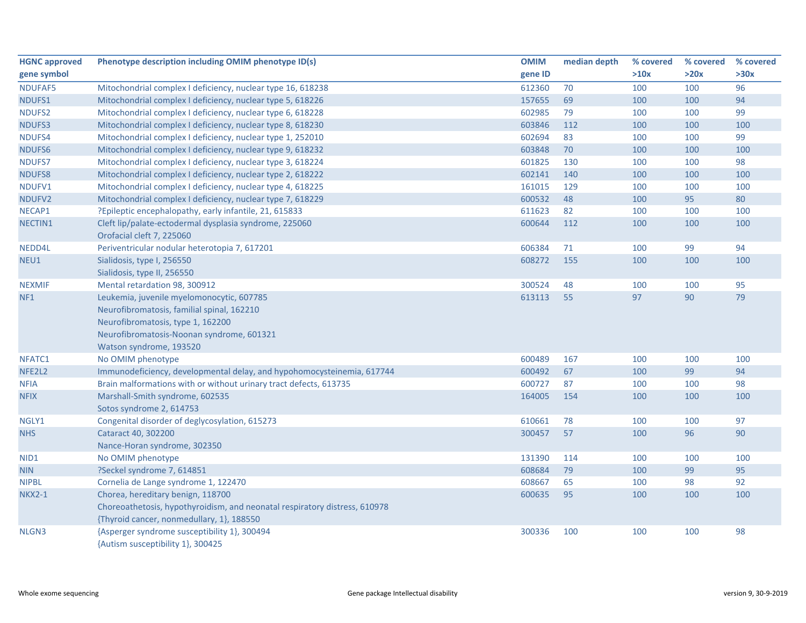| <b>HGNC approved</b> | Phenotype description including OMIM phenotype ID(s)                       | <b>OMIM</b> | median depth | % covered | % covered | % covered |
|----------------------|----------------------------------------------------------------------------|-------------|--------------|-----------|-----------|-----------|
| gene symbol          |                                                                            | gene ID     |              | >10x      | >20x      | >30x      |
| NDUFAF5              | Mitochondrial complex I deficiency, nuclear type 16, 618238                | 612360      | 70           | 100       | 100       | 96        |
| NDUFS1               | Mitochondrial complex I deficiency, nuclear type 5, 618226                 | 157655      | 69           | 100       | 100       | 94        |
| NDUFS2               | Mitochondrial complex I deficiency, nuclear type 6, 618228                 | 602985      | 79           | 100       | 100       | 99        |
| NDUFS3               | Mitochondrial complex I deficiency, nuclear type 8, 618230                 | 603846      | 112          | 100       | 100       | 100       |
| NDUFS4               | Mitochondrial complex I deficiency, nuclear type 1, 252010                 | 602694      | 83           | 100       | 100       | 99        |
| NDUFS6               | Mitochondrial complex I deficiency, nuclear type 9, 618232                 | 603848      | 70           | 100       | 100       | 100       |
| NDUFS7               | Mitochondrial complex I deficiency, nuclear type 3, 618224                 | 601825      | 130          | 100       | 100       | 98        |
| NDUFS8               | Mitochondrial complex I deficiency, nuclear type 2, 618222                 | 602141      | 140          | 100       | 100       | 100       |
| NDUFV1               | Mitochondrial complex I deficiency, nuclear type 4, 618225                 | 161015      | 129          | 100       | 100       | 100       |
| NDUFV2               | Mitochondrial complex I deficiency, nuclear type 7, 618229                 | 600532      | 48           | 100       | 95        | 80        |
| NECAP1               | ?Epileptic encephalopathy, early infantile, 21, 615833                     | 611623      | 82           | 100       | 100       | 100       |
| NECTIN1              | Cleft lip/palate-ectodermal dysplasia syndrome, 225060                     | 600644      | 112          | 100       | 100       | 100       |
|                      | Orofacial cleft 7, 225060                                                  |             |              |           |           |           |
| NEDD4L               | Periventricular nodular heterotopia 7, 617201                              | 606384      | 71           | 100       | 99        | 94        |
| NEU1                 | Sialidosis, type I, 256550                                                 | 608272      | 155          | 100       | 100       | 100       |
|                      | Sialidosis, type II, 256550                                                |             |              |           |           |           |
| <b>NEXMIF</b>        | Mental retardation 98, 300912                                              | 300524      | 48           | 100       | 100       | 95        |
| NF1                  | Leukemia, juvenile myelomonocytic, 607785                                  | 613113      | 55           | 97        | 90        | 79        |
|                      | Neurofibromatosis, familial spinal, 162210                                 |             |              |           |           |           |
|                      | Neurofibromatosis, type 1, 162200                                          |             |              |           |           |           |
|                      | Neurofibromatosis-Noonan syndrome, 601321                                  |             |              |           |           |           |
|                      | Watson syndrome, 193520                                                    |             |              |           |           |           |
| NFATC1               | No OMIM phenotype                                                          | 600489      | 167          | 100       | 100       | 100       |
| NFE2L2               | Immunodeficiency, developmental delay, and hypohomocysteinemia, 617744     | 600492      | 67           | 100       | 99        | 94        |
| <b>NFIA</b>          | Brain malformations with or without urinary tract defects, 613735          | 600727      | 87           | 100       | 100       | 98        |
| <b>NFIX</b>          | Marshall-Smith syndrome, 602535                                            | 164005      | 154          | 100       | 100       | 100       |
|                      | Sotos syndrome 2, 614753                                                   |             |              |           |           |           |
| NGLY1                | Congenital disorder of deglycosylation, 615273                             | 610661      | 78           | 100       | 100       | 97        |
| <b>NHS</b>           | Cataract 40, 302200                                                        | 300457      | 57           | 100       | 96        | 90        |
|                      | Nance-Horan syndrome, 302350                                               |             |              |           |           |           |
| NID1                 | No OMIM phenotype                                                          | 131390      | 114          | 100       | 100       | 100       |
| <b>NIN</b>           | ?Seckel syndrome 7, 614851                                                 | 608684      | 79           | 100       | 99        | 95        |
| <b>NIPBL</b>         | Cornelia de Lange syndrome 1, 122470                                       | 608667      | 65           | 100       | 98        | 92        |
| <b>NKX2-1</b>        | Chorea, hereditary benign, 118700                                          | 600635      | 95           | 100       | 100       | 100       |
|                      | Choreoathetosis, hypothyroidism, and neonatal respiratory distress, 610978 |             |              |           |           |           |
|                      | {Thyroid cancer, nonmedullary, 1}, 188550                                  |             |              |           |           |           |
| NLGN3                | {Asperger syndrome susceptibility 1}, 300494                               | 300336      | 100          | 100       | 100       | 98        |
|                      | {Autism susceptibility 1}, 300425                                          |             |              |           |           |           |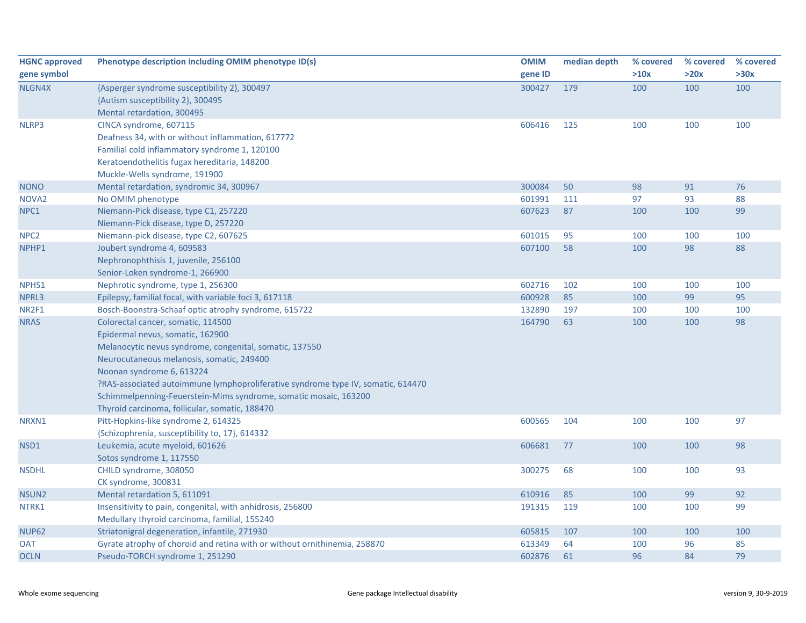| <b>HGNC approved</b> | Phenotype description including OMIM phenotype ID(s)                             | <b>OMIM</b> | median depth | % covered | % covered | % covered |
|----------------------|----------------------------------------------------------------------------------|-------------|--------------|-----------|-----------|-----------|
| gene symbol          |                                                                                  | gene ID     |              | >10x      | >20x      | >30x      |
| NLGN4X               | {Asperger syndrome susceptibility 2}, 300497                                     | 300427      | 179          | 100       | 100       | 100       |
|                      | {Autism susceptibility 2}, 300495                                                |             |              |           |           |           |
|                      | Mental retardation, 300495                                                       |             |              |           |           |           |
| NLRP3                | CINCA syndrome, 607115                                                           | 606416      | 125          | 100       | 100       | 100       |
|                      | Deafness 34, with or without inflammation, 617772                                |             |              |           |           |           |
|                      | Familial cold inflammatory syndrome 1, 120100                                    |             |              |           |           |           |
|                      | Keratoendothelitis fugax hereditaria, 148200                                     |             |              |           |           |           |
|                      | Muckle-Wells syndrome, 191900                                                    |             |              |           |           |           |
| <b>NONO</b>          | Mental retardation, syndromic 34, 300967                                         | 300084      | 50           | 98        | 91        | 76        |
| NOVA <sub>2</sub>    | No OMIM phenotype                                                                | 601991      | 111          | 97        | 93        | 88        |
| NPC1                 | Niemann-Pick disease, type C1, 257220                                            | 607623      | 87           | 100       | 100       | 99        |
|                      | Niemann-Pick disease, type D, 257220                                             |             |              |           |           |           |
| NPC <sub>2</sub>     | Niemann-pick disease, type C2, 607625                                            | 601015      | 95           | 100       | 100       | 100       |
| NPHP1                | Joubert syndrome 4, 609583                                                       | 607100      | 58           | 100       | 98        | 88        |
|                      | Nephronophthisis 1, juvenile, 256100                                             |             |              |           |           |           |
|                      | Senior-Loken syndrome-1, 266900                                                  |             |              |           |           |           |
| NPHS1                | Nephrotic syndrome, type 1, 256300                                               | 602716      | 102          | 100       | 100       | 100       |
| NPRL3                | Epilepsy, familial focal, with variable foci 3, 617118                           | 600928      | 85           | 100       | 99        | 95        |
| NR2F1                | Bosch-Boonstra-Schaaf optic atrophy syndrome, 615722                             | 132890      | 197          | 100       | 100       | 100       |
| <b>NRAS</b>          | Colorectal cancer, somatic, 114500                                               | 164790      | 63           | 100       | 100       | 98        |
|                      | Epidermal nevus, somatic, 162900                                                 |             |              |           |           |           |
|                      | Melanocytic nevus syndrome, congenital, somatic, 137550                          |             |              |           |           |           |
|                      | Neurocutaneous melanosis, somatic, 249400                                        |             |              |           |           |           |
|                      | Noonan syndrome 6, 613224                                                        |             |              |           |           |           |
|                      | ?RAS-associated autoimmune lymphoproliferative syndrome type IV, somatic, 614470 |             |              |           |           |           |
|                      | Schimmelpenning-Feuerstein-Mims syndrome, somatic mosaic, 163200                 |             |              |           |           |           |
|                      | Thyroid carcinoma, follicular, somatic, 188470                                   |             |              |           |           |           |
| NRXN1                | Pitt-Hopkins-like syndrome 2, 614325                                             | 600565      | 104          | 100       | 100       | 97        |
|                      | {Schizophrenia, susceptibility to, 17}, 614332                                   |             |              |           |           |           |
| NSD1                 | Leukemia, acute myeloid, 601626                                                  | 606681      | 77           | 100       | 100       | 98        |
|                      | Sotos syndrome 1, 117550                                                         |             |              |           |           |           |
| <b>NSDHL</b>         | CHILD syndrome, 308050                                                           | 300275      | 68           | 100       | 100       | 93        |
|                      | CK syndrome, 300831                                                              |             |              |           |           |           |
| NSUN <sub>2</sub>    | Mental retardation 5, 611091                                                     | 610916      | 85           | 100       | 99        | 92        |
| NTRK1                | Insensitivity to pain, congenital, with anhidrosis, 256800                       | 191315      | 119          | 100       | 100       | 99        |
|                      | Medullary thyroid carcinoma, familial, 155240                                    |             |              |           |           |           |
| <b>NUP62</b>         | Striatonigral degeneration, infantile, 271930                                    | 605815      | 107          | 100       | 100       | 100       |
| <b>OAT</b>           | Gyrate atrophy of choroid and retina with or without ornithinemia, 258870        | 613349      | 64           | 100       | 96        | 85        |
| <b>OCLN</b>          | Pseudo-TORCH syndrome 1, 251290                                                  | 602876      | 61           | 96        | 84        | 79        |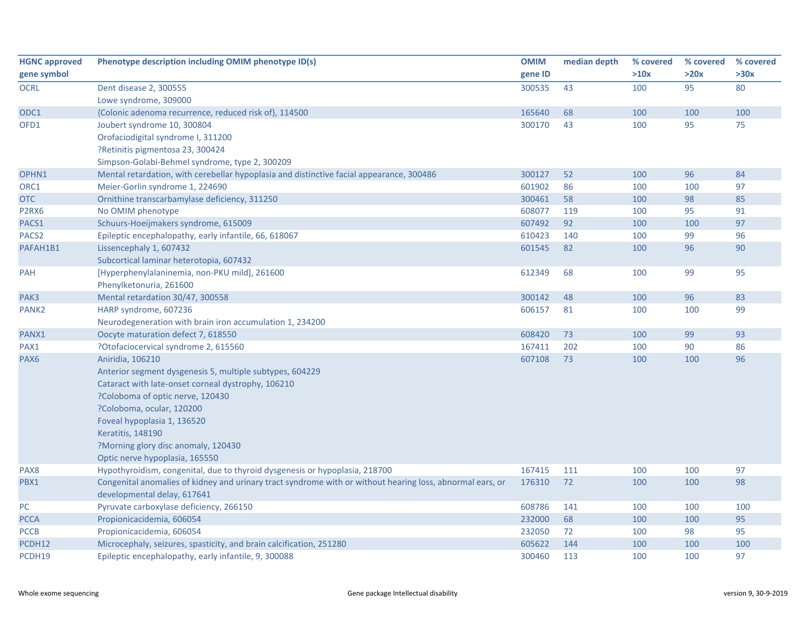| <b>HGNC approved</b> | Phenotype description including OMIM phenotype ID(s)                                                      | <b>OMIM</b> | median depth | % covered | % covered | % covered |
|----------------------|-----------------------------------------------------------------------------------------------------------|-------------|--------------|-----------|-----------|-----------|
| gene symbol          |                                                                                                           | gene ID     |              | >10x      | >20x      | >30x      |
| <b>OCRL</b>          | Dent disease 2, 300555                                                                                    | 300535      | 43           | 100       | 95        | 80        |
|                      | Lowe syndrome, 309000                                                                                     |             |              |           |           |           |
| ODC1                 | {Colonic adenoma recurrence, reduced risk of}, 114500                                                     | 165640      | 68           | 100       | 100       | 100       |
| OFD1                 | Joubert syndrome 10, 300804                                                                               | 300170      | 43           | 100       | 95        | 75        |
|                      | Orofaciodigital syndrome I, 311200                                                                        |             |              |           |           |           |
|                      | ?Retinitis pigmentosa 23, 300424                                                                          |             |              |           |           |           |
|                      | Simpson-Golabi-Behmel syndrome, type 2, 300209                                                            |             |              |           |           |           |
| OPHN1                | Mental retardation, with cerebellar hypoplasia and distinctive facial appearance, 300486                  | 300127      | 52           | 100       | 96        | 84        |
| ORC1                 | Meier-Gorlin syndrome 1, 224690                                                                           | 601902      | 86           | 100       | 100       | 97        |
| <b>OTC</b>           | Ornithine transcarbamylase deficiency, 311250                                                             | 300461      | 58           | 100       | 98        | 85        |
| P2RX6                | No OMIM phenotype                                                                                         | 608077      | 119          | 100       | 95        | 91        |
| PACS1                | Schuurs-Hoeijmakers syndrome, 615009                                                                      | 607492      | 92           | 100       | 100       | 97        |
| PACS <sub>2</sub>    | Epileptic encephalopathy, early infantile, 66, 618067                                                     | 610423      | 140          | 100       | 99        | 96        |
| PAFAH1B1             | Lissencephaly 1, 607432                                                                                   | 601545      | 82           | 100       | 96        | 90        |
|                      | Subcortical laminar heterotopia, 607432                                                                   |             |              |           |           |           |
| PAH                  | [Hyperphenylalaninemia, non-PKU mild], 261600                                                             | 612349      | 68           | 100       | 99        | 95        |
|                      | Phenylketonuria, 261600                                                                                   |             |              |           |           |           |
| PAK3                 | Mental retardation 30/47, 300558                                                                          | 300142      | 48           | 100       | 96        | 83        |
| PANK <sub>2</sub>    | HARP syndrome, 607236                                                                                     | 606157      | 81           | 100       | 100       | 99        |
|                      | Neurodegeneration with brain iron accumulation 1, 234200                                                  |             |              |           |           |           |
| PANX1                | Oocyte maturation defect 7, 618550                                                                        | 608420      | 73           | 100       | 99        | 93        |
| PAX1                 | ?Otofaciocervical syndrome 2, 615560                                                                      | 167411      | 202          | 100       | 90        | 86        |
| PAX6                 | Aniridia, 106210                                                                                          | 607108      | 73           | 100       | 100       | 96        |
|                      | Anterior segment dysgenesis 5, multiple subtypes, 604229                                                  |             |              |           |           |           |
|                      | Cataract with late-onset corneal dystrophy, 106210                                                        |             |              |           |           |           |
|                      | ?Coloboma of optic nerve, 120430                                                                          |             |              |           |           |           |
|                      | ?Coloboma, ocular, 120200                                                                                 |             |              |           |           |           |
|                      | Foveal hypoplasia 1, 136520                                                                               |             |              |           |           |           |
|                      | Keratitis, 148190                                                                                         |             |              |           |           |           |
|                      | ?Morning glory disc anomaly, 120430                                                                       |             |              |           |           |           |
|                      | Optic nerve hypoplasia, 165550                                                                            |             |              |           |           |           |
| PAX8                 | Hypothyroidism, congenital, due to thyroid dysgenesis or hypoplasia, 218700                               | 167415      | 111          | 100       | 100       | 97        |
| PBX1                 | Congenital anomalies of kidney and urinary tract syndrome with or without hearing loss, abnormal ears, or | 176310      | 72           | 100       | 100       | 98        |
|                      | developmental delay, 617641                                                                               |             |              |           |           |           |
| PC.                  | Pyruvate carboxylase deficiency, 266150                                                                   | 608786      | 141          | 100       | 100       | 100       |
| <b>PCCA</b>          | Propionicacidemia, 606054                                                                                 | 232000      | 68           | 100       | 100       | 95        |
| <b>PCCB</b>          | Propionicacidemia, 606054                                                                                 | 232050      | 72           | 100       | 98        | 95        |
| PCDH12               | Microcephaly, seizures, spasticity, and brain calcification, 251280                                       | 605622      | 144          | 100       | 100       | 100       |
| PCDH19               | Epileptic encephalopathy, early infantile, 9, 300088                                                      | 300460      | 113          | 100       | 100       | 97        |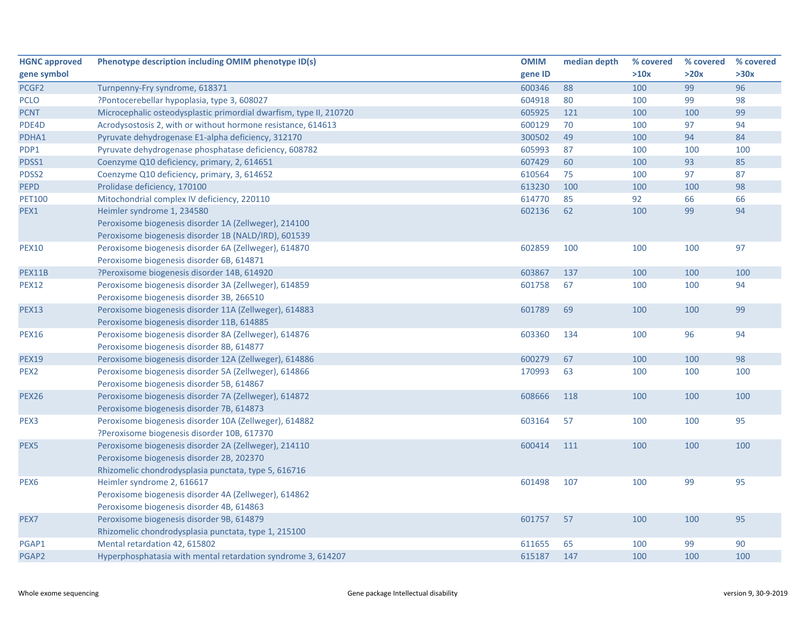| <b>HGNC approved</b> | Phenotype description including OMIM phenotype ID(s)               | <b>OMIM</b> | median depth | % covered | % covered | % covered |
|----------------------|--------------------------------------------------------------------|-------------|--------------|-----------|-----------|-----------|
| gene symbol          |                                                                    | gene ID     |              | >10x      | >20x      | >30x      |
| PCGF <sub>2</sub>    | Turnpenny-Fry syndrome, 618371                                     | 600346      | 88           | 100       | 99        | 96        |
| <b>PCLO</b>          | ?Pontocerebellar hypoplasia, type 3, 608027                        | 604918      | 80           | 100       | 99        | 98        |
| <b>PCNT</b>          | Microcephalic osteodysplastic primordial dwarfism, type II, 210720 | 605925      | 121          | 100       | 100       | 99        |
| PDE4D                | Acrodysostosis 2, with or without hormone resistance, 614613       | 600129      | 70           | 100       | 97        | 94        |
| PDHA1                | Pyruvate dehydrogenase E1-alpha deficiency, 312170                 | 300502      | 49           | 100       | 94        | 84        |
| PDP1                 | Pyruvate dehydrogenase phosphatase deficiency, 608782              | 605993      | 87           | 100       | 100       | 100       |
| PDSS1                | Coenzyme Q10 deficiency, primary, 2, 614651                        | 607429      | 60           | 100       | 93        | 85        |
| PDSS2                | Coenzyme Q10 deficiency, primary, 3, 614652                        | 610564      | 75           | 100       | 97        | 87        |
| PEPD                 | Prolidase deficiency, 170100                                       | 613230      | 100          | 100       | 100       | 98        |
| <b>PET100</b>        | Mitochondrial complex IV deficiency, 220110                        | 614770      | 85           | 92        | 66        | 66        |
| PEX1                 | Heimler syndrome 1, 234580                                         | 602136      | 62           | 100       | 99        | 94        |
|                      | Peroxisome biogenesis disorder 1A (Zellweger), 214100              |             |              |           |           |           |
|                      | Peroxisome biogenesis disorder 1B (NALD/IRD), 601539               |             |              |           |           |           |
| <b>PEX10</b>         | Peroxisome biogenesis disorder 6A (Zellweger), 614870              | 602859      | 100          | 100       | 100       | 97        |
|                      | Peroxisome biogenesis disorder 6B, 614871                          |             |              |           |           |           |
| PEX11B               | ?Peroxisome biogenesis disorder 14B, 614920                        | 603867      | 137          | 100       | 100       | 100       |
| <b>PEX12</b>         | Peroxisome biogenesis disorder 3A (Zellweger), 614859              | 601758      | 67           | 100       | 100       | 94        |
|                      | Peroxisome biogenesis disorder 3B, 266510                          |             |              |           |           |           |
| <b>PEX13</b>         | Peroxisome biogenesis disorder 11A (Zellweger), 614883             | 601789      | 69           | 100       | 100       | 99        |
|                      | Peroxisome biogenesis disorder 11B, 614885                         |             |              |           |           |           |
| <b>PEX16</b>         | Peroxisome biogenesis disorder 8A (Zellweger), 614876              | 603360      | 134          | 100       | 96        | 94        |
|                      | Peroxisome biogenesis disorder 8B, 614877                          |             |              |           |           |           |
| <b>PEX19</b>         | Peroxisome biogenesis disorder 12A (Zellweger), 614886             | 600279      | 67           | 100       | 100       | 98        |
| PEX <sub>2</sub>     | Peroxisome biogenesis disorder 5A (Zellweger), 614866              | 170993      | 63           | 100       | 100       | 100       |
|                      | Peroxisome biogenesis disorder 5B, 614867                          |             |              |           |           |           |
| <b>PEX26</b>         | Peroxisome biogenesis disorder 7A (Zellweger), 614872              | 608666      | 118          | 100       | 100       | 100       |
|                      | Peroxisome biogenesis disorder 7B, 614873                          |             |              |           |           |           |
| PEX3                 | Peroxisome biogenesis disorder 10A (Zellweger), 614882             | 603164      | 57           | 100       | 100       | 95        |
|                      | ?Peroxisome biogenesis disorder 10B, 617370                        |             |              |           |           |           |
| PEX5                 | Peroxisome biogenesis disorder 2A (Zellweger), 214110              | 600414      | 111          | 100       | 100       | 100       |
|                      | Peroxisome biogenesis disorder 2B, 202370                          |             |              |           |           |           |
|                      | Rhizomelic chondrodysplasia punctata, type 5, 616716               |             |              |           |           |           |
| PEX <sub>6</sub>     | Heimler syndrome 2, 616617                                         | 601498      | 107          | 100       | 99        | 95        |
|                      | Peroxisome biogenesis disorder 4A (Zellweger), 614862              |             |              |           |           |           |
|                      | Peroxisome biogenesis disorder 4B, 614863                          |             |              |           |           |           |
| PEX7                 | Peroxisome biogenesis disorder 9B, 614879                          | 601757      | 57           | 100       | 100       | 95        |
|                      | Rhizomelic chondrodysplasia punctata, type 1, 215100               |             |              |           |           |           |
| PGAP1                | Mental retardation 42, 615802                                      | 611655      | 65           | 100       | 99        | 90        |
| PGAP2                | Hyperphosphatasia with mental retardation syndrome 3, 614207       | 615187      | 147          | 100       | 100       | 100       |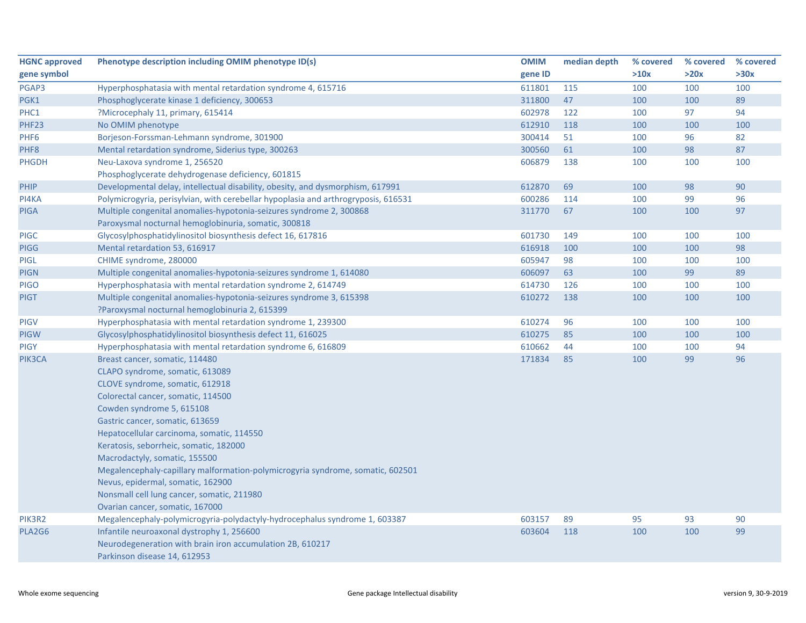| <b>HGNC approved</b> | Phenotype description including OMIM phenotype ID(s)                               | <b>OMIM</b> | median depth | % covered | % covered | % covered |
|----------------------|------------------------------------------------------------------------------------|-------------|--------------|-----------|-----------|-----------|
| gene symbol          |                                                                                    | gene ID     |              | >10x      | >20x      | >30x      |
| PGAP3                | Hyperphosphatasia with mental retardation syndrome 4, 615716                       | 611801      | 115          | 100       | 100       | 100       |
| PGK1                 | Phosphoglycerate kinase 1 deficiency, 300653                                       | 311800      | 47           | 100       | 100       | 89        |
| PHC1                 | ?Microcephaly 11, primary, 615414                                                  | 602978      | 122          | 100       | 97        | 94        |
| PHF23                | No OMIM phenotype                                                                  | 612910      | 118          | 100       | 100       | 100       |
| PHF6                 | Borjeson-Forssman-Lehmann syndrome, 301900                                         | 300414      | 51           | 100       | 96        | 82        |
| PHF8                 | Mental retardation syndrome, Siderius type, 300263                                 | 300560      | 61           | 100       | 98        | 87        |
| <b>PHGDH</b>         | Neu-Laxova syndrome 1, 256520                                                      | 606879      | 138          | 100       | 100       | 100       |
|                      | Phosphoglycerate dehydrogenase deficiency, 601815                                  |             |              |           |           |           |
| PHIP                 | Developmental delay, intellectual disability, obesity, and dysmorphism, 617991     | 612870      | 69           | 100       | 98        | 90        |
| PI4KA                | Polymicrogyria, perisylvian, with cerebellar hypoplasia and arthrogryposis, 616531 | 600286      | 114          | 100       | 99        | 96        |
| <b>PIGA</b>          | Multiple congenital anomalies-hypotonia-seizures syndrome 2, 300868                | 311770      | 67           | 100       | 100       | 97        |
|                      | Paroxysmal nocturnal hemoglobinuria, somatic, 300818                               |             |              |           |           |           |
| <b>PIGC</b>          | Glycosylphosphatidylinositol biosynthesis defect 16, 617816                        | 601730      | 149          | 100       | 100       | 100       |
| <b>PIGG</b>          | Mental retardation 53, 616917                                                      | 616918      | 100          | 100       | 100       | 98        |
| <b>PIGL</b>          | CHIME syndrome, 280000                                                             | 605947      | 98           | 100       | 100       | 100       |
| <b>PIGN</b>          | Multiple congenital anomalies-hypotonia-seizures syndrome 1, 614080                | 606097      | 63           | 100       | 99        | 89        |
| <b>PIGO</b>          | Hyperphosphatasia with mental retardation syndrome 2, 614749                       | 614730      | 126          | 100       | 100       | 100       |
| <b>PIGT</b>          | Multiple congenital anomalies-hypotonia-seizures syndrome 3, 615398                | 610272      | 138          | 100       | 100       | 100       |
|                      | ?Paroxysmal nocturnal hemoglobinuria 2, 615399                                     |             |              |           |           |           |
| <b>PIGV</b>          | Hyperphosphatasia with mental retardation syndrome 1, 239300                       | 610274      | 96           | 100       | 100       | 100       |
| PIGW                 | Glycosylphosphatidylinositol biosynthesis defect 11, 616025                        | 610275      | 85           | 100       | 100       | 100       |
| <b>PIGY</b>          | Hyperphosphatasia with mental retardation syndrome 6, 616809                       | 610662      | 44           | 100       | 100       | 94        |
| PIK3CA               | Breast cancer, somatic, 114480                                                     | 171834      | 85           | 100       | 99        | 96        |
|                      | CLAPO syndrome, somatic, 613089                                                    |             |              |           |           |           |
|                      | CLOVE syndrome, somatic, 612918                                                    |             |              |           |           |           |
|                      | Colorectal cancer, somatic, 114500                                                 |             |              |           |           |           |
|                      | Cowden syndrome 5, 615108                                                          |             |              |           |           |           |
|                      | Gastric cancer, somatic, 613659                                                    |             |              |           |           |           |
|                      | Hepatocellular carcinoma, somatic, 114550                                          |             |              |           |           |           |
|                      | Keratosis, seborrheic, somatic, 182000                                             |             |              |           |           |           |
|                      | Macrodactyly, somatic, 155500                                                      |             |              |           |           |           |
|                      | Megalencephaly-capillary malformation-polymicrogyria syndrome, somatic, 602501     |             |              |           |           |           |
|                      | Nevus, epidermal, somatic, 162900                                                  |             |              |           |           |           |
|                      | Nonsmall cell lung cancer, somatic, 211980                                         |             |              |           |           |           |
|                      | Ovarian cancer, somatic, 167000                                                    |             |              |           |           |           |
| PIK3R2               | Megalencephaly-polymicrogyria-polydactyly-hydrocephalus syndrome 1, 603387         | 603157      | 89           | 95        | 93        | 90        |
| PLA2G6               | Infantile neuroaxonal dystrophy 1, 256600                                          | 603604      | 118          | 100       | 100       | 99        |
|                      | Neurodegeneration with brain iron accumulation 2B, 610217                          |             |              |           |           |           |
|                      | Parkinson disease 14, 612953                                                       |             |              |           |           |           |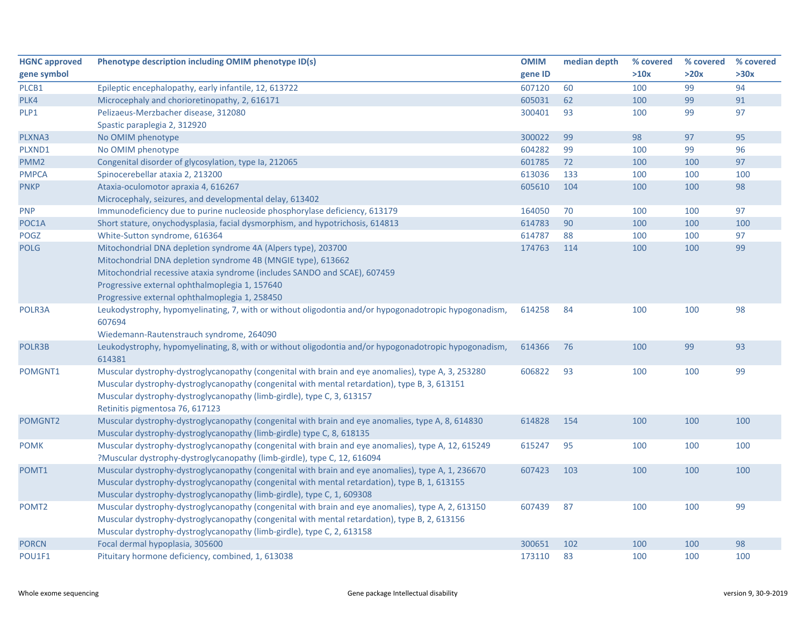| <b>HGNC approved</b> | Phenotype description including OMIM phenotype ID(s)                                                  | <b>OMIM</b> | median depth | % covered | % covered | % covered |
|----------------------|-------------------------------------------------------------------------------------------------------|-------------|--------------|-----------|-----------|-----------|
| gene symbol          |                                                                                                       | gene ID     |              | >10x      | >20x      | >30x      |
| PLCB1                | Epileptic encephalopathy, early infantile, 12, 613722                                                 | 607120      | 60           | 100       | 99        | 94        |
| PLK4                 | Microcephaly and chorioretinopathy, 2, 616171                                                         | 605031      | 62           | 100       | 99        | 91        |
| PLP1                 | Pelizaeus-Merzbacher disease, 312080                                                                  | 300401      | 93           | 100       | 99        | 97        |
|                      | Spastic paraplegia 2, 312920                                                                          |             |              |           |           |           |
| PLXNA3               | No OMIM phenotype                                                                                     | 300022      | 99           | 98        | 97        | 95        |
| PLXND1               | No OMIM phenotype                                                                                     | 604282      | 99           | 100       | 99        | 96        |
| PMM <sub>2</sub>     | Congenital disorder of glycosylation, type Ia, 212065                                                 | 601785      | 72           | 100       | 100       | 97        |
| <b>PMPCA</b>         | Spinocerebellar ataxia 2, 213200                                                                      | 613036      | 133          | 100       | 100       | 100       |
| <b>PNKP</b>          | Ataxia-oculomotor apraxia 4, 616267                                                                   | 605610      | 104          | 100       | 100       | 98        |
|                      | Microcephaly, seizures, and developmental delay, 613402                                               |             |              |           |           |           |
| <b>PNP</b>           | Immunodeficiency due to purine nucleoside phosphorylase deficiency, 613179                            | 164050      | 70           | 100       | 100       | 97        |
| POC1A                | Short stature, onychodysplasia, facial dysmorphism, and hypotrichosis, 614813                         | 614783      | 90           | 100       | 100       | 100       |
| POGZ                 | White-Sutton syndrome, 616364                                                                         | 614787      | 88           | 100       | 100       | 97        |
| <b>POLG</b>          | Mitochondrial DNA depletion syndrome 4A (Alpers type), 203700                                         | 174763      | 114          | 100       | 100       | 99        |
|                      | Mitochondrial DNA depletion syndrome 4B (MNGIE type), 613662                                          |             |              |           |           |           |
|                      | Mitochondrial recessive ataxia syndrome (includes SANDO and SCAE), 607459                             |             |              |           |           |           |
|                      | Progressive external ophthalmoplegia 1, 157640                                                        |             |              |           |           |           |
|                      | Progressive external ophthalmoplegia 1, 258450                                                        |             |              |           |           |           |
| POLR3A               | Leukodystrophy, hypomyelinating, 7, with or without oligodontia and/or hypogonadotropic hypogonadism, | 614258      | 84           | 100       | 100       | 98        |
|                      | 607694                                                                                                |             |              |           |           |           |
|                      | Wiedemann-Rautenstrauch syndrome, 264090                                                              |             |              |           |           |           |
| POLR3B               | Leukodystrophy, hypomyelinating, 8, with or without oligodontia and/or hypogonadotropic hypogonadism, | 614366      | 76           | 100       | 99        | 93        |
|                      | 614381                                                                                                |             |              |           |           |           |
| POMGNT1              | Muscular dystrophy-dystroglycanopathy (congenital with brain and eye anomalies), type A, 3, 253280    | 606822      | 93           | 100       | 100       | 99        |
|                      | Muscular dystrophy-dystroglycanopathy (congenital with mental retardation), type B, 3, 613151         |             |              |           |           |           |
|                      | Muscular dystrophy-dystroglycanopathy (limb-girdle), type C, 3, 613157                                |             |              |           |           |           |
|                      | Retinitis pigmentosa 76, 617123                                                                       |             |              |           |           |           |
| POMGNT2              | Muscular dystrophy-dystroglycanopathy (congenital with brain and eye anomalies, type A, 8, 614830     | 614828      | 154          | 100       | 100       | 100       |
|                      | Muscular dystrophy-dystroglycanopathy (limb-girdle) type C, 8, 618135                                 |             |              |           |           |           |
| <b>POMK</b>          | Muscular dystrophy-dystroglycanopathy (congenital with brain and eye anomalies), type A, 12, 615249   | 615247      | 95           | 100       | 100       | 100       |
|                      | ?Muscular dystrophy-dystroglycanopathy (limb-girdle), type C, 12, 616094                              |             |              |           |           |           |
| POMT1                | Muscular dystrophy-dystroglycanopathy (congenital with brain and eye anomalies), type A, 1, 236670    | 607423      | 103          | 100       | 100       | 100       |
|                      | Muscular dystrophy-dystroglycanopathy (congenital with mental retardation), type B, 1, 613155         |             |              |           |           |           |
|                      | Muscular dystrophy-dystroglycanopathy (limb-girdle), type C, 1, 609308                                |             |              |           |           |           |
| POMT <sub>2</sub>    | Muscular dystrophy-dystroglycanopathy (congenital with brain and eye anomalies), type A, 2, 613150    | 607439      | 87           | 100       | 100       | 99        |
|                      | Muscular dystrophy-dystroglycanopathy (congenital with mental retardation), type B, 2, 613156         |             |              |           |           |           |
|                      | Muscular dystrophy-dystroglycanopathy (limb-girdle), type C, 2, 613158                                |             |              |           |           |           |
| <b>PORCN</b>         | Focal dermal hypoplasia, 305600                                                                       | 300651      | 102          | 100       | 100       | 98        |
| POU1F1               | Pituitary hormone deficiency, combined, 1, 613038                                                     | 173110      | 83           | 100       | 100       | 100       |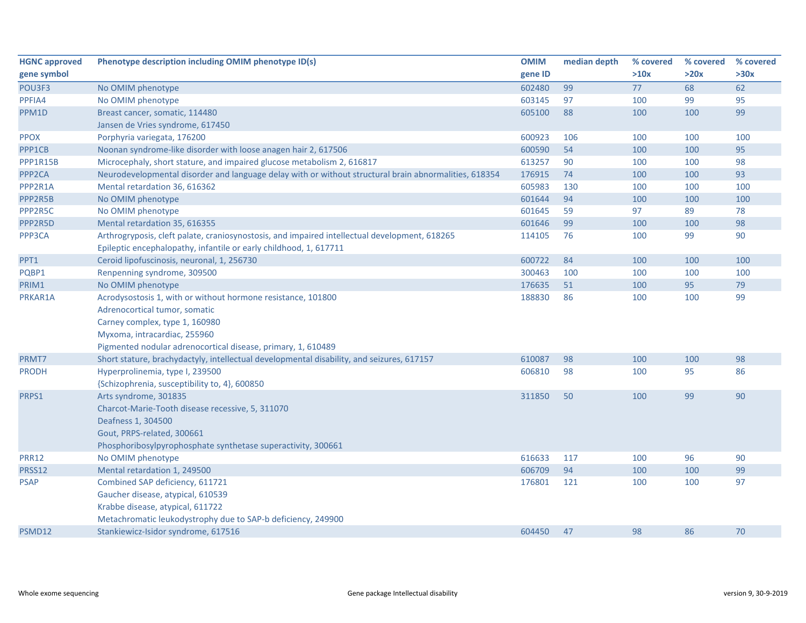| <b>HGNC approved</b> | Phenotype description including OMIM phenotype ID(s)                                                  | <b>OMIM</b> | median depth | % covered | % covered | % covered |
|----------------------|-------------------------------------------------------------------------------------------------------|-------------|--------------|-----------|-----------|-----------|
| gene symbol          |                                                                                                       | gene ID     |              | >10x      | >20x      | >30x      |
| POU3F3               | No OMIM phenotype                                                                                     | 602480      | 99           | 77        | 68        | 62        |
| PPFIA4               | No OMIM phenotype                                                                                     | 603145      | 97           | 100       | 99        | 95        |
| PPM1D                | Breast cancer, somatic, 114480                                                                        | 605100      | 88           | 100       | 100       | 99        |
|                      | Jansen de Vries syndrome, 617450                                                                      |             |              |           |           |           |
| <b>PPOX</b>          | Porphyria variegata, 176200                                                                           | 600923      | 106          | 100       | 100       | 100       |
| PPP1CB               | Noonan syndrome-like disorder with loose anagen hair 2, 617506                                        | 600590      | 54           | 100       | 100       | 95        |
| PPP1R15B             | Microcephaly, short stature, and impaired glucose metabolism 2, 616817                                | 613257      | 90           | 100       | 100       | 98        |
| PPP <sub>2CA</sub>   | Neurodevelopmental disorder and language delay with or without structural brain abnormalities, 618354 | 176915      | 74           | 100       | 100       | 93        |
| PPP2R1A              | Mental retardation 36, 616362                                                                         | 605983      | 130          | 100       | 100       | 100       |
| PPP2R5B              | No OMIM phenotype                                                                                     | 601644      | 94           | 100       | 100       | 100       |
| PPP2R5C              | No OMIM phenotype                                                                                     | 601645      | 59           | 97        | 89        | 78        |
| PPP2R5D              | Mental retardation 35, 616355                                                                         | 601646      | 99           | 100       | 100       | 98        |
| PPP3CA               | Arthrogryposis, cleft palate, craniosynostosis, and impaired intellectual development, 618265         | 114105      | 76           | 100       | 99        | 90        |
|                      | Epileptic encephalopathy, infantile or early childhood, 1, 617711                                     |             |              |           |           |           |
| PPT1                 | Ceroid lipofuscinosis, neuronal, 1, 256730                                                            | 600722      | 84           | 100       | 100       | 100       |
| PQBP1                | Renpenning syndrome, 309500                                                                           | 300463      | 100          | 100       | 100       | 100       |
| PRIM1                | No OMIM phenotype                                                                                     | 176635      | 51           | 100       | 95        | 79        |
| PRKAR1A              | Acrodysostosis 1, with or without hormone resistance, 101800                                          | 188830      | 86           | 100       | 100       | 99        |
|                      | Adrenocortical tumor, somatic                                                                         |             |              |           |           |           |
|                      | Carney complex, type 1, 160980                                                                        |             |              |           |           |           |
|                      | Myxoma, intracardiac, 255960                                                                          |             |              |           |           |           |
|                      | Pigmented nodular adrenocortical disease, primary, 1, 610489                                          |             |              |           |           |           |
| PRMT7                | Short stature, brachydactyly, intellectual developmental disability, and seizures, 617157             | 610087      | 98           | 100       | 100       | 98        |
| <b>PRODH</b>         | Hyperprolinemia, type I, 239500                                                                       | 606810      | 98           | 100       | 95        | 86        |
|                      | {Schizophrenia, susceptibility to, 4}, 600850                                                         |             |              |           |           |           |
| PRPS1                | Arts syndrome, 301835                                                                                 | 311850      | 50           | 100       | 99        | 90        |
|                      | Charcot-Marie-Tooth disease recessive, 5, 311070                                                      |             |              |           |           |           |
|                      | Deafness 1, 304500                                                                                    |             |              |           |           |           |
|                      | Gout, PRPS-related, 300661                                                                            |             |              |           |           |           |
|                      | Phosphoribosylpyrophosphate synthetase superactivity, 300661                                          |             |              |           |           |           |
| <b>PRR12</b>         | No OMIM phenotype                                                                                     | 616633      | 117          | 100       | 96        | 90        |
| PRSS12               | Mental retardation 1, 249500                                                                          | 606709      | 94           | 100       | 100       | 99        |
| <b>PSAP</b>          | Combined SAP deficiency, 611721                                                                       | 176801      | 121          | 100       | 100       | 97        |
|                      | Gaucher disease, atypical, 610539                                                                     |             |              |           |           |           |
|                      | Krabbe disease, atypical, 611722                                                                      |             |              |           |           |           |
|                      | Metachromatic leukodystrophy due to SAP-b deficiency, 249900                                          |             |              |           |           |           |
| PSMD12               | Stankiewicz-Isidor syndrome, 617516                                                                   | 604450      | 47           | 98        | 86        | 70        |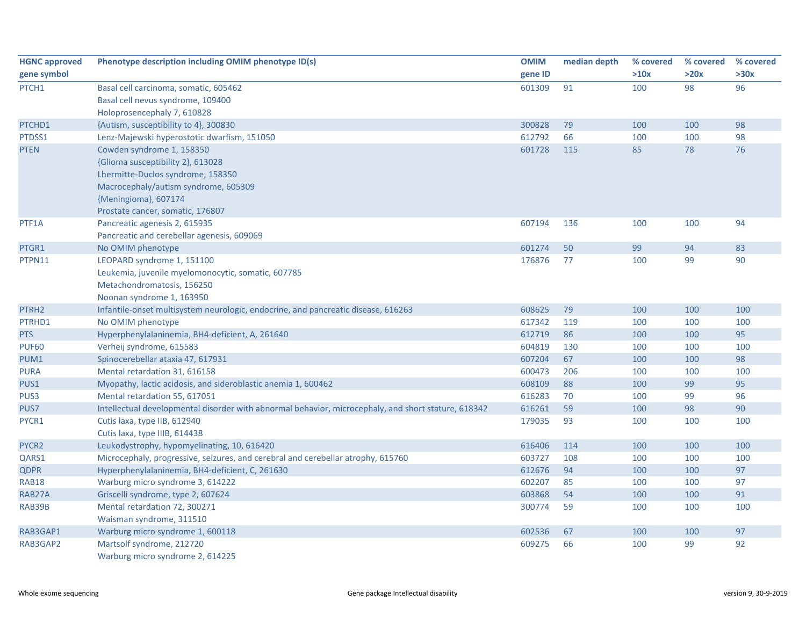| <b>HGNC approved</b> | Phenotype description including OMIM phenotype ID(s)                                                | <b>OMIM</b> | median depth | % covered | % covered | % covered |
|----------------------|-----------------------------------------------------------------------------------------------------|-------------|--------------|-----------|-----------|-----------|
| gene symbol          |                                                                                                     | gene ID     |              | >10x      | >20x      | >30x      |
| PTCH1                | Basal cell carcinoma, somatic, 605462                                                               | 601309      | 91           | 100       | 98        | 96        |
|                      | Basal cell nevus syndrome, 109400                                                                   |             |              |           |           |           |
|                      | Holoprosencephaly 7, 610828                                                                         |             |              |           |           |           |
| PTCHD1               | {Autism, susceptibility to 4}, 300830                                                               | 300828      | 79           | 100       | 100       | 98        |
| PTDSS1               | Lenz-Majewski hyperostotic dwarfism, 151050                                                         | 612792      | 66           | 100       | 100       | 98        |
| <b>PTEN</b>          | Cowden syndrome 1, 158350                                                                           | 601728      | 115          | 85        | 78        | 76        |
|                      | {Glioma susceptibility 2}, 613028                                                                   |             |              |           |           |           |
|                      | Lhermitte-Duclos syndrome, 158350                                                                   |             |              |           |           |           |
|                      | Macrocephaly/autism syndrome, 605309                                                                |             |              |           |           |           |
|                      | {Meningioma}, 607174                                                                                |             |              |           |           |           |
|                      | Prostate cancer, somatic, 176807                                                                    |             |              |           |           |           |
| PTF1A                | Pancreatic agenesis 2, 615935                                                                       | 607194      | 136          | 100       | 100       | 94        |
|                      | Pancreatic and cerebellar agenesis, 609069                                                          |             |              |           |           |           |
| PTGR1                | No OMIM phenotype                                                                                   | 601274      | 50           | 99        | 94        | 83        |
| PTPN11               | LEOPARD syndrome 1, 151100                                                                          | 176876      | 77           | 100       | 99        | 90        |
|                      | Leukemia, juvenile myelomonocytic, somatic, 607785                                                  |             |              |           |           |           |
|                      | Metachondromatosis, 156250                                                                          |             |              |           |           |           |
|                      | Noonan syndrome 1, 163950                                                                           |             |              |           |           |           |
| PTRH <sub>2</sub>    | Infantile-onset multisystem neurologic, endocrine, and pancreatic disease, 616263                   | 608625      | 79           | 100       | 100       | 100       |
| PTRHD1               | No OMIM phenotype                                                                                   | 617342      | 119          | 100       | 100       | 100       |
| <b>PTS</b>           | Hyperphenylalaninemia, BH4-deficient, A, 261640                                                     | 612719      | 86           | 100       | 100       | 95        |
| <b>PUF60</b>         | Verheij syndrome, 615583                                                                            | 604819      | 130          | 100       | 100       | 100       |
| PUM1                 | Spinocerebellar ataxia 47, 617931                                                                   | 607204      | 67           | 100       | 100       | 98        |
| <b>PURA</b>          | Mental retardation 31, 616158                                                                       | 600473      | 206          | 100       | 100       | 100       |
| PUS1                 | Myopathy, lactic acidosis, and sideroblastic anemia 1, 600462                                       | 608109      | 88           | 100       | 99        | 95        |
| PUS3                 | Mental retardation 55, 617051                                                                       | 616283      | 70           | 100       | 99        | 96        |
| PUS7                 | Intellectual developmental disorder with abnormal behavior, microcephaly, and short stature, 618342 | 616261      | 59           | 100       | 98        | 90        |
| PYCR1                | Cutis laxa, type IIB, 612940                                                                        | 179035      | 93           | 100       | 100       | 100       |
|                      | Cutis laxa, type IIIB, 614438                                                                       |             |              |           |           |           |
| PYCR2                | Leukodystrophy, hypomyelinating, 10, 616420                                                         | 616406      | 114          | 100       | 100       | 100       |
| QARS1                | Microcephaly, progressive, seizures, and cerebral and cerebellar atrophy, 615760                    | 603727      | 108          | 100       | 100       | 100       |
| <b>QDPR</b>          | Hyperphenylalaninemia, BH4-deficient, C, 261630                                                     | 612676      | 94           | 100       | 100       | 97        |
| <b>RAB18</b>         | Warburg micro syndrome 3, 614222                                                                    | 602207      | 85           | 100       | 100       | 97        |
| RAB27A               | Griscelli syndrome, type 2, 607624                                                                  | 603868      | 54           | 100       | 100       | 91        |
| RAB39B               | Mental retardation 72, 300271                                                                       | 300774      | 59           | 100       | 100       | 100       |
|                      | Waisman syndrome, 311510                                                                            |             |              |           |           |           |
| RAB3GAP1             | Warburg micro syndrome 1, 600118                                                                    | 602536      | 67           | 100       | 100       | 97        |
| RAB3GAP2             | Martsolf syndrome, 212720                                                                           | 609275      | 66           | 100       | 99        | 92        |
|                      | Warburg micro syndrome 2, 614225                                                                    |             |              |           |           |           |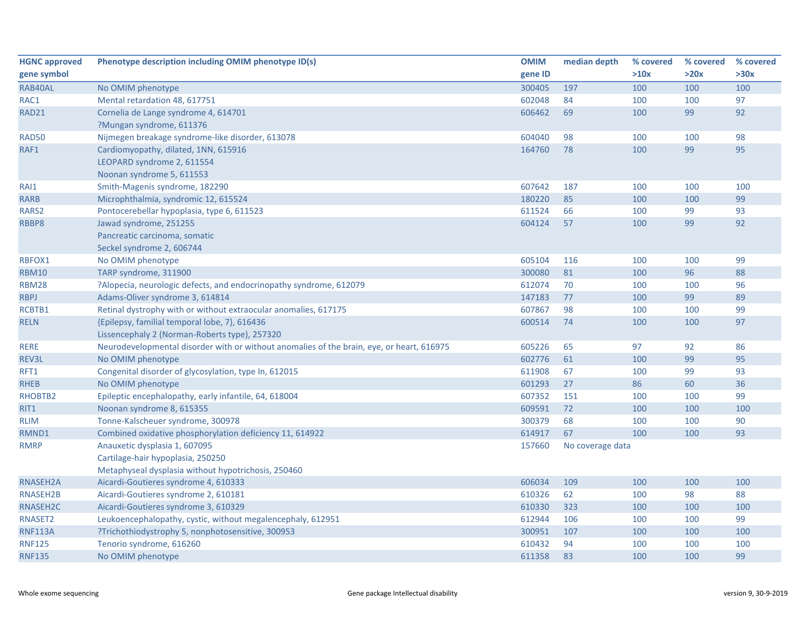| <b>HGNC approved</b> | Phenotype description including OMIM phenotype ID(s)                                      | <b>OMIM</b> | median depth     | % covered | % covered | % covered |
|----------------------|-------------------------------------------------------------------------------------------|-------------|------------------|-----------|-----------|-----------|
| gene symbol          |                                                                                           | gene ID     |                  | >10x      | >20x      | >30x      |
| RAB40AL              | No OMIM phenotype                                                                         | 300405      | 197              | 100       | 100       | 100       |
| RAC1                 | Mental retardation 48, 617751                                                             | 602048      | 84               | 100       | 100       | 97        |
| <b>RAD21</b>         | Cornelia de Lange syndrome 4, 614701                                                      | 606462      | 69               | 100       | 99        | 92        |
|                      | ?Mungan syndrome, 611376                                                                  |             |                  |           |           |           |
| <b>RAD50</b>         | Nijmegen breakage syndrome-like disorder, 613078                                          | 604040      | 98               | 100       | 100       | 98        |
| RAF1                 | Cardiomyopathy, dilated, 1NN, 615916                                                      | 164760      | 78               | 100       | 99        | 95        |
|                      | LEOPARD syndrome 2, 611554                                                                |             |                  |           |           |           |
|                      | Noonan syndrome 5, 611553                                                                 |             |                  |           |           |           |
| RAI1                 | Smith-Magenis syndrome, 182290                                                            | 607642      | 187              | 100       | 100       | 100       |
| <b>RARB</b>          | Microphthalmia, syndromic 12, 615524                                                      | 180220      | 85               | 100       | 100       | 99        |
| RARS <sub>2</sub>    | Pontocerebellar hypoplasia, type 6, 611523                                                | 611524      | 66               | 100       | 99        | 93        |
| RBBP8                | Jawad syndrome, 251255                                                                    | 604124      | 57               | 100       | 99        | 92        |
|                      | Pancreatic carcinoma, somatic                                                             |             |                  |           |           |           |
|                      | Seckel syndrome 2, 606744                                                                 |             |                  |           |           |           |
| RBFOX1               | No OMIM phenotype                                                                         | 605104      | 116              | 100       | 100       | 99        |
| <b>RBM10</b>         | TARP syndrome, 311900                                                                     | 300080      | 81               | 100       | 96        | 88        |
| <b>RBM28</b>         | ?Alopecia, neurologic defects, and endocrinopathy syndrome, 612079                        | 612074      | 70               | 100       | 100       | 96        |
| <b>RBPJ</b>          | Adams-Oliver syndrome 3, 614814                                                           | 147183      | 77               | 100       | 99        | 89        |
| RCBTB1               | Retinal dystrophy with or without extraocular anomalies, 617175                           | 607867      | 98               | 100       | 100       | 99        |
| <b>RELN</b>          | {Epilepsy, familial temporal lobe, 7}, 616436                                             | 600514      | 74               | 100       | 100       | 97        |
|                      | Lissencephaly 2 (Norman-Roberts type), 257320                                             |             |                  |           |           |           |
| <b>RERE</b>          | Neurodevelopmental disorder with or without anomalies of the brain, eye, or heart, 616975 | 605226      | 65               | 97        | 92        | 86        |
| REV3L                | No OMIM phenotype                                                                         | 602776      | 61               | 100       | 99        | 95        |
| RFT1                 | Congenital disorder of glycosylation, type In, 612015                                     | 611908      | 67               | 100       | 99        | 93        |
| <b>RHEB</b>          | No OMIM phenotype                                                                         | 601293      | 27               | 86        | 60        | 36        |
| RHOBTB2              | Epileptic encephalopathy, early infantile, 64, 618004                                     | 607352      | 151              | 100       | 100       | 99        |
| RIT1                 | Noonan syndrome 8, 615355                                                                 | 609591      | 72               | 100       | 100       | 100       |
| <b>RLIM</b>          | Tonne-Kalscheuer syndrome, 300978                                                         | 300379      | 68               | 100       | 100       | 90        |
| RMND1                | Combined oxidative phosphorylation deficiency 11, 614922                                  | 614917      | 67               | 100       | 100       | 93        |
| <b>RMRP</b>          | Anauxetic dysplasia 1, 607095                                                             | 157660      | No coverage data |           |           |           |
|                      | Cartilage-hair hypoplasia, 250250                                                         |             |                  |           |           |           |
|                      | Metaphyseal dysplasia without hypotrichosis, 250460                                       |             |                  |           |           |           |
| RNASEH2A             | Aicardi-Goutieres syndrome 4, 610333                                                      | 606034      | 109              | 100       | 100       | 100       |
| <b>RNASEH2B</b>      | Aicardi-Goutieres syndrome 2, 610181                                                      | 610326      | 62               | 100       | 98        | 88        |
| RNASEH2C             | Aicardi-Goutieres syndrome 3, 610329                                                      | 610330      | 323              | 100       | 100       | 100       |
| RNASET2              | Leukoencephalopathy, cystic, without megalencephaly, 612951                               | 612944      | 106              | 100       | 100       | 99        |
| <b>RNF113A</b>       | ?Trichothiodystrophy 5, nonphotosensitive, 300953                                         | 300951      | 107              | 100       | 100       | 100       |
| <b>RNF125</b>        | Tenorio syndrome, 616260                                                                  | 610432      | 94               | 100       | 100       | 100       |
| <b>RNF135</b>        | No OMIM phenotype                                                                         | 611358      | 83               | 100       | 100       | 99        |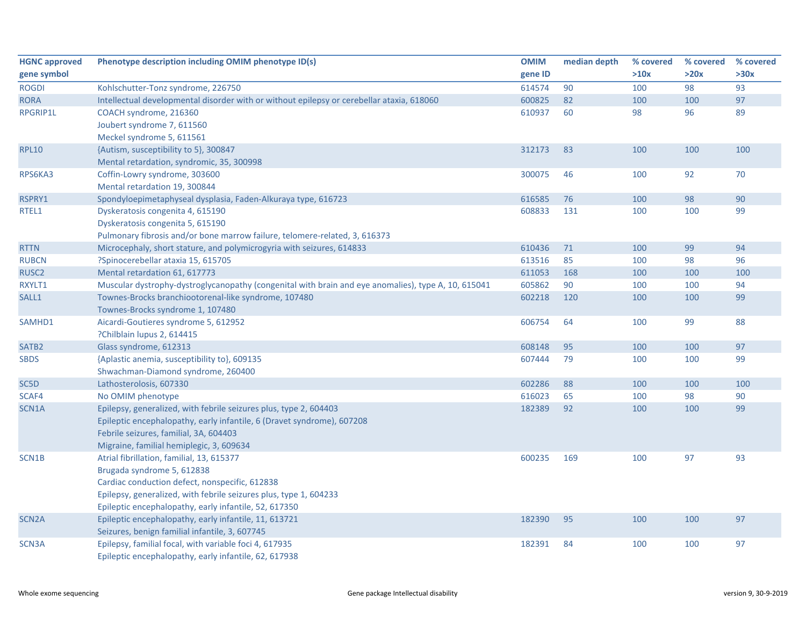| <b>HGNC approved</b> | Phenotype description including OMIM phenotype ID(s)                                                | <b>OMIM</b> | median depth | % covered | % covered | % covered |
|----------------------|-----------------------------------------------------------------------------------------------------|-------------|--------------|-----------|-----------|-----------|
| gene symbol          |                                                                                                     | gene ID     |              | >10x      | >20x      | >30x      |
| <b>ROGDI</b>         | Kohlschutter-Tonz syndrome, 226750                                                                  | 614574      | 90           | 100       | 98        | 93        |
| <b>RORA</b>          | Intellectual developmental disorder with or without epilepsy or cerebellar ataxia, 618060           | 600825      | 82           | 100       | 100       | 97        |
| <b>RPGRIP1L</b>      | COACH syndrome, 216360                                                                              | 610937      | 60           | 98        | 96        | 89        |
|                      | Joubert syndrome 7, 611560                                                                          |             |              |           |           |           |
|                      | Meckel syndrome 5, 611561                                                                           |             |              |           |           |           |
| <b>RPL10</b>         | {Autism, susceptibility to 5}, 300847                                                               | 312173      | 83           | 100       | 100       | 100       |
|                      | Mental retardation, syndromic, 35, 300998                                                           |             |              |           |           |           |
| RPS6KA3              | Coffin-Lowry syndrome, 303600                                                                       | 300075      | 46           | 100       | 92        | 70        |
|                      | Mental retardation 19, 300844                                                                       |             |              |           |           |           |
| RSPRY1               | Spondyloepimetaphyseal dysplasia, Faden-Alkuraya type, 616723                                       | 616585      | 76           | 100       | 98        | 90        |
| RTEL1                | Dyskeratosis congenita 4, 615190                                                                    | 608833      | 131          | 100       | 100       | 99        |
|                      | Dyskeratosis congenita 5, 615190                                                                    |             |              |           |           |           |
|                      | Pulmonary fibrosis and/or bone marrow failure, telomere-related, 3, 616373                          |             |              |           |           |           |
| <b>RTTN</b>          | Microcephaly, short stature, and polymicrogyria with seizures, 614833                               | 610436      | 71           | 100       | 99        | 94        |
| <b>RUBCN</b>         | ?Spinocerebellar ataxia 15, 615705                                                                  | 613516      | 85           | 100       | 98        | 96        |
| RUSC <sub>2</sub>    | Mental retardation 61, 617773                                                                       | 611053      | 168          | 100       | 100       | 100       |
| RXYLT1               | Muscular dystrophy-dystroglycanopathy (congenital with brain and eye anomalies), type A, 10, 615041 | 605862      | 90           | 100       | 100       | 94        |
| SALL1                | Townes-Brocks branchiootorenal-like syndrome, 107480                                                | 602218      | 120          | 100       | 100       | 99        |
|                      | Townes-Brocks syndrome 1, 107480                                                                    |             |              |           |           |           |
| SAMHD1               | Aicardi-Goutieres syndrome 5, 612952                                                                | 606754      | 64           | 100       | 99        | 88        |
|                      | ?Chilblain lupus 2, 614415                                                                          |             |              |           |           |           |
| SATB <sub>2</sub>    | Glass syndrome, 612313                                                                              | 608148      | 95           | 100       | 100       | 97        |
| <b>SBDS</b>          | {Aplastic anemia, susceptibility to}, 609135                                                        | 607444      | 79           | 100       | 100       | 99        |
|                      | Shwachman-Diamond syndrome, 260400                                                                  |             |              |           |           |           |
| SC5D                 | Lathosterolosis, 607330                                                                             | 602286      | 88           | 100       | 100       | 100       |
| SCAF4                | No OMIM phenotype                                                                                   | 616023      | 65           | 100       | 98        | 90        |
| SCN1A                | Epilepsy, generalized, with febrile seizures plus, type 2, 604403                                   | 182389      | 92           | 100       | 100       | 99        |
|                      | Epileptic encephalopathy, early infantile, 6 (Dravet syndrome), 607208                              |             |              |           |           |           |
|                      | Febrile seizures, familial, 3A, 604403                                                              |             |              |           |           |           |
|                      | Migraine, familial hemiplegic, 3, 609634                                                            |             |              |           |           |           |
| SCN1B                | Atrial fibrillation, familial, 13, 615377                                                           | 600235      | 169          | 100       | 97        | 93        |
|                      | Brugada syndrome 5, 612838                                                                          |             |              |           |           |           |
|                      | Cardiac conduction defect, nonspecific, 612838                                                      |             |              |           |           |           |
|                      | Epilepsy, generalized, with febrile seizures plus, type 1, 604233                                   |             |              |           |           |           |
|                      | Epileptic encephalopathy, early infantile, 52, 617350                                               |             |              |           |           |           |
| SCN <sub>2</sub> A   | Epileptic encephalopathy, early infantile, 11, 613721                                               | 182390      | 95           | 100       | 100       | 97        |
|                      | Seizures, benign familial infantile, 3, 607745                                                      |             |              |           |           |           |
| SCN3A                | Epilepsy, familial focal, with variable foci 4, 617935                                              | 182391      | 84           | 100       | 100       | 97        |
|                      | Epileptic encephalopathy, early infantile, 62, 617938                                               |             |              |           |           |           |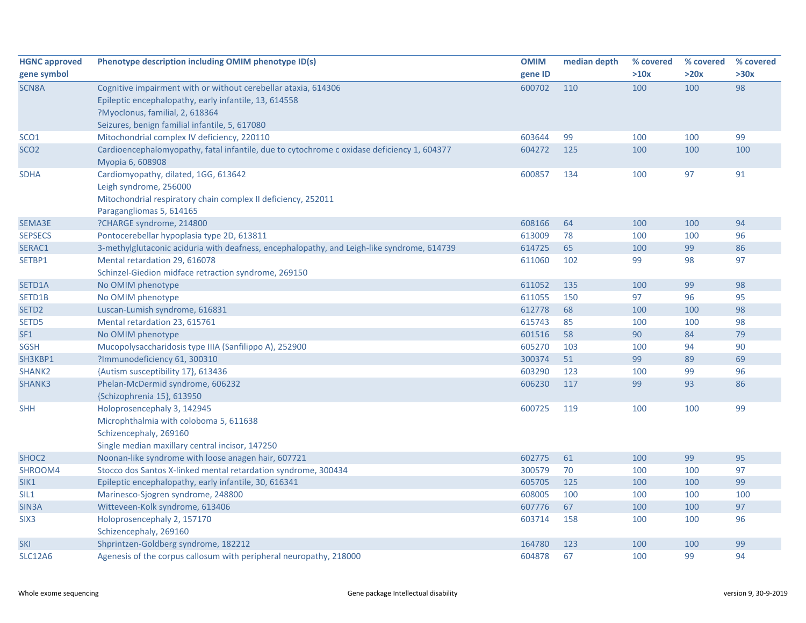| <b>HGNC approved</b> | Phenotype description including OMIM phenotype ID(s)                                                                                                                                                         | <b>OMIM</b> | median depth | % covered | % covered | % covered |
|----------------------|--------------------------------------------------------------------------------------------------------------------------------------------------------------------------------------------------------------|-------------|--------------|-----------|-----------|-----------|
| gene symbol          |                                                                                                                                                                                                              | gene ID     |              | >10x      | >20x      | >30x      |
| SCN <sub>8</sub> A   | Cognitive impairment with or without cerebellar ataxia, 614306<br>Epileptic encephalopathy, early infantile, 13, 614558<br>?Myoclonus, familial, 2, 618364<br>Seizures, benign familial infantile, 5, 617080 | 600702      | 110          | 100       | 100       | 98        |
| SCO <sub>1</sub>     | Mitochondrial complex IV deficiency, 220110                                                                                                                                                                  | 603644      | 99           | 100       | 100       | 99        |
| SCO <sub>2</sub>     | Cardioencephalomyopathy, fatal infantile, due to cytochrome c oxidase deficiency 1, 604377<br>Myopia 6, 608908                                                                                               | 604272      | 125          | 100       | 100       | 100       |
| <b>SDHA</b>          | Cardiomyopathy, dilated, 1GG, 613642<br>Leigh syndrome, 256000<br>Mitochondrial respiratory chain complex II deficiency, 252011<br>Paragangliomas 5, 614165                                                  | 600857      | 134          | 100       | 97        | 91        |
| SEMA3E               | ?CHARGE syndrome, 214800                                                                                                                                                                                     | 608166      | 64           | 100       | 100       | 94        |
| <b>SEPSECS</b>       | Pontocerebellar hypoplasia type 2D, 613811                                                                                                                                                                   | 613009      | 78           | 100       | 100       | 96        |
| SERAC1               | 3-methylglutaconic aciduria with deafness, encephalopathy, and Leigh-like syndrome, 614739                                                                                                                   | 614725      | 65           | 100       | 99        | 86        |
| SETBP1               | Mental retardation 29, 616078<br>Schinzel-Giedion midface retraction syndrome, 269150                                                                                                                        | 611060      | 102          | 99        | 98        | 97        |
| SETD1A               | No OMIM phenotype                                                                                                                                                                                            | 611052      | 135          | 100       | 99        | 98        |
| SETD1B               | No OMIM phenotype                                                                                                                                                                                            | 611055      | 150          | 97        | 96        | 95        |
| SETD <sub>2</sub>    | Luscan-Lumish syndrome, 616831                                                                                                                                                                               | 612778      | 68           | 100       | 100       | 98        |
| SETD5                | Mental retardation 23, 615761                                                                                                                                                                                | 615743      | 85           | 100       | 100       | 98        |
| SF <sub>1</sub>      | No OMIM phenotype                                                                                                                                                                                            | 601516      | 58           | 90        | 84        | 79        |
| <b>SGSH</b>          | Mucopolysaccharidosis type IIIA (Sanfilippo A), 252900                                                                                                                                                       | 605270      | 103          | 100       | 94        | 90        |
| SH3KBP1              | ?Immunodeficiency 61, 300310                                                                                                                                                                                 | 300374      | 51           | 99        | 89        | 69        |
| SHANK <sub>2</sub>   | {Autism susceptibility 17}, 613436                                                                                                                                                                           | 603290      | 123          | 100       | 99        | 96        |
| SHANK3               | Phelan-McDermid syndrome, 606232<br>{Schizophrenia 15}, 613950                                                                                                                                               | 606230      | 117          | 99        | 93        | 86        |
| <b>SHH</b>           | Holoprosencephaly 3, 142945<br>Microphthalmia with coloboma 5, 611638<br>Schizencephaly, 269160<br>Single median maxillary central incisor, 147250                                                           | 600725      | 119          | 100       | 100       | 99        |
| SHOC <sub>2</sub>    | Noonan-like syndrome with loose anagen hair, 607721                                                                                                                                                          | 602775      | 61           | 100       | 99        | 95        |
| SHROOM4              | Stocco dos Santos X-linked mental retardation syndrome, 300434                                                                                                                                               | 300579      | 70           | 100       | 100       | 97        |
| SIK1                 | Epileptic encephalopathy, early infantile, 30, 616341                                                                                                                                                        | 605705      | 125          | 100       | 100       | 99        |
| SIL1                 | Marinesco-Sjogren syndrome, 248800                                                                                                                                                                           | 608005      | 100          | 100       | 100       | 100       |
| SIN <sub>3</sub> A   | Witteveen-Kolk syndrome, 613406                                                                                                                                                                              | 607776      | 67           | 100       | 100       | 97        |
| SIX <sub>3</sub>     | Holoprosencephaly 2, 157170<br>Schizencephaly, 269160                                                                                                                                                        | 603714      | 158          | 100       | 100       | 96        |
| SKI                  | Shprintzen-Goldberg syndrome, 182212                                                                                                                                                                         | 164780      | 123          | 100       | 100       | 99        |
| <b>SLC12A6</b>       | Agenesis of the corpus callosum with peripheral neuropathy, 218000                                                                                                                                           | 604878      | 67           | 100       | 99        | 94        |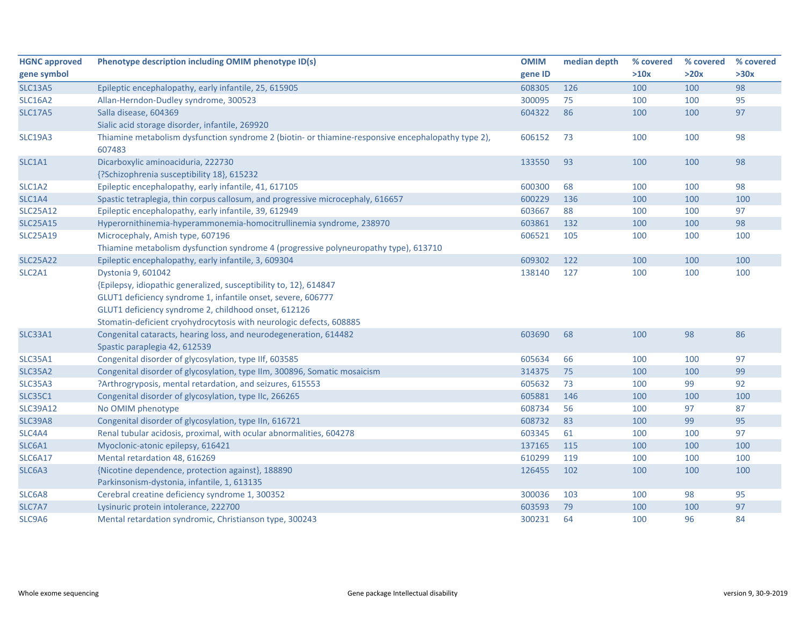| <b>HGNC approved</b> | Phenotype description including OMIM phenotype ID(s)                                                         | <b>OMIM</b> | median depth | % covered | % covered | % covered |
|----------------------|--------------------------------------------------------------------------------------------------------------|-------------|--------------|-----------|-----------|-----------|
| gene symbol          |                                                                                                              | gene ID     |              | >10x      | >20x      | >30x      |
| <b>SLC13A5</b>       | Epileptic encephalopathy, early infantile, 25, 615905                                                        | 608305      | 126          | 100       | 100       | 98        |
| <b>SLC16A2</b>       | Allan-Herndon-Dudley syndrome, 300523                                                                        | 300095      | 75           | 100       | 100       | 95        |
| <b>SLC17A5</b>       | Salla disease, 604369                                                                                        | 604322      | 86           | 100       | 100       | 97        |
|                      | Sialic acid storage disorder, infantile, 269920                                                              |             |              |           |           |           |
| <b>SLC19A3</b>       | Thiamine metabolism dysfunction syndrome 2 (biotin- or thiamine-responsive encephalopathy type 2),<br>607483 | 606152      | 73           | 100       | 100       | 98        |
| SLC1A1               | Dicarboxylic aminoaciduria, 222730                                                                           | 133550      | 93           | 100       | 100       | 98        |
|                      | {?Schizophrenia susceptibility 18}, 615232                                                                   |             |              |           |           |           |
| SLC1A2               | Epileptic encephalopathy, early infantile, 41, 617105                                                        | 600300      | 68           | 100       | 100       | 98        |
| SLC1A4               | Spastic tetraplegia, thin corpus callosum, and progressive microcephaly, 616657                              | 600229      | 136          | 100       | 100       | 100       |
| <b>SLC25A12</b>      | Epileptic encephalopathy, early infantile, 39, 612949                                                        | 603667      | 88           | 100       | 100       | 97        |
| <b>SLC25A15</b>      | Hyperornithinemia-hyperammonemia-homocitrullinemia syndrome, 238970                                          | 603861      | 132          | 100       | 100       | 98        |
| <b>SLC25A19</b>      | Microcephaly, Amish type, 607196                                                                             | 606521      | 105          | 100       | 100       | 100       |
|                      | Thiamine metabolism dysfunction syndrome 4 (progressive polyneuropathy type), 613710                         |             |              |           |           |           |
| <b>SLC25A22</b>      | Epileptic encephalopathy, early infantile, 3, 609304                                                         | 609302      | 122          | 100       | 100       | 100       |
| SLC2A1               | Dystonia 9, 601042                                                                                           | 138140      | 127          | 100       | 100       | 100       |
|                      | {Epilepsy, idiopathic generalized, susceptibility to, 12}, 614847                                            |             |              |           |           |           |
|                      | GLUT1 deficiency syndrome 1, infantile onset, severe, 606777                                                 |             |              |           |           |           |
|                      | GLUT1 deficiency syndrome 2, childhood onset, 612126                                                         |             |              |           |           |           |
|                      | Stomatin-deficient cryohydrocytosis with neurologic defects, 608885                                          |             |              |           |           |           |
| SLC33A1              | Congenital cataracts, hearing loss, and neurodegeneration, 614482                                            | 603690      | 68           | 100       | 98        | 86        |
|                      | Spastic paraplegia 42, 612539                                                                                |             |              |           |           |           |
| <b>SLC35A1</b>       | Congenital disorder of glycosylation, type IIf, 603585                                                       | 605634      | 66           | 100       | 100       | 97        |
| <b>SLC35A2</b>       | Congenital disorder of glycosylation, type IIm, 300896, Somatic mosaicism                                    | 314375      | 75           | 100       | 100       | 99        |
| SLC35A3              | ?Arthrogryposis, mental retardation, and seizures, 615553                                                    | 605632      | 73           | 100       | 99        | 92        |
| <b>SLC35C1</b>       | Congenital disorder of glycosylation, type IIc, 266265                                                       | 605881      | 146          | 100       | 100       | 100       |
| <b>SLC39A12</b>      | No OMIM phenotype                                                                                            | 608734      | 56           | 100       | 97        | 87        |
| <b>SLC39A8</b>       | Congenital disorder of glycosylation, type IIn, 616721                                                       | 608732      | 83           | 100       | 99        | 95        |
| SLC4A4               | Renal tubular acidosis, proximal, with ocular abnormalities, 604278                                          | 603345      | 61           | 100       | 100       | 97        |
| SLC6A1               | Myoclonic-atonic epilepsy, 616421                                                                            | 137165      | 115          | 100       | 100       | 100       |
| <b>SLC6A17</b>       | Mental retardation 48, 616269                                                                                | 610299      | 119          | 100       | 100       | 100       |
| SLC6A3               | {Nicotine dependence, protection against}, 188890                                                            | 126455      | 102          | 100       | 100       | 100       |
|                      | Parkinsonism-dystonia, infantile, 1, 613135                                                                  |             |              |           |           |           |
| SLC6A8               | Cerebral creatine deficiency syndrome 1, 300352                                                              | 300036      | 103          | 100       | 98        | 95        |
| SLC7A7               | Lysinuric protein intolerance, 222700                                                                        | 603593      | 79           | 100       | 100       | 97        |
| SLC9A6               | Mental retardation syndromic, Christianson type, 300243                                                      | 300231      | 64           | 100       | 96        | 84        |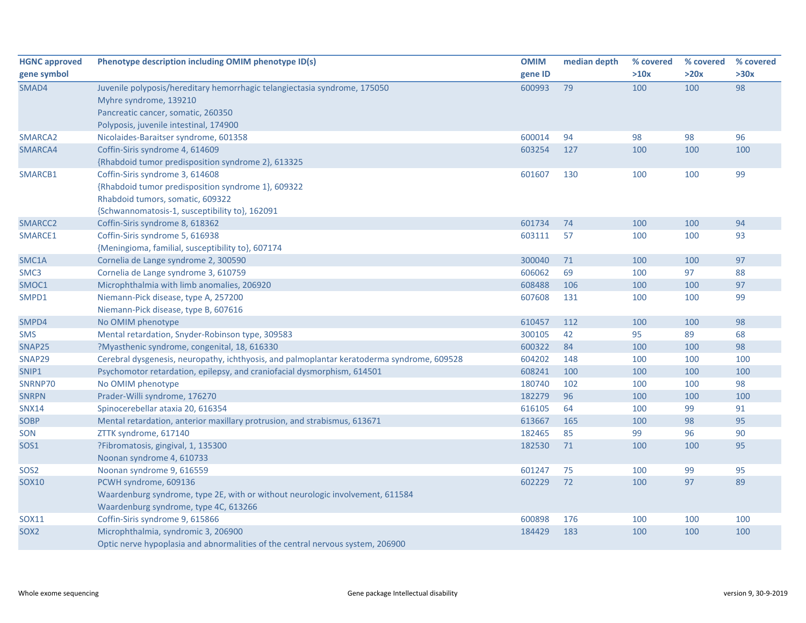| <b>HGNC approved</b><br>gene symbol | Phenotype description including OMIM phenotype ID(s)                                                                                                                                | <b>OMIM</b><br>gene ID | median depth | % covered<br>>10x | % covered<br>>20x | % covered<br>>30x |
|-------------------------------------|-------------------------------------------------------------------------------------------------------------------------------------------------------------------------------------|------------------------|--------------|-------------------|-------------------|-------------------|
| SMAD4                               | Juvenile polyposis/hereditary hemorrhagic telangiectasia syndrome, 175050<br>Myhre syndrome, 139210<br>Pancreatic cancer, somatic, 260350<br>Polyposis, juvenile intestinal, 174900 | 600993                 | 79           | 100               | 100               | 98                |
| SMARCA2                             | Nicolaides-Baraitser syndrome, 601358                                                                                                                                               | 600014                 | 94           | 98                | 98                | 96                |
| SMARCA4                             | Coffin-Siris syndrome 4, 614609<br>{Rhabdoid tumor predisposition syndrome 2}, 613325                                                                                               | 603254                 | 127          | 100               | 100               | 100               |
| SMARCB1                             | Coffin-Siris syndrome 3, 614608<br>{Rhabdoid tumor predisposition syndrome 1}, 609322<br>Rhabdoid tumors, somatic, 609322<br>{Schwannomatosis-1, susceptibility to}, 162091         | 601607                 | 130          | 100               | 100               | 99                |
| SMARCC2                             | Coffin-Siris syndrome 8, 618362                                                                                                                                                     | 601734                 | 74           | 100               | 100               | 94                |
| SMARCE1                             | Coffin-Siris syndrome 5, 616938<br>{Meningioma, familial, susceptibility to}, 607174                                                                                                | 603111                 | 57           | 100               | 100               | 93                |
| SMC1A                               | Cornelia de Lange syndrome 2, 300590                                                                                                                                                | 300040                 | 71           | 100               | 100               | 97                |
| SMC3                                | Cornelia de Lange syndrome 3, 610759                                                                                                                                                | 606062                 | 69           | 100               | 97                | 88                |
| SMOC1                               | Microphthalmia with limb anomalies, 206920                                                                                                                                          | 608488                 | 106          | 100               | 100               | 97                |
| SMPD1                               | Niemann-Pick disease, type A, 257200<br>Niemann-Pick disease, type B, 607616                                                                                                        | 607608                 | 131          | 100               | 100               | 99                |
| SMPD4                               | No OMIM phenotype                                                                                                                                                                   | 610457                 | 112          | 100               | 100               | 98                |
| <b>SMS</b>                          | Mental retardation, Snyder-Robinson type, 309583                                                                                                                                    | 300105                 | 42           | 95                | 89                | 68                |
| SNAP25                              | ?Myasthenic syndrome, congenital, 18, 616330                                                                                                                                        | 600322                 | 84           | 100               | 100               | 98                |
| SNAP29                              | Cerebral dysgenesis, neuropathy, ichthyosis, and palmoplantar keratoderma syndrome, 609528                                                                                          | 604202                 | 148          | 100               | 100               | 100               |
| SNIP1                               | Psychomotor retardation, epilepsy, and craniofacial dysmorphism, 614501                                                                                                             | 608241                 | 100          | 100               | 100               | 100               |
| SNRNP70                             | No OMIM phenotype                                                                                                                                                                   | 180740                 | 102          | 100               | 100               | 98                |
| <b>SNRPN</b>                        | Prader-Willi syndrome, 176270                                                                                                                                                       | 182279                 | 96           | 100               | 100               | 100               |
| <b>SNX14</b>                        | Spinocerebellar ataxia 20, 616354                                                                                                                                                   | 616105                 | 64           | 100               | 99                | 91                |
| <b>SOBP</b>                         | Mental retardation, anterior maxillary protrusion, and strabismus, 613671                                                                                                           | 613667                 | 165          | 100               | 98                | 95                |
| SON                                 | ZTTK syndrome, 617140                                                                                                                                                               | 182465                 | 85           | 99                | 96                | 90                |
| <b>SOS1</b>                         | ?Fibromatosis, gingival, 1, 135300<br>Noonan syndrome 4, 610733                                                                                                                     | 182530                 | 71           | 100               | 100               | 95                |
| SOS <sub>2</sub>                    | Noonan syndrome 9, 616559                                                                                                                                                           | 601247                 | 75           | 100               | 99                | 95                |
| <b>SOX10</b>                        | PCWH syndrome, 609136<br>Waardenburg syndrome, type 2E, with or without neurologic involvement, 611584<br>Waardenburg syndrome, type 4C, 613266                                     | 602229                 | 72           | 100               | 97                | 89                |
| SOX11                               | Coffin-Siris syndrome 9, 615866                                                                                                                                                     | 600898                 | 176          | 100               | 100               | 100               |
| SOX <sub>2</sub>                    | Microphthalmia, syndromic 3, 206900<br>Optic nerve hypoplasia and abnormalities of the central nervous system, 206900                                                               | 184429                 | 183          | 100               | 100               | 100               |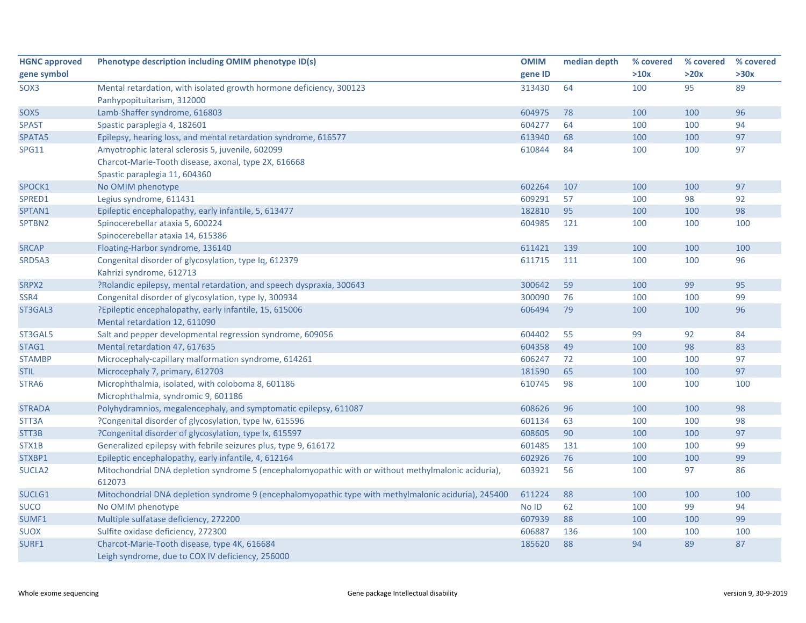| <b>HGNC approved</b> | Phenotype description including OMIM phenotype ID(s)                                                 | <b>OMIM</b> | median depth | % covered | % covered | % covered |
|----------------------|------------------------------------------------------------------------------------------------------|-------------|--------------|-----------|-----------|-----------|
| gene symbol          |                                                                                                      | gene ID     |              | >10x      | >20x      | >30x      |
| SOX3                 | Mental retardation, with isolated growth hormone deficiency, 300123                                  | 313430      | 64           | 100       | 95        | 89        |
|                      | Panhypopituitarism, 312000                                                                           |             |              |           |           |           |
| SOX5                 | Lamb-Shaffer syndrome, 616803                                                                        | 604975      | 78           | 100       | 100       | 96        |
| <b>SPAST</b>         | Spastic paraplegia 4, 182601                                                                         | 604277      | 64           | 100       | 100       | 94        |
| SPATA5               | Epilepsy, hearing loss, and mental retardation syndrome, 616577                                      | 613940      | 68           | 100       | 100       | 97        |
| SPG11                | Amyotrophic lateral sclerosis 5, juvenile, 602099                                                    | 610844      | 84           | 100       | 100       | 97        |
|                      | Charcot-Marie-Tooth disease, axonal, type 2X, 616668                                                 |             |              |           |           |           |
|                      | Spastic paraplegia 11, 604360                                                                        |             |              |           |           |           |
| SPOCK1               | No OMIM phenotype                                                                                    | 602264      | 107          | 100       | 100       | 97        |
| SPRED1               | Legius syndrome, 611431                                                                              | 609291      | 57           | 100       | 98        | 92        |
| SPTAN1               | Epileptic encephalopathy, early infantile, 5, 613477                                                 | 182810      | 95           | 100       | 100       | 98        |
| SPTBN2               | Spinocerebellar ataxia 5, 600224                                                                     | 604985      | 121          | 100       | 100       | 100       |
|                      | Spinocerebellar ataxia 14, 615386                                                                    |             |              |           |           |           |
| <b>SRCAP</b>         | Floating-Harbor syndrome, 136140                                                                     | 611421      | 139          | 100       | 100       | 100       |
| SRD5A3               | Congenital disorder of glycosylation, type Iq, 612379                                                | 611715      | 111          | 100       | 100       | 96        |
|                      | Kahrizi syndrome, 612713                                                                             |             |              |           |           |           |
| SRPX2                | ?Rolandic epilepsy, mental retardation, and speech dyspraxia, 300643                                 | 300642      | 59           | 100       | 99        | 95        |
| SSR4                 | Congenital disorder of glycosylation, type Iy, 300934                                                | 300090      | 76           | 100       | 100       | 99        |
| ST3GAL3              | ?Epileptic encephalopathy, early infantile, 15, 615006                                               | 606494      | 79           | 100       | 100       | 96        |
|                      | Mental retardation 12, 611090                                                                        |             |              |           |           |           |
| ST3GAL5              | Salt and pepper developmental regression syndrome, 609056                                            | 604402      | 55           | 99        | 92        | 84        |
| STAG1                | Mental retardation 47, 617635                                                                        | 604358      | 49           | 100       | 98        | 83        |
| <b>STAMBP</b>        | Microcephaly-capillary malformation syndrome, 614261                                                 | 606247      | 72           | 100       | 100       | 97        |
| <b>STIL</b>          | Microcephaly 7, primary, 612703                                                                      | 181590      | 65           | 100       | 100       | 97        |
| STRA6                | Microphthalmia, isolated, with coloboma 8, 601186                                                    | 610745      | 98           | 100       | 100       | 100       |
|                      | Microphthalmia, syndromic 9, 601186                                                                  |             |              |           |           |           |
| <b>STRADA</b>        | Polyhydramnios, megalencephaly, and symptomatic epilepsy, 611087                                     | 608626      | 96           | 100       | 100       | 98        |
| STT3A                | ?Congenital disorder of glycosylation, type Iw, 615596                                               | 601134      | 63           | 100       | 100       | 98        |
| STT3B                | ?Congenital disorder of glycosylation, type Ix, 615597                                               | 608605      | 90           | 100       | 100       | 97        |
| STX1B                | Generalized epilepsy with febrile seizures plus, type 9, 616172                                      | 601485      | 131          | 100       | 100       | 99        |
| STXBP1               | Epileptic encephalopathy, early infantile, 4, 612164                                                 | 602926      | 76           | 100       | 100       | 99        |
| SUCLA <sub>2</sub>   | Mitochondrial DNA depletion syndrome 5 (encephalomyopathic with or without methylmalonic aciduria),  | 603921      | 56           | 100       | 97        | 86        |
|                      | 612073                                                                                               |             |              |           |           |           |
| SUCLG1               | Mitochondrial DNA depletion syndrome 9 (encephalomyopathic type with methylmalonic aciduria), 245400 | 611224      | 88           | 100       | 100       | 100       |
| <b>SUCO</b>          | No OMIM phenotype                                                                                    | No ID       | 62           | 100       | 99        | 94        |
| SUMF1                | Multiple sulfatase deficiency, 272200                                                                | 607939      | 88           | 100       | 100       | 99        |
| <b>SUOX</b>          | Sulfite oxidase deficiency, 272300                                                                   | 606887      | 136          | 100       | 100       | 100       |
| SURF1                | Charcot-Marie-Tooth disease, type 4K, 616684                                                         | 185620      | 88           | 94        | 89        | 87        |
|                      | Leigh syndrome, due to COX IV deficiency, 256000                                                     |             |              |           |           |           |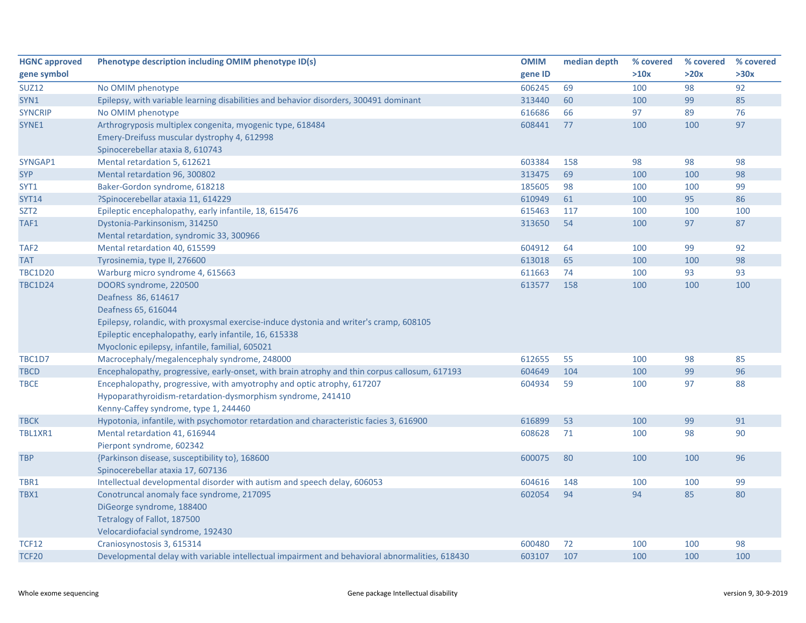| <b>HGNC approved</b> | Phenotype description including OMIM phenotype ID(s)                                           | <b>OMIM</b> | median depth | % covered | % covered | % covered |
|----------------------|------------------------------------------------------------------------------------------------|-------------|--------------|-----------|-----------|-----------|
| gene symbol          |                                                                                                | gene ID     |              | >10x      | >20x      | >30x      |
| <b>SUZ12</b>         | No OMIM phenotype                                                                              | 606245      | 69           | 100       | 98        | 92        |
| SYN1                 | Epilepsy, with variable learning disabilities and behavior disorders, 300491 dominant          | 313440      | 60           | 100       | 99        | 85        |
| <b>SYNCRIP</b>       | No OMIM phenotype                                                                              | 616686      | 66           | 97        | 89        | 76        |
| SYNE1                | Arthrogryposis multiplex congenita, myogenic type, 618484                                      | 608441      | 77           | 100       | 100       | 97        |
|                      | Emery-Dreifuss muscular dystrophy 4, 612998                                                    |             |              |           |           |           |
|                      | Spinocerebellar ataxia 8, 610743                                                               |             |              |           |           |           |
| SYNGAP1              | Mental retardation 5, 612621                                                                   | 603384      | 158          | 98        | 98        | 98        |
| <b>SYP</b>           | Mental retardation 96, 300802                                                                  | 313475      | 69           | 100       | 100       | 98        |
| SYT1                 | Baker-Gordon syndrome, 618218                                                                  | 185605      | 98           | 100       | 100       | 99        |
| <b>SYT14</b>         | ?Spinocerebellar ataxia 11, 614229                                                             | 610949      | 61           | 100       | 95        | 86        |
| SZT <sub>2</sub>     | Epileptic encephalopathy, early infantile, 18, 615476                                          | 615463      | 117          | 100       | 100       | 100       |
| TAF1                 | Dystonia-Parkinsonism, 314250                                                                  | 313650      | 54           | 100       | 97        | 87        |
|                      | Mental retardation, syndromic 33, 300966                                                       |             |              |           |           |           |
| TAF <sub>2</sub>     | Mental retardation 40, 615599                                                                  | 604912      | 64           | 100       | 99        | 92        |
| <b>TAT</b>           | Tyrosinemia, type II, 276600                                                                   | 613018      | 65           | 100       | 100       | 98        |
| <b>TBC1D20</b>       | Warburg micro syndrome 4, 615663                                                               | 611663      | 74           | 100       | 93        | 93        |
| <b>TBC1D24</b>       | DOORS syndrome, 220500                                                                         | 613577      | 158          | 100       | 100       | 100       |
|                      | Deafness 86, 614617                                                                            |             |              |           |           |           |
|                      | Deafness 65, 616044                                                                            |             |              |           |           |           |
|                      | Epilepsy, rolandic, with proxysmal exercise-induce dystonia and writer's cramp, 608105         |             |              |           |           |           |
|                      | Epileptic encephalopathy, early infantile, 16, 615338                                          |             |              |           |           |           |
|                      | Myoclonic epilepsy, infantile, familial, 605021                                                |             |              |           |           |           |
| TBC1D7               | Macrocephaly/megalencephaly syndrome, 248000                                                   | 612655      | 55           | 100       | 98        | 85        |
| <b>TBCD</b>          | Encephalopathy, progressive, early-onset, with brain atrophy and thin corpus callosum, 617193  | 604649      | 104          | 100       | 99        | 96        |
| <b>TBCE</b>          | Encephalopathy, progressive, with amyotrophy and optic atrophy, 617207                         | 604934      | 59           | 100       | 97        | 88        |
|                      | Hypoparathyroidism-retardation-dysmorphism syndrome, 241410                                    |             |              |           |           |           |
|                      | Kenny-Caffey syndrome, type 1, 244460                                                          |             |              |           |           |           |
| <b>TBCK</b>          | Hypotonia, infantile, with psychomotor retardation and characteristic facies 3, 616900         | 616899      | 53           | 100       | 99        | 91        |
| TBL1XR1              | Mental retardation 41, 616944                                                                  | 608628      | 71           | 100       | 98        | 90        |
|                      | Pierpont syndrome, 602342                                                                      |             |              |           |           |           |
| <b>TBP</b>           | {Parkinson disease, susceptibility to}, 168600                                                 | 600075      | 80           | 100       | 100       | 96        |
|                      | Spinocerebellar ataxia 17, 607136                                                              |             |              |           |           |           |
| TBR1                 | Intellectual developmental disorder with autism and speech delay, 606053                       | 604616      | 148          | 100       | 100       | 99        |
| TBX1                 | Conotruncal anomaly face syndrome, 217095                                                      | 602054      | 94           | 94        | 85        | 80        |
|                      | DiGeorge syndrome, 188400                                                                      |             |              |           |           |           |
|                      | Tetralogy of Fallot, 187500                                                                    |             |              |           |           |           |
|                      | Velocardiofacial syndrome, 192430                                                              |             |              |           |           |           |
| <b>TCF12</b>         | Craniosynostosis 3, 615314                                                                     | 600480      | 72           | 100       | 100       | 98        |
| <b>TCF20</b>         | Developmental delay with variable intellectual impairment and behavioral abnormalities, 618430 | 603107      | 107          | 100       | 100       | 100       |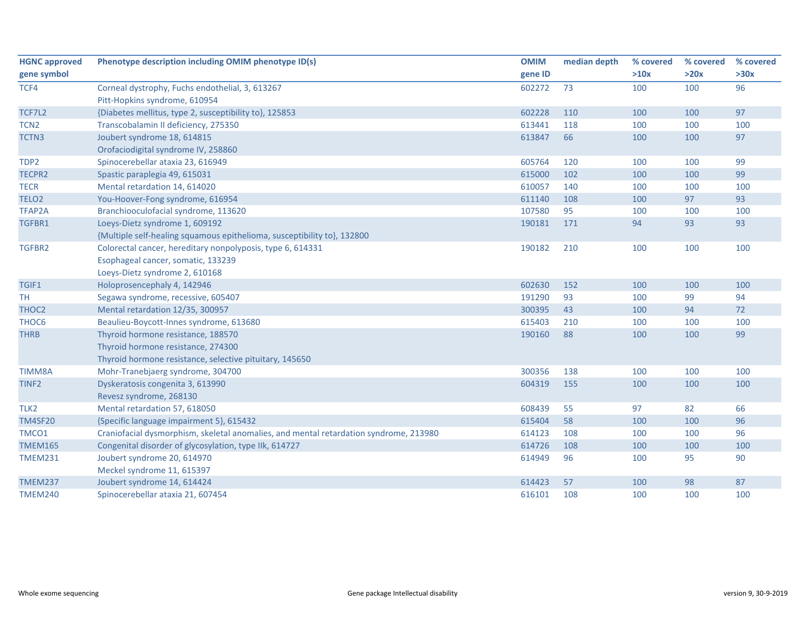| <b>HGNC approved</b> | Phenotype description including OMIM phenotype ID(s)                                  | <b>OMIM</b> | median depth | % covered | % covered | % covered |
|----------------------|---------------------------------------------------------------------------------------|-------------|--------------|-----------|-----------|-----------|
| gene symbol          |                                                                                       | gene ID     |              | >10x      | >20x      | >30x      |
| TCF4                 | Corneal dystrophy, Fuchs endothelial, 3, 613267                                       | 602272      | 73           | 100       | 100       | 96        |
|                      | Pitt-Hopkins syndrome, 610954                                                         |             |              |           |           |           |
| TCF7L2               | {Diabetes mellitus, type 2, susceptibility to}, 125853                                | 602228      | 110          | 100       | 100       | 97        |
| TCN <sub>2</sub>     | Transcobalamin II deficiency, 275350                                                  | 613441      | 118          | 100       | 100       | 100       |
| <b>TCTN3</b>         | Joubert syndrome 18, 614815                                                           | 613847      | 66           | 100       | 100       | 97        |
|                      | Orofaciodigital syndrome IV, 258860                                                   |             |              |           |           |           |
| TDP2                 | Spinocerebellar ataxia 23, 616949                                                     | 605764      | 120          | 100       | 100       | 99        |
| TECPR2               | Spastic paraplegia 49, 615031                                                         | 615000      | 102          | 100       | 100       | 99        |
| <b>TECR</b>          | Mental retardation 14, 614020                                                         | 610057      | 140          | 100       | 100       | 100       |
| TELO <sub>2</sub>    | You-Hoover-Fong syndrome, 616954                                                      | 611140      | 108          | 100       | 97        | 93        |
| TFAP2A               | Branchiooculofacial syndrome, 113620                                                  | 107580      | 95           | 100       | 100       | 100       |
| TGFBR1               | Loeys-Dietz syndrome 1, 609192                                                        | 190181      | 171          | 94        | 93        | 93        |
|                      | {Multiple self-healing squamous epithelioma, susceptibility to}, 132800               |             |              |           |           |           |
| TGFBR2               | Colorectal cancer, hereditary nonpolyposis, type 6, 614331                            | 190182      | 210          | 100       | 100       | 100       |
|                      | Esophageal cancer, somatic, 133239                                                    |             |              |           |           |           |
|                      | Loeys-Dietz syndrome 2, 610168                                                        |             |              |           |           |           |
| TGIF1                | Holoprosencephaly 4, 142946                                                           | 602630      | 152          | 100       | 100       | 100       |
| <b>TH</b>            | Segawa syndrome, recessive, 605407                                                    | 191290      | 93           | 100       | 99        | 94        |
| THOC2                | Mental retardation 12/35, 300957                                                      | 300395      | 43           | 100       | 94        | 72        |
| THOC6                | Beaulieu-Boycott-Innes syndrome, 613680                                               | 615403      | 210          | 100       | 100       | 100       |
| <b>THRB</b>          | Thyroid hormone resistance, 188570                                                    | 190160      | 88           | 100       | 100       | 99        |
|                      | Thyroid hormone resistance, 274300                                                    |             |              |           |           |           |
|                      | Thyroid hormone resistance, selective pituitary, 145650                               |             |              |           |           |           |
| TIMM8A               | Mohr-Tranebjaerg syndrome, 304700                                                     | 300356      | 138          | 100       | 100       | 100       |
| TINF <sub>2</sub>    | Dyskeratosis congenita 3, 613990                                                      | 604319      | 155          | 100       | 100       | 100       |
|                      | Revesz syndrome, 268130                                                               |             |              |           |           |           |
| TLK <sub>2</sub>     | Mental retardation 57, 618050                                                         | 608439      | 55           | 97        | 82        | 66        |
| <b>TM4SF20</b>       | {Specific language impairment 5}, 615432                                              | 615404      | 58           | 100       | 100       | 96        |
| TMCO1                | Craniofacial dysmorphism, skeletal anomalies, and mental retardation syndrome, 213980 | 614123      | 108          | 100       | 100       | 96        |
| <b>TMEM165</b>       | Congenital disorder of glycosylation, type IIk, 614727                                | 614726      | 108          | 100       | 100       | 100       |
| <b>TMEM231</b>       | Joubert syndrome 20, 614970                                                           | 614949      | 96           | 100       | 95        | 90        |
|                      | Meckel syndrome 11, 615397                                                            |             |              |           |           |           |
| <b>TMEM237</b>       | Joubert syndrome 14, 614424                                                           | 614423      | 57           | 100       | 98        | 87        |
| <b>TMEM240</b>       | Spinocerebellar ataxia 21, 607454                                                     | 616101      | 108          | 100       | 100       | 100       |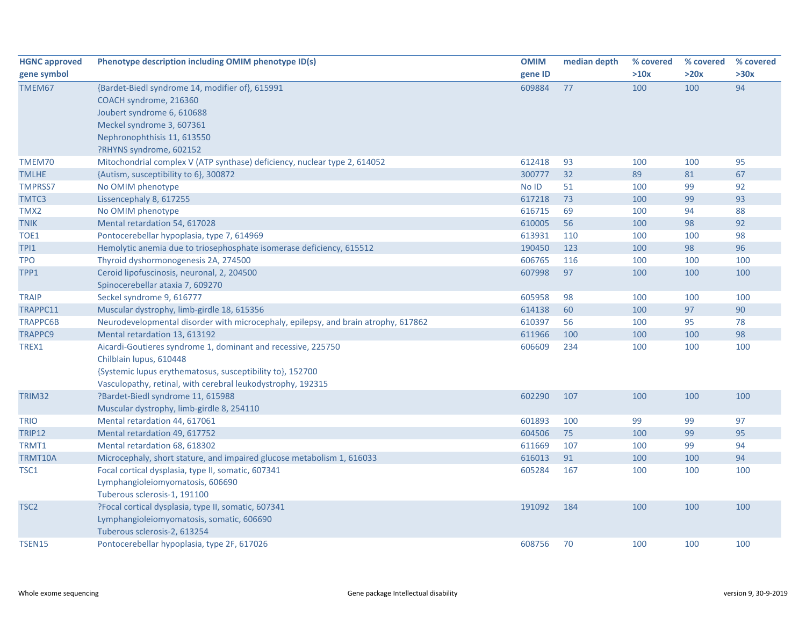| <b>HGNC approved</b> | Phenotype description including OMIM phenotype ID(s)                               | <b>OMIM</b> | median depth | % covered | % covered | % covered |
|----------------------|------------------------------------------------------------------------------------|-------------|--------------|-----------|-----------|-----------|
| gene symbol          |                                                                                    | gene ID     |              | >10x      | >20x      | >30x      |
| TMEM67               | {Bardet-Biedl syndrome 14, modifier of}, 615991                                    | 609884      | 77           | 100       | 100       | 94        |
|                      | COACH syndrome, 216360                                                             |             |              |           |           |           |
|                      | Joubert syndrome 6, 610688                                                         |             |              |           |           |           |
|                      | Meckel syndrome 3, 607361                                                          |             |              |           |           |           |
|                      | Nephronophthisis 11, 613550                                                        |             |              |           |           |           |
|                      | ?RHYNS syndrome, 602152                                                            |             |              |           |           |           |
| TMEM70               | Mitochondrial complex V (ATP synthase) deficiency, nuclear type 2, 614052          | 612418      | 93           | 100       | 100       | 95        |
| <b>TMLHE</b>         | {Autism, susceptibility to 6}, 300872                                              | 300777      | 32           | 89        | 81        | 67        |
| <b>TMPRSS7</b>       | No OMIM phenotype                                                                  | No ID       | 51           | 100       | 99        | 92        |
| TMTC3                | Lissencephaly 8, 617255                                                            | 617218      | 73           | 100       | 99        | 93        |
| TMX2                 | No OMIM phenotype                                                                  | 616715      | 69           | 100       | 94        | 88        |
| <b>TNIK</b>          | Mental retardation 54, 617028                                                      | 610005      | 56           | 100       | 98        | 92        |
| TOE1                 | Pontocerebellar hypoplasia, type 7, 614969                                         | 613931      | 110          | 100       | 100       | 98        |
| TPI1                 | Hemolytic anemia due to triosephosphate isomerase deficiency, 615512               | 190450      | 123          | 100       | 98        | 96        |
| <b>TPO</b>           | Thyroid dyshormonogenesis 2A, 274500                                               | 606765      | 116          | 100       | 100       | 100       |
| TPP1                 | Ceroid lipofuscinosis, neuronal, 2, 204500                                         | 607998      | 97           | 100       | 100       | 100       |
|                      | Spinocerebellar ataxia 7, 609270                                                   |             |              |           |           |           |
| <b>TRAIP</b>         | Seckel syndrome 9, 616777                                                          | 605958      | 98           | 100       | 100       | 100       |
| TRAPPC11             | Muscular dystrophy, limb-girdle 18, 615356                                         | 614138      | 60           | 100       | 97        | 90        |
| <b>TRAPPC6B</b>      | Neurodevelopmental disorder with microcephaly, epilepsy, and brain atrophy, 617862 | 610397      | 56           | 100       | 95        | 78        |
| <b>TRAPPC9</b>       | Mental retardation 13, 613192                                                      | 611966      | 100          | 100       | 100       | 98        |
| TREX1                | Aicardi-Goutieres syndrome 1, dominant and recessive, 225750                       | 606609      | 234          | 100       | 100       | 100       |
|                      | Chilblain lupus, 610448                                                            |             |              |           |           |           |
|                      | {Systemic lupus erythematosus, susceptibility to}, 152700                          |             |              |           |           |           |
|                      | Vasculopathy, retinal, with cerebral leukodystrophy, 192315                        |             |              |           |           |           |
| TRIM32               | ?Bardet-Biedl syndrome 11, 615988                                                  | 602290      | 107          | 100       | 100       | 100       |
|                      | Muscular dystrophy, limb-girdle 8, 254110                                          |             |              |           |           |           |
| <b>TRIO</b>          | Mental retardation 44, 617061                                                      | 601893      | 100          | 99        | 99        | 97        |
| <b>TRIP12</b>        | Mental retardation 49, 617752                                                      | 604506      | 75           | 100       | 99        | 95        |
| TRMT1                | Mental retardation 68, 618302                                                      | 611669      | 107          | 100       | 99        | 94        |
| <b>TRMT10A</b>       | Microcephaly, short stature, and impaired glucose metabolism 1, 616033             | 616013      | 91           | 100       | 100       | 94        |
| TSC1                 | Focal cortical dysplasia, type II, somatic, 607341                                 | 605284      | 167          | 100       | 100       | 100       |
|                      | Lymphangioleiomyomatosis, 606690                                                   |             |              |           |           |           |
|                      | Tuberous sclerosis-1, 191100                                                       |             |              |           |           |           |
| TSC <sub>2</sub>     | ?Focal cortical dysplasia, type II, somatic, 607341                                | 191092      | 184          | 100       | 100       | 100       |
|                      | Lymphangioleiomyomatosis, somatic, 606690                                          |             |              |           |           |           |
|                      | Tuberous sclerosis-2, 613254                                                       |             |              |           |           |           |
| <b>TSEN15</b>        | Pontocerebellar hypoplasia, type 2F, 617026                                        | 608756      | 70           | 100       | 100       | 100       |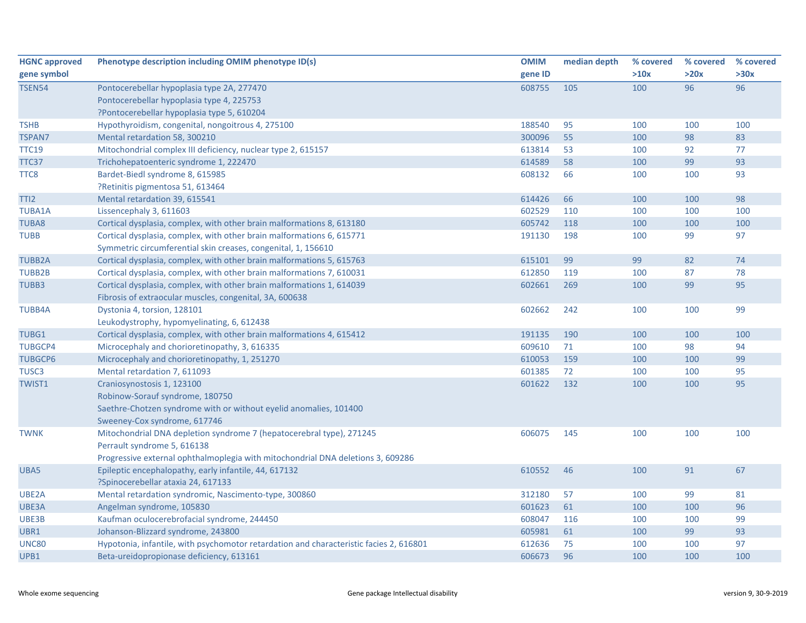| <b>HGNC approved</b> | Phenotype description including OMIM phenotype ID(s)                                   | <b>OMIM</b> | median depth | % covered | % covered | % covered |
|----------------------|----------------------------------------------------------------------------------------|-------------|--------------|-----------|-----------|-----------|
| gene symbol          |                                                                                        | gene ID     |              | >10x      | >20x      | >30x      |
| <b>TSEN54</b>        | Pontocerebellar hypoplasia type 2A, 277470                                             | 608755      | 105          | 100       | 96        | 96        |
|                      | Pontocerebellar hypoplasia type 4, 225753                                              |             |              |           |           |           |
|                      | ?Pontocerebellar hypoplasia type 5, 610204                                             |             |              |           |           |           |
| <b>TSHB</b>          | Hypothyroidism, congenital, nongoitrous 4, 275100                                      | 188540      | 95           | 100       | 100       | 100       |
| <b>TSPAN7</b>        | Mental retardation 58, 300210                                                          | 300096      | 55           | 100       | 98        | 83        |
| <b>TTC19</b>         | Mitochondrial complex III deficiency, nuclear type 2, 615157                           | 613814      | 53           | 100       | 92        | 77        |
| TTC37                | Trichohepatoenteric syndrome 1, 222470                                                 | 614589      | 58           | 100       | 99        | 93        |
| TTC8                 | Bardet-Biedl syndrome 8, 615985                                                        | 608132      | 66           | 100       | 100       | 93        |
|                      | ?Retinitis pigmentosa 51, 613464                                                       |             |              |           |           |           |
| TTI <sub>2</sub>     | Mental retardation 39, 615541                                                          | 614426      | 66           | 100       | 100       | 98        |
| <b>TUBA1A</b>        | Lissencephaly 3, 611603                                                                | 602529      | 110          | 100       | 100       | 100       |
| <b>TUBA8</b>         | Cortical dysplasia, complex, with other brain malformations 8, 613180                  | 605742      | 118          | 100       | 100       | 100       |
| <b>TUBB</b>          | Cortical dysplasia, complex, with other brain malformations 6, 615771                  | 191130      | 198          | 100       | 99        | 97        |
|                      | Symmetric circumferential skin creases, congenital, 1, 156610                          |             |              |           |           |           |
| <b>TUBB2A</b>        | Cortical dysplasia, complex, with other brain malformations 5, 615763                  | 615101      | 99           | 99        | 82        | 74        |
| TUBB2B               | Cortical dysplasia, complex, with other brain malformations 7, 610031                  | 612850      | 119          | 100       | 87        | 78        |
| TUBB3                | Cortical dysplasia, complex, with other brain malformations 1, 614039                  | 602661      | 269          | 100       | 99        | 95        |
|                      | Fibrosis of extraocular muscles, congenital, 3A, 600638                                |             |              |           |           |           |
| <b>TUBB4A</b>        | Dystonia 4, torsion, 128101                                                            | 602662      | 242          | 100       | 100       | 99        |
|                      | Leukodystrophy, hypomyelinating, 6, 612438                                             |             |              |           |           |           |
| TUBG1                | Cortical dysplasia, complex, with other brain malformations 4, 615412                  | 191135      | 190          | 100       | 100       | 100       |
| <b>TUBGCP4</b>       | Microcephaly and chorioretinopathy, 3, 616335                                          | 609610      | 71           | 100       | 98        | 94        |
| <b>TUBGCP6</b>       | Microcephaly and chorioretinopathy, 1, 251270                                          | 610053      | 159          | 100       | 100       | 99        |
| TUSC <sub>3</sub>    | Mental retardation 7, 611093                                                           | 601385      | 72           | 100       | 100       | 95        |
| <b>TWIST1</b>        | Craniosynostosis 1, 123100                                                             | 601622      | 132          | 100       | 100       | 95        |
|                      | Robinow-Sorauf syndrome, 180750                                                        |             |              |           |           |           |
|                      | Saethre-Chotzen syndrome with or without eyelid anomalies, 101400                      |             |              |           |           |           |
|                      | Sweeney-Cox syndrome, 617746                                                           |             |              |           |           |           |
| <b>TWNK</b>          | Mitochondrial DNA depletion syndrome 7 (hepatocerebral type), 271245                   | 606075      | 145          | 100       | 100       | 100       |
|                      | Perrault syndrome 5, 616138                                                            |             |              |           |           |           |
|                      | Progressive external ophthalmoplegia with mitochondrial DNA deletions 3, 609286        |             |              |           |           |           |
| UBA5                 | Epileptic encephalopathy, early infantile, 44, 617132                                  | 610552      | 46           | 100       | 91        | 67        |
|                      | ?Spinocerebellar ataxia 24, 617133                                                     |             |              |           |           |           |
| UBE2A                | Mental retardation syndromic, Nascimento-type, 300860                                  | 312180      | 57           | 100       | 99        | 81        |
| UBE3A                | Angelman syndrome, 105830                                                              | 601623      | 61           | 100       | 100       | 96        |
| UBE3B                | Kaufman oculocerebrofacial syndrome, 244450                                            | 608047      | 116          | 100       | 100       | 99        |
| UBR1                 | Johanson-Blizzard syndrome, 243800                                                     | 605981      | 61           | 100       | 99        | 93        |
| <b>UNC80</b>         | Hypotonia, infantile, with psychomotor retardation and characteristic facies 2, 616801 | 612636      | 75           | 100       | 100       | 97        |
| UPB1                 | Beta-ureidopropionase deficiency, 613161                                               | 606673      | 96           | 100       | 100       | 100       |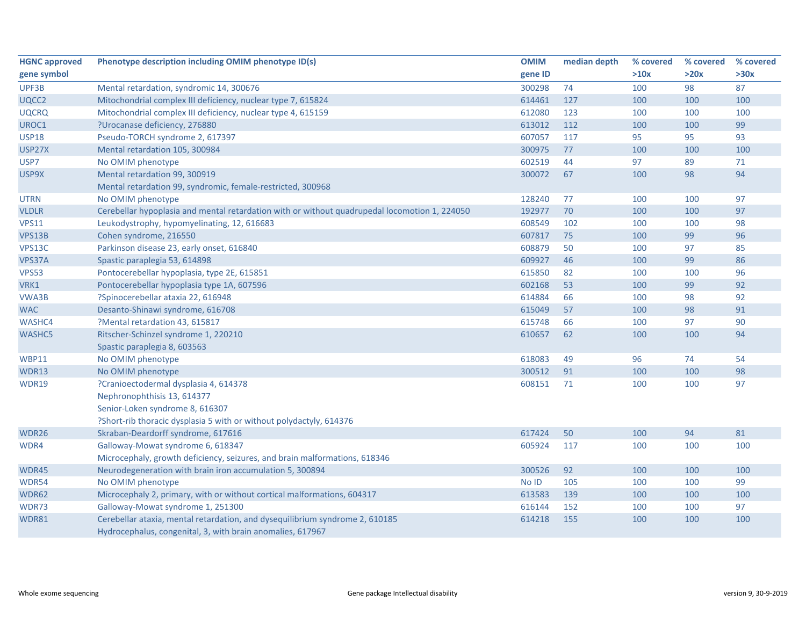| <b>HGNC approved</b> | Phenotype description including OMIM phenotype ID(s)                                                                                       | <b>OMIM</b> | median depth | % covered | % covered | % covered |
|----------------------|--------------------------------------------------------------------------------------------------------------------------------------------|-------------|--------------|-----------|-----------|-----------|
| gene symbol          |                                                                                                                                            | gene ID     |              | >10x      | >20x      | >30x      |
| UPF3B                | Mental retardation, syndromic 14, 300676                                                                                                   | 300298      | 74           | 100       | 98        | 87        |
| UQCC2                | Mitochondrial complex III deficiency, nuclear type 7, 615824                                                                               | 614461      | 127          | 100       | 100       | 100       |
| <b>UQCRQ</b>         | Mitochondrial complex III deficiency, nuclear type 4, 615159                                                                               | 612080      | 123          | 100       | 100       | 100       |
| UROC1                | ?Urocanase deficiency, 276880                                                                                                              | 613012      | 112          | 100       | 100       | 99        |
| <b>USP18</b>         | Pseudo-TORCH syndrome 2, 617397                                                                                                            | 607057      | 117          | 95        | 95        | 93        |
| USP27X               | Mental retardation 105, 300984                                                                                                             | 300975      | 77           | 100       | 100       | 100       |
| USP7                 | No OMIM phenotype                                                                                                                          | 602519      | 44           | 97        | 89        | 71        |
| USP9X                | Mental retardation 99, 300919                                                                                                              | 300072      | 67           | 100       | 98        | 94        |
|                      | Mental retardation 99, syndromic, female-restricted, 300968                                                                                |             |              |           |           |           |
| <b>UTRN</b>          | No OMIM phenotype                                                                                                                          | 128240      | 77           | 100       | 100       | 97        |
| <b>VLDLR</b>         | Cerebellar hypoplasia and mental retardation with or without quadrupedal locomotion 1, 224050                                              | 192977      | 70           | 100       | 100       | 97        |
| <b>VPS11</b>         | Leukodystrophy, hypomyelinating, 12, 616683                                                                                                | 608549      | 102          | 100       | 100       | 98        |
| VPS13B               | Cohen syndrome, 216550                                                                                                                     | 607817      | 75           | 100       | 99        | 96        |
| VPS13C               | Parkinson disease 23, early onset, 616840                                                                                                  | 608879      | 50           | 100       | 97        | 85        |
| VPS37A               | Spastic paraplegia 53, 614898                                                                                                              | 609927      | 46           | 100       | 99        | 86        |
| <b>VPS53</b>         | Pontocerebellar hypoplasia, type 2E, 615851                                                                                                | 615850      | 82           | 100       | 100       | 96        |
| VRK1                 | Pontocerebellar hypoplasia type 1A, 607596                                                                                                 | 602168      | 53           | 100       | 99        | 92        |
| VWA3B                | ?Spinocerebellar ataxia 22, 616948                                                                                                         | 614884      | 66           | 100       | 98        | 92        |
| <b>WAC</b>           | Desanto-Shinawi syndrome, 616708                                                                                                           | 615049      | 57           | 100       | 98        | 91        |
| WASHC4               | ?Mental retardation 43, 615817                                                                                                             | 615748      | 66           | 100       | 97        | 90        |
| <b>WASHC5</b>        | Ritscher-Schinzel syndrome 1, 220210                                                                                                       | 610657      | 62           | 100       | 100       | 94        |
|                      | Spastic paraplegia 8, 603563                                                                                                               |             |              |           |           |           |
| <b>WBP11</b>         | No OMIM phenotype                                                                                                                          | 618083      | 49           | 96        | 74        | 54        |
| WDR13                | No OMIM phenotype                                                                                                                          | 300512      | 91           | 100       | 100       | 98        |
| WDR19                | ?Cranioectodermal dysplasia 4, 614378                                                                                                      | 608151      | 71           | 100       | 100       | 97        |
|                      | Nephronophthisis 13, 614377                                                                                                                |             |              |           |           |           |
|                      | Senior-Loken syndrome 8, 616307                                                                                                            |             |              |           |           |           |
|                      | ?Short-rib thoracic dysplasia 5 with or without polydactyly, 614376                                                                        |             |              |           |           |           |
| WDR26                | Skraban-Deardorff syndrome, 617616                                                                                                         | 617424      | 50           | 100       | 94        | 81        |
| WDR4                 | Galloway-Mowat syndrome 6, 618347                                                                                                          | 605924      | 117          | 100       | 100       | 100       |
|                      | Microcephaly, growth deficiency, seizures, and brain malformations, 618346                                                                 |             |              |           |           |           |
| WDR45                | Neurodegeneration with brain iron accumulation 5, 300894                                                                                   | 300526      | 92           | 100       | 100       | 100       |
| WDR54                | No OMIM phenotype                                                                                                                          | No ID       | 105          | 100       | 100       | 99        |
| WDR62                | Microcephaly 2, primary, with or without cortical malformations, 604317                                                                    | 613583      | 139          | 100       | 100       | 100       |
| WDR73                | Galloway-Mowat syndrome 1, 251300                                                                                                          | 616144      | 152          | 100       | 100       | 97        |
| <b>WDR81</b>         | Cerebellar ataxia, mental retardation, and dysequilibrium syndrome 2, 610185<br>Hydrocephalus, congenital, 3, with brain anomalies, 617967 | 614218      | 155          | 100       | 100       | 100       |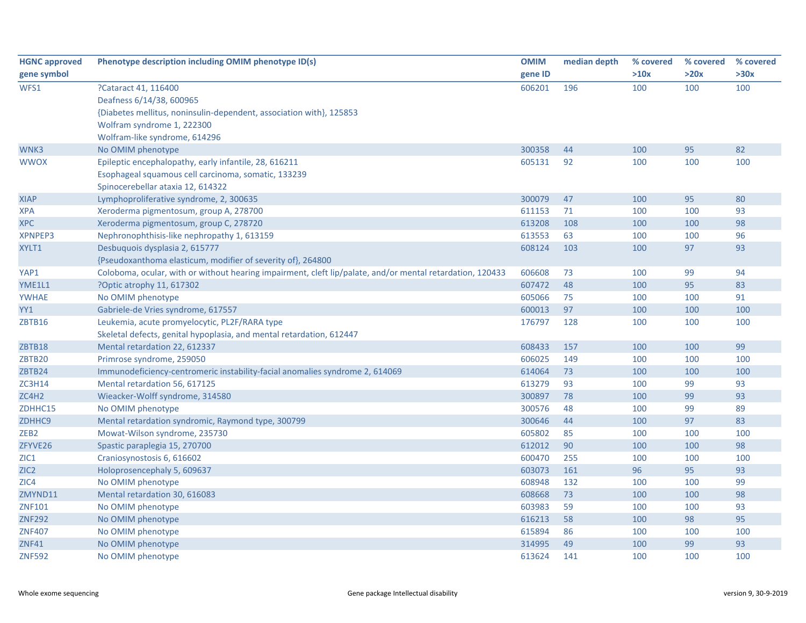| <b>HGNC approved</b> | Phenotype description including OMIM phenotype ID(s)                                                      | <b>OMIM</b> | median depth | % covered | % covered | % covered |
|----------------------|-----------------------------------------------------------------------------------------------------------|-------------|--------------|-----------|-----------|-----------|
| gene symbol          |                                                                                                           | gene ID     |              | >10x      | >20x      | >30x      |
| WFS1                 | ?Cataract 41, 116400                                                                                      | 606201      | 196          | 100       | 100       | 100       |
|                      | Deafness 6/14/38, 600965                                                                                  |             |              |           |           |           |
|                      | {Diabetes mellitus, noninsulin-dependent, association with}, 125853                                       |             |              |           |           |           |
|                      | Wolfram syndrome 1, 222300                                                                                |             |              |           |           |           |
|                      | Wolfram-like syndrome, 614296                                                                             |             |              |           |           |           |
| WNK3                 | No OMIM phenotype                                                                                         | 300358      | 44           | 100       | 95        | 82        |
| <b>WWOX</b>          | Epileptic encephalopathy, early infantile, 28, 616211                                                     | 605131      | 92           | 100       | 100       | 100       |
|                      | Esophageal squamous cell carcinoma, somatic, 133239                                                       |             |              |           |           |           |
|                      | Spinocerebellar ataxia 12, 614322                                                                         |             |              |           |           |           |
| <b>XIAP</b>          | Lymphoproliferative syndrome, 2, 300635                                                                   | 300079      | 47           | 100       | 95        | 80        |
| <b>XPA</b>           | Xeroderma pigmentosum, group A, 278700                                                                    | 611153      | 71           | 100       | 100       | 93        |
| <b>XPC</b>           | Xeroderma pigmentosum, group C, 278720                                                                    | 613208      | 108          | 100       | 100       | 98        |
| <b>XPNPEP3</b>       | Nephronophthisis-like nephropathy 1, 613159                                                               | 613553      | 63           | 100       | 100       | 96        |
| XYLT1                | Desbuquois dysplasia 2, 615777                                                                            | 608124      | 103          | 100       | 97        | 93        |
|                      | {Pseudoxanthoma elasticum, modifier of severity of}, 264800                                               |             |              |           |           |           |
| YAP1                 | Coloboma, ocular, with or without hearing impairment, cleft lip/palate, and/or mental retardation, 120433 | 606608      | 73           | 100       | 99        | 94        |
| YME1L1               | ?Optic atrophy 11, 617302                                                                                 | 607472      | 48           | 100       | 95        | 83        |
| <b>YWHAE</b>         | No OMIM phenotype                                                                                         | 605066      | 75           | 100       | 100       | 91        |
| YY1                  | Gabriele-de Vries syndrome, 617557                                                                        | 600013      | 97           | 100       | 100       | 100       |
| ZBTB16               | Leukemia, acute promyelocytic, PL2F/RARA type                                                             | 176797      | 128          | 100       | 100       | 100       |
|                      | Skeletal defects, genital hypoplasia, and mental retardation, 612447                                      |             |              |           |           |           |
| ZBTB18               | Mental retardation 22, 612337                                                                             | 608433      | 157          | 100       | 100       | 99        |
| ZBTB20               | Primrose syndrome, 259050                                                                                 | 606025      | 149          | 100       | 100       | 100       |
| ZBTB24               | Immunodeficiency-centromeric instability-facial anomalies syndrome 2, 614069                              | 614064      | 73           | 100       | 100       | 100       |
| <b>ZC3H14</b>        | Mental retardation 56, 617125                                                                             | 613279      | 93           | 100       | 99        | 93        |
| ZC4H2                | Wieacker-Wolff syndrome, 314580                                                                           | 300897      | 78           | 100       | 99        | 93        |
| ZDHHC15              | No OMIM phenotype                                                                                         | 300576      | 48           | 100       | 99        | 89        |
| ZDHHC9               | Mental retardation syndromic, Raymond type, 300799                                                        | 300646      | 44           | 100       | 97        | 83        |
| ZEB <sub>2</sub>     | Mowat-Wilson syndrome, 235730                                                                             | 605802      | 85           | 100       | 100       | 100       |
| ZFYVE26              | Spastic paraplegia 15, 270700                                                                             | 612012      | 90           | 100       | 100       | 98        |
| ZIC1                 | Craniosynostosis 6, 616602                                                                                | 600470      | 255          | 100       | 100       | 100       |
| ZIC <sub>2</sub>     | Holoprosencephaly 5, 609637                                                                               | 603073      | 161          | 96        | 95        | 93        |
| ZIC4                 | No OMIM phenotype                                                                                         | 608948      | 132          | 100       | 100       | 99        |
| ZMYND11              | Mental retardation 30, 616083                                                                             | 608668      | 73           | 100       | 100       | 98        |
| ZNF101               | No OMIM phenotype                                                                                         | 603983      | 59           | 100       | 100       | 93        |
| <b>ZNF292</b>        | No OMIM phenotype                                                                                         | 616213      | 58           | 100       | 98        | 95        |
| <b>ZNF407</b>        | No OMIM phenotype                                                                                         | 615894      | 86           | 100       | 100       | 100       |
| <b>ZNF41</b>         | No OMIM phenotype                                                                                         | 314995      | 49           | 100       | 99        | 93        |
| <b>ZNF592</b>        | No OMIM phenotype                                                                                         | 613624      | 141          | 100       | 100       | 100       |